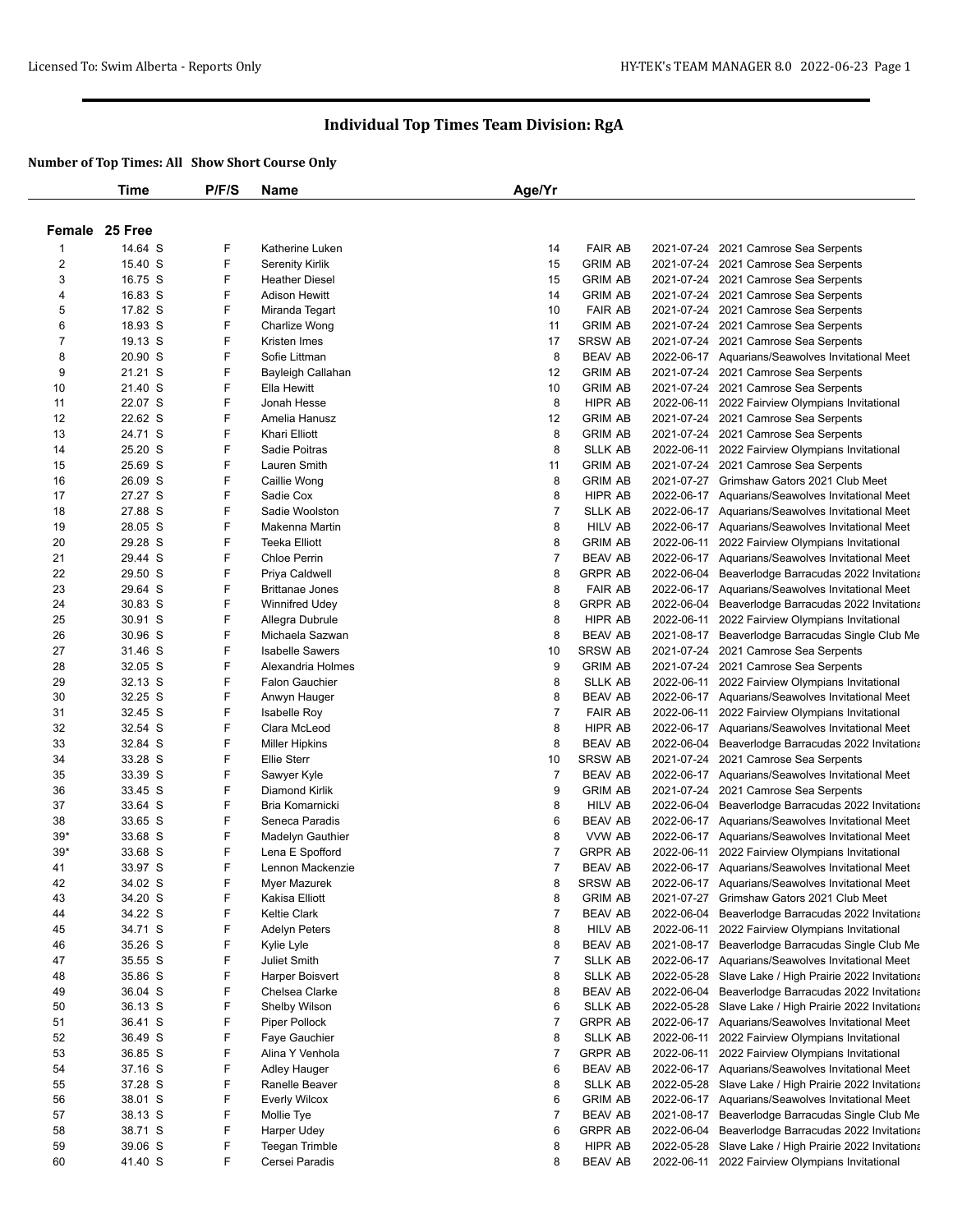|             | <b>Time</b>        | P/F/S  | <b>Name</b>                         | Age/Yr         |                           |            |                                                                                                      |
|-------------|--------------------|--------|-------------------------------------|----------------|---------------------------|------------|------------------------------------------------------------------------------------------------------|
|             | Female 25 Free     |        |                                     |                |                           |            |                                                                                                      |
| $\mathbf 1$ | 14.64 S            | F      | Katherine Luken                     | 14             | <b>FAIR AB</b>            |            | 2021-07-24 2021 Camrose Sea Serpents                                                                 |
| 2           | 15.40 S            | F      | <b>Serenity Kirlik</b>              | 15             | <b>GRIM AB</b>            |            | 2021-07-24 2021 Camrose Sea Serpents                                                                 |
| 3           | 16.75 S            | F      | <b>Heather Diesel</b>               | 15             | <b>GRIM AB</b>            |            | 2021-07-24 2021 Camrose Sea Serpents                                                                 |
| 4           | 16.83 S            | F      | <b>Adison Hewitt</b>                | 14             | <b>GRIM AB</b>            |            | 2021-07-24 2021 Camrose Sea Serpents                                                                 |
| 5           | 17.82 S            | F      | Miranda Tegart                      | 10             | <b>FAIR AB</b>            |            | 2021-07-24 2021 Camrose Sea Serpents                                                                 |
| 6           | 18.93 S            | F      | Charlize Wong                       | 11             | <b>GRIM AB</b>            |            | 2021-07-24 2021 Camrose Sea Serpents                                                                 |
| 7           | 19.13 S            | F      | Kristen Imes                        | 17             | <b>SRSW AB</b>            |            | 2021-07-24 2021 Camrose Sea Serpents                                                                 |
| 8           | 20.90 S            | F      | Sofie Littman                       | 8              | <b>BEAV AB</b>            |            | 2022-06-17 Aquarians/Seawolves Invitational Meet                                                     |
| 9           | 21.21 S            | F      | Bayleigh Callahan                   | 12             | <b>GRIM AB</b>            |            | 2021-07-24 2021 Camrose Sea Serpents                                                                 |
| 10          | 21.40 S            | F      | Ella Hewitt                         | 10             | <b>GRIM AB</b>            |            | 2021-07-24 2021 Camrose Sea Serpents                                                                 |
| 11          | 22.07 S            | F      | Jonah Hesse                         | 8              | <b>HIPR AB</b>            |            | 2022-06-11 2022 Fairview Olympians Invitational                                                      |
| 12          | 22.62 S            | F      | Amelia Hanusz                       | 12             | <b>GRIM AB</b>            |            | 2021-07-24 2021 Camrose Sea Serpents                                                                 |
| 13          | 24.71 S            | F      | Khari Elliott                       | 8              | <b>GRIM AB</b>            |            | 2021-07-24 2021 Camrose Sea Serpents                                                                 |
| 14          | 25.20 S            | F      | Sadie Poitras                       | 8              | <b>SLLK AB</b>            |            | 2022-06-11 2022 Fairview Olympians Invitational                                                      |
| 15          | 25.69 S            | F      | Lauren Smith                        | 11             | <b>GRIM AB</b>            |            | 2021-07-24 2021 Camrose Sea Serpents                                                                 |
| 16<br>17    | 26.09 S            | F<br>F | Caillie Wong                        | 8<br>8         | <b>GRIM AB</b>            |            | 2021-07-27 Grimshaw Gators 2021 Club Meet<br>2022-06-17 Aquarians/Seawolves Invitational Meet        |
| 18          | 27.27 S<br>27.88 S | F      | Sadie Cox<br>Sadie Woolston         | $\overline{7}$ | HIPR AB<br><b>SLLK AB</b> |            | 2022-06-17 Aquarians/Seawolves Invitational Meet                                                     |
| 19          | 28.05 S            | F      | Makenna Martin                      | 8              | <b>HILV AB</b>            |            | 2022-06-17 Aquarians/Seawolves Invitational Meet                                                     |
| 20          | 29.28 S            | F      | <b>Teeka Elliott</b>                | 8              | <b>GRIM AB</b>            |            | 2022-06-11 2022 Fairview Olympians Invitational                                                      |
| 21          | 29.44 S            | F      | <b>Chloe Perrin</b>                 | $\overline{7}$ | <b>BEAV AB</b>            |            | 2022-06-17 Aquarians/Seawolves Invitational Meet                                                     |
| 22          | 29.50 S            | F      | Priya Caldwell                      | 8              | <b>GRPR AB</b>            |            | 2022-06-04 Beaverlodge Barracudas 2022 Invitationa                                                   |
| 23          | 29.64 S            | F      | <b>Brittanae Jones</b>              | 8              | <b>FAIR AB</b>            |            | 2022-06-17 Aquarians/Seawolves Invitational Meet                                                     |
| 24          | 30.83 S            | F      | <b>Winnifred Udey</b>               | 8              | <b>GRPR AB</b>            |            | 2022-06-04 Beaverlodge Barracudas 2022 Invitationa                                                   |
| 25          | 30.91 S            | F      | Allegra Dubrule                     | 8              | <b>HIPR AB</b>            |            | 2022-06-11 2022 Fairview Olympians Invitational                                                      |
| 26          | 30.96 S            | F      | Michaela Sazwan                     | 8              | <b>BEAV AB</b>            |            | 2021-08-17 Beaverlodge Barracudas Single Club Me                                                     |
| 27          | 31.46 S            | F      | <b>Isabelle Sawers</b>              | 10             | <b>SRSW AB</b>            |            | 2021-07-24 2021 Camrose Sea Serpents                                                                 |
| 28          | 32.05 S            | F      | Alexandria Holmes                   | 9              | <b>GRIM AB</b>            |            | 2021-07-24 2021 Camrose Sea Serpents                                                                 |
| 29          | 32.13 S            | F      | <b>Falon Gauchier</b>               | 8              | <b>SLLK AB</b>            |            | 2022-06-11 2022 Fairview Olympians Invitational                                                      |
| 30          | 32.25 S            | F      | Anwyn Hauger                        | 8              | <b>BEAV AB</b>            |            | 2022-06-17 Aquarians/Seawolves Invitational Meet                                                     |
| 31          | 32.45 S            | F      | <b>Isabelle Roy</b>                 | $\overline{7}$ | <b>FAIR AB</b>            |            | 2022-06-11 2022 Fairview Olympians Invitational                                                      |
| 32          | 32.54 S            | F      | Clara McLeod                        | 8              | <b>HIPR AB</b>            |            | 2022-06-17 Aquarians/Seawolves Invitational Meet                                                     |
| 33          | 32.84 S            | F      | <b>Miller Hipkins</b>               | 8              | <b>BEAV AB</b>            |            | 2022-06-04 Beaverlodge Barracudas 2022 Invitationa                                                   |
| 34          | 33.28 S            | F      | <b>Ellie Sterr</b>                  | 10             | <b>SRSW AB</b>            | 2021-07-24 | 2021 Camrose Sea Serpents                                                                            |
| 35          | 33.39 S            | F      | Sawyer Kyle                         | $\overline{7}$ | <b>BEAV AB</b>            |            | 2022-06-17 Aquarians/Seawolves Invitational Meet                                                     |
| 36          | 33.45 S            | F      | Diamond Kirlik                      | 9              | <b>GRIM AB</b>            |            | 2021-07-24 2021 Camrose Sea Serpents                                                                 |
| 37          | 33.64 S<br>33.65 S | F<br>F | Bria Komarnicki                     | 8              | <b>HILV AB</b>            |            | 2022-06-04 Beaverlodge Barracudas 2022 Invitationa                                                   |
| 38<br>$39*$ | 33.68 S            | F      | Seneca Paradis                      | 6<br>8         | <b>BEAV AB</b><br>VVW AB  |            | 2022-06-17 Aquarians/Seawolves Invitational Meet<br>2022-06-17 Aquarians/Seawolves Invitational Meet |
| $39*$       | 33.68 S            | F      | Madelyn Gauthier<br>Lena E Spofford | $\overline{7}$ | <b>GRPR AB</b>            |            | 2022-06-11 2022 Fairview Olympians Invitational                                                      |
| 41          | 33.97 S            | F      | Lennon Mackenzie                    | $\overline{7}$ | <b>BEAV AB</b>            |            | 2022-06-17 Aquarians/Seawolves Invitational Meet                                                     |
| 42          | 34.02 S            | F      | Myer Mazurek                        | 8              | SRSW AB                   |            | 2022-06-17 Aquarians/Seawolves Invitational Meet                                                     |
| 43          | 34.20 S            | F      | Kakisa Elliott                      | 8              | <b>GRIM AB</b>            |            | 2021-07-27 Grimshaw Gators 2021 Club Meet                                                            |
| 44          | 34.22 S            | F      | <b>Keltie Clark</b>                 | 7              | <b>BEAV AB</b>            | 2022-06-04 | Beaverlodge Barracudas 2022 Invitationa                                                              |
| 45          | 34.71 S            | F      | <b>Adelyn Peters</b>                | 8              | HILV AB                   |            | 2022-06-11 2022 Fairview Olympians Invitational                                                      |
| 46          | 35.26 S            | F      | Kylie Lyle                          | 8              | <b>BEAV AB</b>            |            | 2021-08-17 Beaverlodge Barracudas Single Club Me                                                     |
| 47          | 35.55 S            | F      | Juliet Smith                        | 7              | <b>SLLK AB</b>            |            | 2022-06-17 Aquarians/Seawolves Invitational Meet                                                     |
| 48          | 35.86 S            | F      | Harper Boisvert                     | 8              | <b>SLLK AB</b>            |            | 2022-05-28 Slave Lake / High Prairie 2022 Invitationa                                                |
| 49          | 36.04 S            | F      | Chelsea Clarke                      | 8              | <b>BEAV AB</b>            | 2022-06-04 | Beaverlodge Barracudas 2022 Invitationa                                                              |
| 50          | 36.13 S            | F      | Shelby Wilson                       | 6              | <b>SLLK AB</b>            |            | 2022-05-28 Slave Lake / High Prairie 2022 Invitationa                                                |
| 51          | 36.41 S            | F      | Piper Pollock                       | 7              | <b>GRPR AB</b>            |            | 2022-06-17 Aquarians/Seawolves Invitational Meet                                                     |
| 52          | 36.49 S            | F      | Faye Gauchier                       | 8              | <b>SLLK AB</b>            |            | 2022-06-11 2022 Fairview Olympians Invitational                                                      |
| 53          | 36.85 S            | F      | Alina Y Venhola                     | 7              | <b>GRPR AB</b>            |            | 2022-06-11 2022 Fairview Olympians Invitational                                                      |
| 54          | 37.16 S            | F      | <b>Adley Hauger</b>                 | 6              | <b>BEAV AB</b>            |            | 2022-06-17 Aquarians/Seawolves Invitational Meet                                                     |
| 55          | 37.28 S            | F      | Ranelle Beaver                      | 8              | <b>SLLK AB</b>            |            | 2022-05-28 Slave Lake / High Prairie 2022 Invitationa                                                |
| 56          | 38.01 S            | F.     | <b>Everly Wilcox</b>                | 6              | <b>GRIM AB</b>            |            | 2022-06-17 Aquarians/Seawolves Invitational Meet                                                     |
| 57          | 38.13 S            | F      | Mollie Tye                          | 7              | <b>BEAV AB</b>            | 2021-08-17 | Beaverlodge Barracudas Single Club Me                                                                |
| 58          | 38.71 S            | F      | Harper Udey                         | 6              | <b>GRPR AB</b>            | 2022-06-04 | Beaverlodge Barracudas 2022 Invitationa                                                              |
| 59          | 39.06 S            | F      | <b>Teegan Trimble</b>               | 8              | HIPR AB                   |            | 2022-05-28 Slave Lake / High Prairie 2022 Invitationa                                                |
| 60          | 41.40 S            | F.     | Cersei Paradis                      | 8              | <b>BEAV AB</b>            |            | 2022-06-11 2022 Fairview Olympians Invitational                                                      |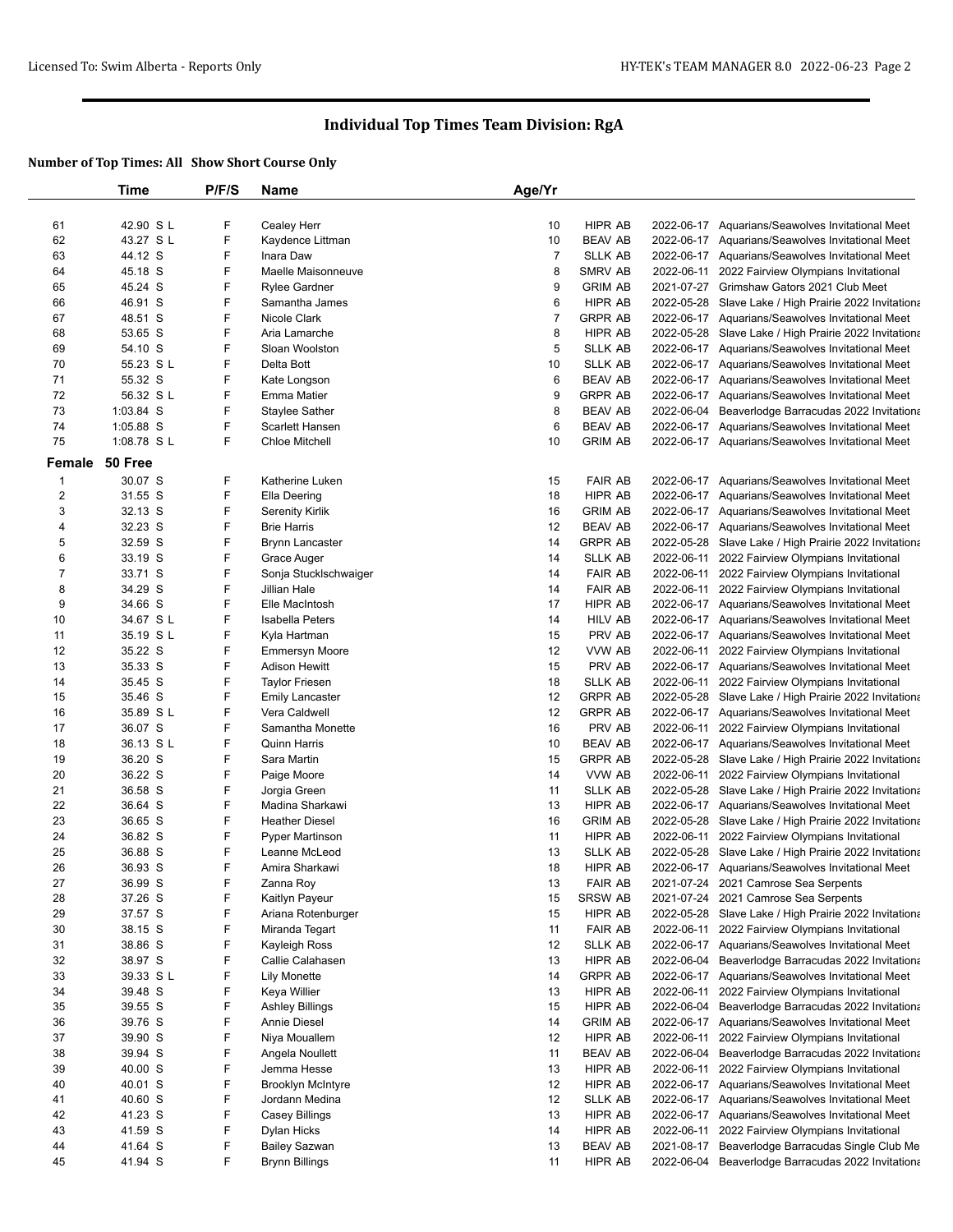|                  | Time       | P/F/S | <b>Name</b>              | Age/Yr         |                |            |                                                       |
|------------------|------------|-------|--------------------------|----------------|----------------|------------|-------------------------------------------------------|
|                  |            |       |                          |                |                |            |                                                       |
| 61               | 42.90 SL   | F     | Cealey Herr              | 10             | HIPR AB        |            | 2022-06-17 Aquarians/Seawolves Invitational Meet      |
| 62               | 43.27 S L  | F     | Kaydence Littman         | 10             | <b>BEAV AB</b> |            | 2022-06-17 Aquarians/Seawolves Invitational Meet      |
| 63               | 44.12 S    | F     | Inara Daw                | $\overline{7}$ | <b>SLLK AB</b> |            | 2022-06-17 Aquarians/Seawolves Invitational Meet      |
| 64               | 45.18 S    | F     | Maelle Maisonneuve       | 8              | SMRV AB        |            | 2022-06-11 2022 Fairview Olympians Invitational       |
| 65               | 45.24 S    | F     | <b>Rylee Gardner</b>     | 9              | <b>GRIM AB</b> |            | 2021-07-27 Grimshaw Gators 2021 Club Meet             |
| 66               | 46.91 S    | F     | Samantha James           | 6              | <b>HIPR AB</b> |            | 2022-05-28 Slave Lake / High Prairie 2022 Invitationa |
| 67               | 48.51 S    | F     | Nicole Clark             | $\overline{7}$ | <b>GRPR AB</b> |            | 2022-06-17 Aquarians/Seawolves Invitational Meet      |
| 68               | 53.65 S    | F     | Aria Lamarche            | 8              | HIPR AB        |            | 2022-05-28 Slave Lake / High Prairie 2022 Invitationa |
| 69               | 54.10 S    | F     | Sloan Woolston           | 5              | <b>SLLK AB</b> |            | 2022-06-17 Aquarians/Seawolves Invitational Meet      |
| 70               | 55.23 S L  | F     | Delta Bott               | 10             | <b>SLLK AB</b> |            | 2022-06-17 Aquarians/Seawolves Invitational Meet      |
| 71               | 55.32 S    | F     | Kate Longson             | 6              | <b>BEAV AB</b> |            | 2022-06-17 Aquarians/Seawolves Invitational Meet      |
| 72               | 56.32 S L  | F     | <b>Emma Matier</b>       | 9              | <b>GRPR AB</b> |            | 2022-06-17 Aquarians/Seawolves Invitational Meet      |
| 73               | 1:03.84 S  | F     | Staylee Sather           | 8              | BEAV AB        |            | 2022-06-04 Beaverlodge Barracudas 2022 Invitationa    |
| 74               | 1:05.88 S  | F     | Scarlett Hansen          | 6              | <b>BEAV AB</b> |            | 2022-06-17 Aquarians/Seawolves Invitational Meet      |
| 75               | 1:08.78 SL | F     | <b>Chloe Mitchell</b>    | 10             | <b>GRIM AB</b> |            | 2022-06-17 Aquarians/Seawolves Invitational Meet      |
| Female           | 50 Free    |       |                          |                |                |            |                                                       |
|                  |            |       |                          |                |                |            |                                                       |
| 1                | 30.07 S    | F     | Katherine Luken          | 15             | <b>FAIR AB</b> |            | 2022-06-17 Aquarians/Seawolves Invitational Meet      |
| $\mathbf 2$      | 31.55 S    | F     | Ella Deering             | 18             | HIPR AB        |            | 2022-06-17 Aquarians/Seawolves Invitational Meet      |
| 3                | 32.13 S    | F     | Serenity Kirlik          | 16             | <b>GRIM AB</b> |            | 2022-06-17 Aquarians/Seawolves Invitational Meet      |
| 4                | 32.23 S    | F     | <b>Brie Harris</b>       | 12             | <b>BEAV AB</b> |            | 2022-06-17 Aquarians/Seawolves Invitational Meet      |
| 5                | 32.59 S    | F     | <b>Brynn Lancaster</b>   | 14             | <b>GRPR AB</b> |            | 2022-05-28 Slave Lake / High Prairie 2022 Invitationa |
| 6                | 33.19 S    | F     | Grace Auger              | 14             | <b>SLLK AB</b> |            | 2022-06-11 2022 Fairview Olympians Invitational       |
| $\boldsymbol{7}$ | 33.71 S    | F     | Sonja Stucklschwaiger    | 14             | <b>FAIR AB</b> |            | 2022-06-11 2022 Fairview Olympians Invitational       |
| 8                | 34.29 S    | F     | Jillian Hale             | 14             | <b>FAIR AB</b> |            | 2022-06-11 2022 Fairview Olympians Invitational       |
| 9                | 34.66 S    | F     | Elle MacIntosh           | 17             | HIPR AB        |            | 2022-06-17 Aquarians/Seawolves Invitational Meet      |
| 10               | 34.67 S L  | F     | Isabella Peters          | 14             | HILV AB        |            | 2022-06-17 Aquarians/Seawolves Invitational Meet      |
| 11               | 35.19 S L  | F     | Kyla Hartman             | 15             | PRV AB         |            | 2022-06-17 Aquarians/Seawolves Invitational Meet      |
| 12               | 35.22 S    | F     | <b>Emmersyn Moore</b>    | 12             | VVW AB         |            | 2022-06-11 2022 Fairview Olympians Invitational       |
| 13               | 35.33 S    | F     | <b>Adison Hewitt</b>     | 15             | PRV AB         |            | 2022-06-17 Aquarians/Seawolves Invitational Meet      |
| 14               | 35.45 S    | F     | <b>Taylor Friesen</b>    | 18             | SLLK AB        |            | 2022-06-11 2022 Fairview Olympians Invitational       |
| 15               | 35.46 S    | F     | <b>Emily Lancaster</b>   | 12             | <b>GRPR AB</b> |            | 2022-05-28 Slave Lake / High Prairie 2022 Invitationa |
| 16               | 35.89 SL   | F     | Vera Caldwell            | 12             | <b>GRPR AB</b> |            | 2022-06-17 Aquarians/Seawolves Invitational Meet      |
| 17               | 36.07 S    | F     | Samantha Monette         | 16             | PRV AB         |            | 2022-06-11 2022 Fairview Olympians Invitational       |
| 18               | 36.13 S L  | F     | <b>Quinn Harris</b>      | 10             | <b>BEAV AB</b> |            | 2022-06-17 Aquarians/Seawolves Invitational Meet      |
| 19               | 36.20 S    | F     | Sara Martin              | 15             | <b>GRPR AB</b> |            | 2022-05-28 Slave Lake / High Prairie 2022 Invitationa |
| 20               | 36.22 S    | F     | Paige Moore              | 14             | VVW AB         |            | 2022-06-11 2022 Fairview Olympians Invitational       |
| 21               | 36.58 S    | F     | Jorgia Green             | 11             | SLLK AB        |            | 2022-05-28 Slave Lake / High Prairie 2022 Invitationa |
| 22               | 36.64 S    | F     | Madina Sharkawi          | 13             | HIPR AB        |            | 2022-06-17 Aquarians/Seawolves Invitational Meet      |
| 23               | 36.65 S    | F     | <b>Heather Diesel</b>    | 16             | <b>GRIM AB</b> |            | 2022-05-28 Slave Lake / High Prairie 2022 Invitationa |
| 24               | 36.82 S    | F     | Pyper Martinson          | 11             | HIPR AB        |            | 2022-06-11 2022 Fairview Olympians Invitational       |
| 25               | 36.88 S    | F     | Leanne McLeod            | 13             | <b>SLLK AB</b> |            | 2022-05-28 Slave Lake / High Prairie 2022 Invitationa |
| 26               | 36.93 S    | F     | Amira Sharkawi           | 18             | <b>HIPR AB</b> |            | 2022-06-17 Aquarians/Seawolves Invitational Meet      |
| 27               | 36.99 S    | F     | Zanna Roy                | 13             | <b>FAIR AB</b> |            | 2021-07-24 2021 Camrose Sea Serpents                  |
| 28               | 37.26 S    | F     | Kaitlyn Payeur           | 15             | SRSW AB        |            | 2021-07-24 2021 Camrose Sea Serpents                  |
| 29               | 37.57 S    | F     | Ariana Rotenburger       | 15             | HIPR AB        |            | 2022-05-28 Slave Lake / High Prairie 2022 Invitationa |
| 30               | 38.15 S    | F     | Miranda Tegart           | 11             | <b>FAIR AB</b> |            | 2022-06-11 2022 Fairview Olympians Invitational       |
| 31               | 38.86 S    | F     | Kayleigh Ross            | 12             | SLLK AB        |            | 2022-06-17 Aquarians/Seawolves Invitational Meet      |
| 32               | 38.97 S    | F     | Callie Calahasen         | 13             | HIPR AB        |            | 2022-06-04 Beaverlodge Barracudas 2022 Invitationa    |
| 33               | 39.33 SL   | F     | <b>Lily Monette</b>      | 14             | <b>GRPR AB</b> |            | 2022-06-17 Aquarians/Seawolves Invitational Meet      |
| 34               | 39.48 S    | F     | Keya Willier             | 13             | HIPR AB        |            | 2022-06-11 2022 Fairview Olympians Invitational       |
| 35               | 39.55 S    | F     | Ashley Billings          | 15             | HIPR AB        |            | 2022-06-04 Beaverlodge Barracudas 2022 Invitationa    |
| 36               | 39.76 S    | F     | Annie Diesel             | 14             | <b>GRIM AB</b> |            | 2022-06-17 Aquarians/Seawolves Invitational Meet      |
| 37               |            | F     |                          |                | HIPR AB        |            |                                                       |
|                  | 39.90 S    |       | Niya Mouallem            | 12             |                |            | 2022-06-11 2022 Fairview Olympians Invitational       |
| 38               | 39.94 S    | F     | Angela Noullett          | 11             | BEAV AB        |            | 2022-06-04 Beaverlodge Barracudas 2022 Invitationa    |
| 39               | 40.00 S    | F     | Jemma Hesse              | 13             | HIPR AB        | 2022-06-11 | 2022 Fairview Olympians Invitational                  |
| 40               | 40.01 S    | F     | <b>Brooklyn McIntyre</b> | 12             | HIPR AB        |            | 2022-06-17 Aquarians/Seawolves Invitational Meet      |
| 41               | 40.60 S    | F     | Jordann Medina           | 12             | <b>SLLK AB</b> |            | 2022-06-17 Aquarians/Seawolves Invitational Meet      |
| 42               | 41.23 S    | F     | Casey Billings           | 13             | HIPR AB        |            | 2022-06-17 Aquarians/Seawolves Invitational Meet      |
| 43               | 41.59 S    | F     | Dylan Hicks              | 14             | HIPR AB        |            | 2022-06-11 2022 Fairview Olympians Invitational       |
| 44               | 41.64 S    | F     | <b>Bailey Sazwan</b>     | 13             | BEAV AB        |            | 2021-08-17 Beaverlodge Barracudas Single Club Me      |
| 45               | 41.94 S    | F     | <b>Brynn Billings</b>    | 11             | HIPR AB        |            | 2022-06-04 Beaverlodge Barracudas 2022 Invitationa    |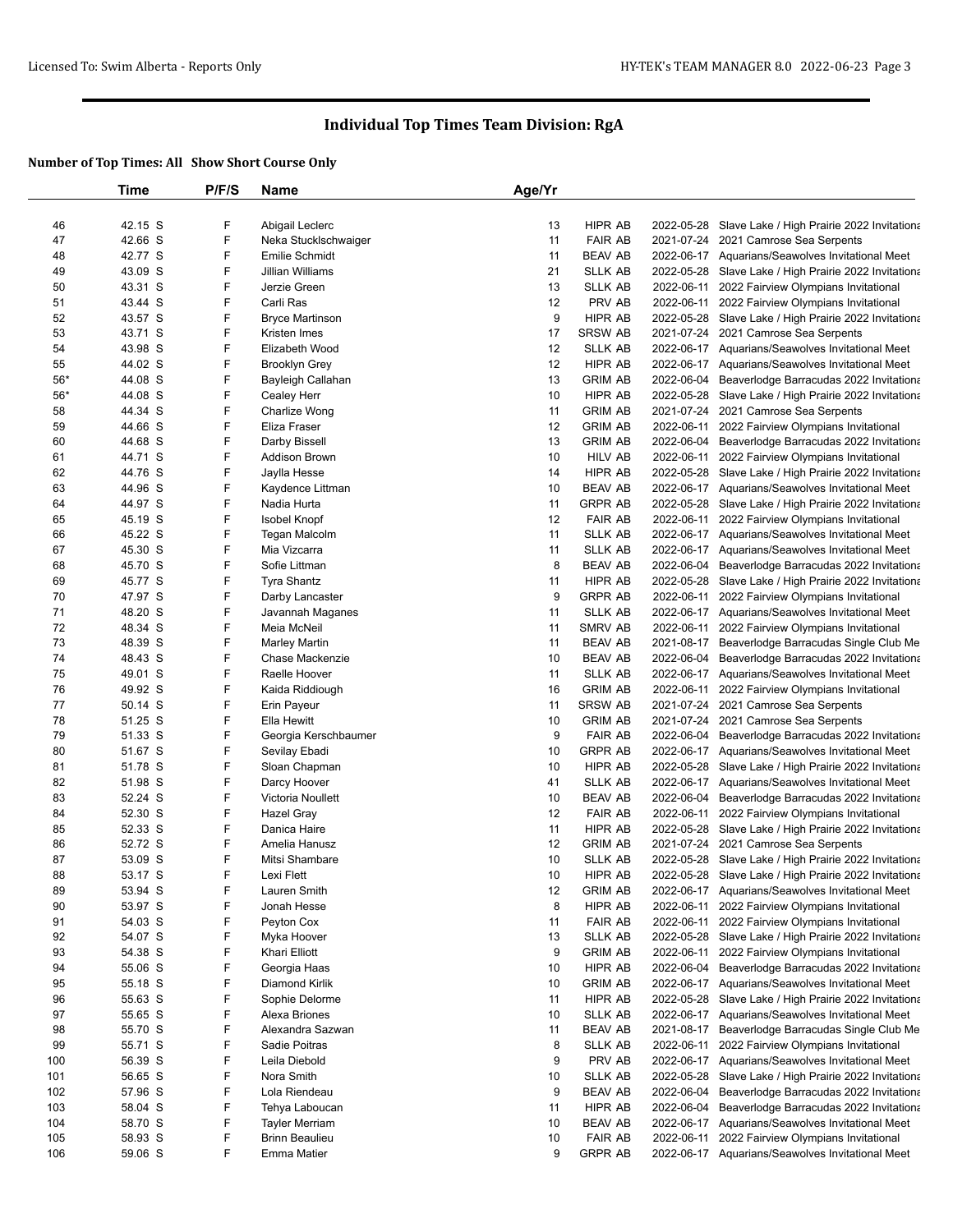|             | Time               | P/F/S  | Name                             | Age/Yr   |                                  |                                                                                                             |
|-------------|--------------------|--------|----------------------------------|----------|----------------------------------|-------------------------------------------------------------------------------------------------------------|
|             |                    |        |                                  |          |                                  |                                                                                                             |
| 46          | 42.15 S            | F      | Abigail Leclerc                  | 13       | HIPR AB                          | 2022-05-28 Slave Lake / High Prairie 2022 Invitationa                                                       |
| 47          | 42.66 S            | F      | Neka Stucklschwaiger             | 11       | <b>FAIR AB</b>                   | 2021-07-24 2021 Camrose Sea Serpents                                                                        |
| 48          | 42.77 S            | F      | Emilie Schmidt                   | 11       | <b>BEAV AB</b>                   | 2022-06-17 Aquarians/Seawolves Invitational Meet                                                            |
| 49          | 43.09 S            | F      | Jillian Williams                 | 21       | <b>SLLK AB</b>                   | 2022-05-28 Slave Lake / High Prairie 2022 Invitationa                                                       |
| 50          | 43.31 S            | F      | Jerzie Green                     | 13       | <b>SLLK AB</b>                   | 2022-06-11 2022 Fairview Olympians Invitational                                                             |
| 51          | 43.44 S            | F      | Carli Ras                        | 12       | PRV AB                           | 2022-06-11 2022 Fairview Olympians Invitational                                                             |
| 52          | 43.57 S            | F      | <b>Bryce Martinson</b>           | 9        | HIPR AB                          | 2022-05-28 Slave Lake / High Prairie 2022 Invitationa                                                       |
| 53          | 43.71 S            | F      | Kristen Imes                     | 17       | <b>SRSW AB</b>                   | 2021-07-24 2021 Camrose Sea Serpents                                                                        |
| 54          | 43.98 S            | F      | Elizabeth Wood                   | 12       | <b>SLLK AB</b>                   | 2022-06-17 Aquarians/Seawolves Invitational Meet                                                            |
| 55<br>$56*$ | 44.02 S<br>44.08 S | F<br>F | <b>Brooklyn Grey</b>             | 12<br>13 | HIPR AB<br><b>GRIM AB</b>        | 2022-06-17 Aquarians/Seawolves Invitational Meet                                                            |
| $56*$       | 44.08 S            | F      | Bayleigh Callahan<br>Cealey Herr | 10       | <b>HIPR AB</b>                   | 2022-06-04 Beaverlodge Barracudas 2022 Invitationa<br>2022-05-28 Slave Lake / High Prairie 2022 Invitationa |
| 58          | 44.34 S            | F      | Charlize Wong                    | 11       | <b>GRIM AB</b>                   | 2021-07-24 2021 Camrose Sea Serpents                                                                        |
| 59          | 44.66 S            | F      | Eliza Fraser                     | 12       | <b>GRIM AB</b>                   | 2022-06-11 2022 Fairview Olympians Invitational                                                             |
| 60          | 44.68 S            | F      | Darby Bissell                    | 13       | <b>GRIM AB</b>                   | 2022-06-04 Beaverlodge Barracudas 2022 Invitationa                                                          |
| 61          | 44.71 S            | F      | Addison Brown                    | 10       | HILV AB                          | 2022-06-11 2022 Fairview Olympians Invitational                                                             |
| 62          | 44.76 S            | F      | Jaylla Hesse                     | 14       | HIPR AB                          | 2022-05-28 Slave Lake / High Prairie 2022 Invitationa                                                       |
| 63          | 44.96 S            | F      | Kaydence Littman                 | 10       | <b>BEAV AB</b>                   | 2022-06-17 Aquarians/Seawolves Invitational Meet                                                            |
| 64          | 44.97 S            | F      | Nadia Hurta                      | 11       | <b>GRPR AB</b>                   | 2022-05-28 Slave Lake / High Prairie 2022 Invitationa                                                       |
| 65          | 45.19 S            | F      | Isobel Knopf                     | 12       | <b>FAIR AB</b>                   | 2022-06-11 2022 Fairview Olympians Invitational                                                             |
| 66          | 45.22 S            | F      | <b>Tegan Malcolm</b>             | 11       | <b>SLLK AB</b>                   | 2022-06-17 Aquarians/Seawolves Invitational Meet                                                            |
| 67          | 45.30 S            | F      | Mia Vizcarra                     | 11       | <b>SLLK AB</b>                   | 2022-06-17 Aquarians/Seawolves Invitational Meet                                                            |
| 68          | 45.70 S            | F      | Sofie Littman                    | 8        | <b>BEAV AB</b>                   | 2022-06-04 Beaverlodge Barracudas 2022 Invitationa                                                          |
| 69          | 45.77 S            | F      | <b>Tyra Shantz</b>               | 11       | HIPR AB                          | 2022-05-28 Slave Lake / High Prairie 2022 Invitationa                                                       |
| 70          | 47.97 S            | F      | Darby Lancaster                  | 9        | <b>GRPR AB</b>                   | 2022-06-11 2022 Fairview Olympians Invitational                                                             |
| 71          | 48.20 S            | F      | Javannah Maganes                 | 11       | <b>SLLK AB</b>                   | 2022-06-17 Aquarians/Seawolves Invitational Meet                                                            |
| 72          | 48.34 S            | F      | Meia McNeil                      | 11       | SMRV AB                          | 2022-06-11 2022 Fairview Olympians Invitational                                                             |
| 73          | 48.39 S            | F      | <b>Marley Martin</b>             | 11       | <b>BEAV AB</b>                   | 2021-08-17 Beaverlodge Barracudas Single Club Me                                                            |
| 74          | 48.43 S            | F      | Chase Mackenzie                  | 10       | <b>BEAV AB</b>                   | 2022-06-04 Beaverlodge Barracudas 2022 Invitationa                                                          |
| 75          | 49.01 S            | F      | Raelle Hoover                    | 11       | <b>SLLK AB</b>                   | 2022-06-17 Aquarians/Seawolves Invitational Meet                                                            |
| 76          | 49.92 S            | F      | Kaida Riddiough                  | 16       | <b>GRIM AB</b>                   | 2022-06-11 2022 Fairview Olympians Invitational                                                             |
| 77          | 50.14 S            | F      | Erin Payeur                      | 11       | SRSW AB                          | 2021-07-24 2021 Camrose Sea Serpents                                                                        |
| 78          | 51.25 S            | F      | Ella Hewitt                      | 10       | <b>GRIM AB</b>                   | 2021-07-24 2021 Camrose Sea Serpents                                                                        |
| 79          | 51.33 S            | F      | Georgia Kerschbaumer             | 9        | <b>FAIR AB</b>                   | 2022-06-04 Beaverlodge Barracudas 2022 Invitationa                                                          |
| 80          | 51.67 S            | F      | Sevilay Ebadi                    | 10       | <b>GRPR AB</b>                   | 2022-06-17 Aquarians/Seawolves Invitational Meet                                                            |
| 81          | 51.78 S            | F      | Sloan Chapman                    | 10       | HIPR AB                          | 2022-05-28 Slave Lake / High Prairie 2022 Invitationa                                                       |
| 82          | 51.98 S            | F      | Darcy Hoover                     | 41       | <b>SLLK AB</b>                   | 2022-06-17 Aquarians/Seawolves Invitational Meet                                                            |
| 83<br>84    | 52.24 S<br>52.30 S | F<br>F | Victoria Noullett                | 10<br>12 | <b>BEAV AB</b><br><b>FAIR AB</b> | 2022-06-04 Beaverlodge Barracudas 2022 Invitationa                                                          |
| 85          | 52.33 S            | F      | Hazel Gray<br>Danica Haire       | 11       | HIPR AB                          | 2022-06-11 2022 Fairview Olympians Invitational<br>2022-05-28 Slave Lake / High Prairie 2022 Invitationa    |
| 86          | 52.72 S            | F      | Amelia Hanusz                    | 12       | <b>GRIM AB</b>                   | 2021-07-24 2021 Camrose Sea Serpents                                                                        |
| 87          | 53.09 S            | F      | Mitsi Shambare                   | 10       | <b>SLLK AB</b>                   | 2022-05-28 Slave Lake / High Prairie 2022 Invitationa                                                       |
| 88          | 53.17 S            | F      | Lexi Flett                       | 10       | HIPR AB                          | 2022-05-28 Slave Lake / High Prairie 2022 Invitationa                                                       |
| 89          | 53.94 S            | F      | Lauren Smith                     | 12       | <b>GRIM AB</b>                   | 2022-06-17 Aquarians/Seawolves Invitational Meet                                                            |
| 90          | 53.97 S            | F      | Jonah Hesse                      | 8        | HIPR AB                          | 2022-06-11 2022 Fairview Olympians Invitational                                                             |
| 91          | 54.03 S            | F      | Peyton Cox                       | 11       | <b>FAIR AB</b>                   | 2022-06-11 2022 Fairview Olympians Invitational                                                             |
| 92          | 54.07 S            | F      | Myka Hoover                      | 13       | <b>SLLK AB</b>                   | 2022-05-28 Slave Lake / High Prairie 2022 Invitationa                                                       |
| 93          | 54.38 S            | F      | Khari Elliott                    | 9        | <b>GRIM AB</b>                   | 2022-06-11 2022 Fairview Olympians Invitational                                                             |
| 94          | 55.06 S            | F      | Georgia Haas                     | 10       | HIPR AB                          | 2022-06-04 Beaverlodge Barracudas 2022 Invitationa                                                          |
| 95          | 55.18 S            | F      | Diamond Kirlik                   | 10       | <b>GRIM AB</b>                   | 2022-06-17 Aquarians/Seawolves Invitational Meet                                                            |
| 96          | 55.63 S            | F      | Sophie Delorme                   | 11       | HIPR AB                          | 2022-05-28 Slave Lake / High Prairie 2022 Invitationa                                                       |
| 97          | 55.65 S            | F      | Alexa Briones                    | 10       | <b>SLLK AB</b>                   | 2022-06-17 Aquarians/Seawolves Invitational Meet                                                            |
| 98          | 55.70 S            | F      | Alexandra Sazwan                 | 11       | <b>BEAV AB</b>                   | 2021-08-17 Beaverlodge Barracudas Single Club Me                                                            |
| 99          | 55.71 S            | F      | Sadie Poitras                    | 8        | <b>SLLK AB</b>                   | 2022-06-11 2022 Fairview Olympians Invitational                                                             |
| 100         | 56.39 S            | F      | Leila Diebold                    | 9        | PRV AB                           | 2022-06-17 Aquarians/Seawolves Invitational Meet                                                            |
| 101         | 56.65 S            | F      | Nora Smith                       | 10       | <b>SLLK AB</b>                   | 2022-05-28 Slave Lake / High Prairie 2022 Invitationa                                                       |
| 102         | 57.96 S            | F      | Lola Riendeau                    | 9        | <b>BEAV AB</b>                   | 2022-06-04 Beaverlodge Barracudas 2022 Invitationa                                                          |
| 103         | 58.04 S            | F      | Tehya Laboucan                   | 11       | HIPR AB                          | 2022-06-04 Beaverlodge Barracudas 2022 Invitationa                                                          |
| 104         | 58.70 S            | F      | <b>Tayler Merriam</b>            | 10       | <b>BEAV AB</b>                   | 2022-06-17 Aquarians/Seawolves Invitational Meet                                                            |
| 105         | 58.93 S            | F      | <b>Brinn Beaulieu</b>            | 10       | <b>FAIR AB</b>                   | 2022-06-11 2022 Fairview Olympians Invitational                                                             |
| 106         | 59.06 S            | F      | <b>Emma Matier</b>               | 9        | <b>GRPR AB</b>                   | 2022-06-17 Aquarians/Seawolves Invitational Meet                                                            |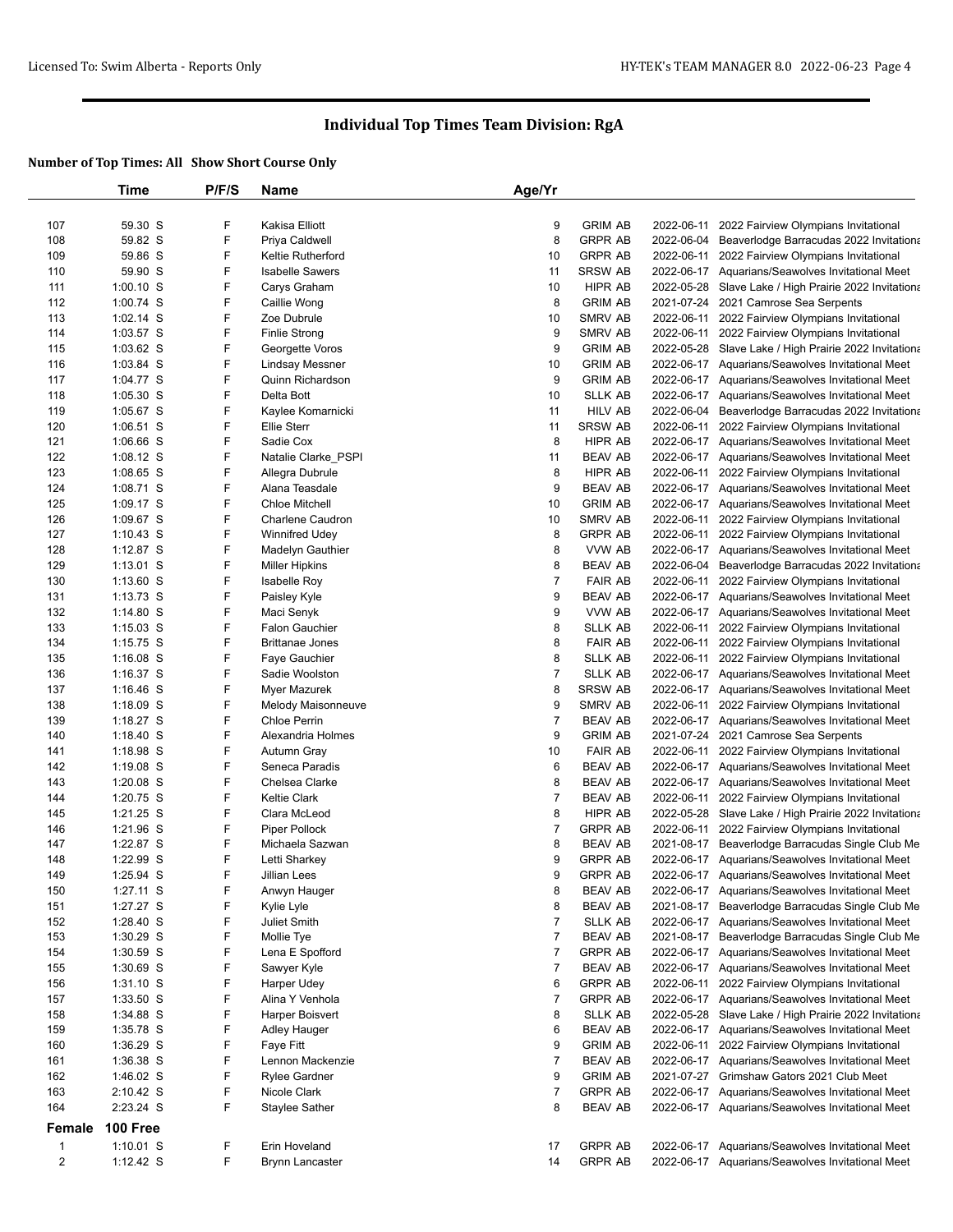|                         | Time                   | P/F/S  | <b>Name</b>                          | Age/Yr                   |                           |            |                                                                                          |
|-------------------------|------------------------|--------|--------------------------------------|--------------------------|---------------------------|------------|------------------------------------------------------------------------------------------|
|                         |                        |        |                                      |                          |                           |            |                                                                                          |
| 107                     | 59.30 S                | F      | Kakisa Elliott                       | 9                        | <b>GRIM AB</b>            | 2022-06-11 | 2022 Fairview Olympians Invitational                                                     |
| 108                     | 59.82 S                | F      | Priya Caldwell                       | 8                        | <b>GRPR AB</b>            | 2022-06-04 | Beaverlodge Barracudas 2022 Invitationa                                                  |
| 109                     | 59.86 S                | F      | <b>Keltie Rutherford</b>             | 10                       | <b>GRPR AB</b>            |            | 2022-06-11 2022 Fairview Olympians Invitational                                          |
| 110                     | 59.90 S                | F      | <b>Isabelle Sawers</b>               | 11                       | SRSW AB                   |            | 2022-06-17 Aquarians/Seawolves Invitational Meet                                         |
| 111                     | $1:00.10$ S            | F      | Carys Graham                         | 10                       | HIPR AB                   |            | 2022-05-28 Slave Lake / High Prairie 2022 Invitationa                                    |
| 112                     | 1:00.74 S              | F      | Caillie Wong                         | 8                        | <b>GRIM AB</b>            |            | 2021-07-24 2021 Camrose Sea Serpents                                                     |
| 113                     | $1:02.14$ S            | F      | Zoe Dubrule                          | 10                       | SMRV AB                   |            | 2022-06-11 2022 Fairview Olympians Invitational                                          |
| 114                     | 1:03.57 S              | F      | <b>Finlie Strong</b>                 | 9                        | <b>SMRV AB</b>            |            | 2022-06-11 2022 Fairview Olympians Invitational                                          |
| 115                     | $1:03.62$ S            | F      | Georgette Voros                      | 9                        | <b>GRIM AB</b>            |            | 2022-05-28 Slave Lake / High Prairie 2022 Invitationa                                    |
| 116                     | $1:03.84$ S            | F      | Lindsay Messner                      | 10                       | <b>GRIM AB</b>            |            | 2022-06-17 Aquarians/Seawolves Invitational Meet                                         |
| 117                     | 1:04.77 S              | F      | Quinn Richardson                     | 9                        | <b>GRIM AB</b>            |            | 2022-06-17 Aquarians/Seawolves Invitational Meet                                         |
| 118                     | 1:05.30 S              | F      | Delta Bott                           | 10                       | <b>SLLK AB</b>            |            | 2022-06-17 Aquarians/Seawolves Invitational Meet                                         |
| 119                     | 1:05.67 S              | F      | Kaylee Komarnicki                    | 11                       | <b>HILV AB</b>            | 2022-06-04 | Beaverlodge Barracudas 2022 Invitationa                                                  |
| 120                     | $1:06.51$ S            | F      | <b>Ellie Sterr</b>                   | 11                       | <b>SRSW AB</b>            |            | 2022-06-11 2022 Fairview Olympians Invitational                                          |
| 121                     | 1:06.66 S              | F      | Sadie Cox                            | 8                        | HIPR AB                   |            | 2022-06-17 Aquarians/Seawolves Invitational Meet                                         |
| 122                     | $1:08.12$ S            | F      | Natalie Clarke_PSPI                  | 11                       | <b>BEAV AB</b>            |            | 2022-06-17 Aquarians/Seawolves Invitational Meet                                         |
| 123                     | 1:08.65 S              | F      | Allegra Dubrule                      | 8                        | HIPR AB                   | 2022-06-11 | 2022 Fairview Olympians Invitational                                                     |
| 124                     | 1:08.71 S              | F      | Alana Teasdale                       | 9                        | <b>BEAV AB</b>            |            | 2022-06-17 Aquarians/Seawolves Invitational Meet                                         |
| 125                     | $1:09.17$ S            | F      | <b>Chloe Mitchell</b>                | 10                       | <b>GRIM AB</b>            |            | 2022-06-17 Aquarians/Seawolves Invitational Meet                                         |
| 126                     | 1:09.67 S              | F      | <b>Charlene Caudron</b>              | 10                       | <b>SMRV AB</b>            | 2022-06-11 | 2022 Fairview Olympians Invitational                                                     |
| 127                     | $1:10.43$ S            | F      | <b>Winnifred Udey</b>                | 8                        | <b>GRPR AB</b>            | 2022-06-11 | 2022 Fairview Olympians Invitational                                                     |
| 128                     | 1:12.87 S              | F      | Madelyn Gauthier                     | 8                        | VVW AB                    |            | 2022-06-17 Aquarians/Seawolves Invitational Meet                                         |
| 129                     | $1:13.01$ S            | F      | <b>Miller Hipkins</b>                | 8                        | <b>BEAV AB</b>            | 2022-06-04 | Beaverlodge Barracudas 2022 Invitationa                                                  |
| 130                     | $1:13.60$ S            | F      | <b>Isabelle Roy</b>                  | $\overline{7}$           | <b>FAIR AB</b>            |            | 2022-06-11 2022 Fairview Olympians Invitational                                          |
| 131                     | $1:13.73$ S            | F      | Paisley Kyle                         | 9                        | <b>BEAV AB</b>            |            | 2022-06-17 Aquarians/Seawolves Invitational Meet                                         |
| 132                     | 1:14.80 S              | F      | Maci Senyk                           | 9                        | VVW AB                    |            | 2022-06-17 Aquarians/Seawolves Invitational Meet                                         |
| 133                     | $1:15.03$ S            | F      | <b>Falon Gauchier</b>                | 8                        | <b>SLLK AB</b>            |            | 2022-06-11 2022 Fairview Olympians Invitational                                          |
| 134                     | $1:15.75$ S            | F      | <b>Brittanae Jones</b>               | 8                        | <b>FAIR AB</b>            |            | 2022-06-11 2022 Fairview Olympians Invitational                                          |
| 135                     | $1:16.08$ S            | F      | Faye Gauchier                        | 8                        | <b>SLLK AB</b>            |            | 2022-06-11 2022 Fairview Olympians Invitational                                          |
| 136                     | $1:16.37$ S            | F      | Sadie Woolston                       | $\overline{7}$           | <b>SLLK AB</b>            |            | 2022-06-17 Aquarians/Seawolves Invitational Meet                                         |
| 137                     | $1:16.46$ S            | F      | Myer Mazurek                         | 8                        | SRSW AB                   |            | 2022-06-17 Aquarians/Seawolves Invitational Meet                                         |
| 138                     | 1:18.09 S              | F      | Melody Maisonneuve                   | 9                        | SMRV AB                   |            | 2022-06-11 2022 Fairview Olympians Invitational                                          |
| 139                     | $1:18.27$ S            | F      | <b>Chloe Perrin</b>                  | $\overline{7}$           | <b>BEAV AB</b>            |            | 2022-06-17 Aquarians/Seawolves Invitational Meet                                         |
| 140                     | $1:18.40$ S            | F      | Alexandria Holmes                    | 9                        | <b>GRIM AB</b>            |            | 2021-07-24 2021 Camrose Sea Serpents                                                     |
| 141                     | 1:18.98 S              | F      | Autumn Gray                          | 10                       | <b>FAIR AB</b>            | 2022-06-11 | 2022 Fairview Olympians Invitational                                                     |
| 142                     | 1:19.08 S              | F<br>F | Seneca Paradis                       | 6                        | <b>BEAV AB</b>            |            | 2022-06-17 Aquarians/Seawolves Invitational Meet                                         |
| 143                     | $1:20.08$ S            | F      | Chelsea Clarke                       | 8<br>$\overline{7}$      | <b>BEAV AB</b>            |            | 2022-06-17 Aquarians/Seawolves Invitational Meet                                         |
| 144                     | 1:20.75 S<br>1:21.25 S | F      | <b>Keltie Clark</b>                  | 8                        | <b>BEAV AB</b><br>HIPR AB |            | 2022-06-11 2022 Fairview Olympians Invitational                                          |
| 145<br>146              | 1:21.96 S              | F      | Clara McLeod<br><b>Piper Pollock</b> | $\overline{\mathcal{I}}$ | <b>GRPR AB</b>            | 2022-06-11 | 2022-05-28 Slave Lake / High Prairie 2022 Invitationa                                    |
| 147                     | 1:22.87 S              | F      | Michaela Sazwan                      | 8                        | <b>BEAV AB</b>            |            | 2022 Fairview Olympians Invitational<br>2021-08-17 Beaverlodge Barracudas Single Club Me |
| 148                     | 1:22.99 S              | F      | Letti Sharkey                        | 9                        | <b>GRPR AB</b>            |            | 2022-06-17 Aquarians/Seawolves Invitational Meet                                         |
| 149                     | 1:25.94 S              | F      | <b>Jillian Lees</b>                  | 9                        | <b>GRPR AB</b>            |            | 2022-06-17 Aquarians/Seawolves Invitational Meet                                         |
| 150                     | 1:27.11 S              | F      | Anwyn Hauger                         | 8                        | <b>BEAV AB</b>            |            | 2022-06-17 Aquarians/Seawolves Invitational Meet                                         |
| 151                     | 1:27.27 S              | F      | Kylie Lyle                           | 8                        | <b>BEAV AB</b>            |            | 2021-08-17 Beaverlodge Barracudas Single Club Me                                         |
| 152                     | 1:28.40 S              | F      | Juliet Smith                         | 7                        | <b>SLLK AB</b>            |            | 2022-06-17 Aquarians/Seawolves Invitational Meet                                         |
| 153                     | $1:30.29$ S            | F      | Mollie Tye                           | $\overline{7}$           | <b>BEAV AB</b>            |            | 2021-08-17 Beaverlodge Barracudas Single Club Me                                         |
| 154                     | $1:30.59$ S            | F      | Lena E Spofford                      | $\overline{7}$           | <b>GRPR AB</b>            |            | 2022-06-17 Aquarians/Seawolves Invitational Meet                                         |
| 155                     | 1:30.69 S              | F      | Sawyer Kyle                          | $\overline{7}$           | <b>BEAV AB</b>            |            | 2022-06-17 Aquarians/Seawolves Invitational Meet                                         |
| 156                     | $1:31.10$ S            | F      | Harper Udey                          | 6                        | <b>GRPR AB</b>            |            | 2022-06-11 2022 Fairview Olympians Invitational                                          |
| 157                     | 1:33.50 S              | F      | Alina Y Venhola                      | $\overline{7}$           | <b>GRPR AB</b>            |            | 2022-06-17 Aquarians/Seawolves Invitational Meet                                         |
| 158                     | 1:34.88 S              | F      | Harper Boisvert                      | 8                        | <b>SLLK AB</b>            |            | 2022-05-28 Slave Lake / High Prairie 2022 Invitationa                                    |
| 159                     | 1:35.78 S              | F      | Adley Hauger                         | 6                        | <b>BEAV AB</b>            |            | 2022-06-17 Aquarians/Seawolves Invitational Meet                                         |
| 160                     | 1:36.29 S              | F      | Faye Fitt                            | 9                        | <b>GRIM AB</b>            |            | 2022-06-11 2022 Fairview Olympians Invitational                                          |
| 161                     | 1:36.38 S              | F      | Lennon Mackenzie                     | $\overline{7}$           | <b>BEAV AB</b>            |            | 2022-06-17 Aquarians/Seawolves Invitational Meet                                         |
| 162                     | 1:46.02 S              | F      | <b>Rylee Gardner</b>                 | 9                        | <b>GRIM AB</b>            |            | 2021-07-27 Grimshaw Gators 2021 Club Meet                                                |
| 163                     | 2:10.42 S              | F      | Nicole Clark                         | $\overline{7}$           | <b>GRPR AB</b>            |            | 2022-06-17 Aquarians/Seawolves Invitational Meet                                         |
| 164                     | 2:23.24 S              | F      | Staylee Sather                       | 8                        | BEAV AB                   |            | 2022-06-17 Aquarians/Seawolves Invitational Meet                                         |
| Female                  | <b>100 Free</b>        |        |                                      |                          |                           |            |                                                                                          |
|                         |                        |        |                                      |                          |                           |            |                                                                                          |
| $\mathbf{1}$            | $1:10.01$ S            | F<br>F | Erin Hoveland                        | 17                       | <b>GRPR AB</b>            |            | 2022-06-17 Aquarians/Seawolves Invitational Meet                                         |
| $\overline{\mathbf{c}}$ | 1:12.42 S              |        | <b>Brynn Lancaster</b>               | 14                       | <b>GRPR AB</b>            |            | 2022-06-17 Aquarians/Seawolves Invitational Meet                                         |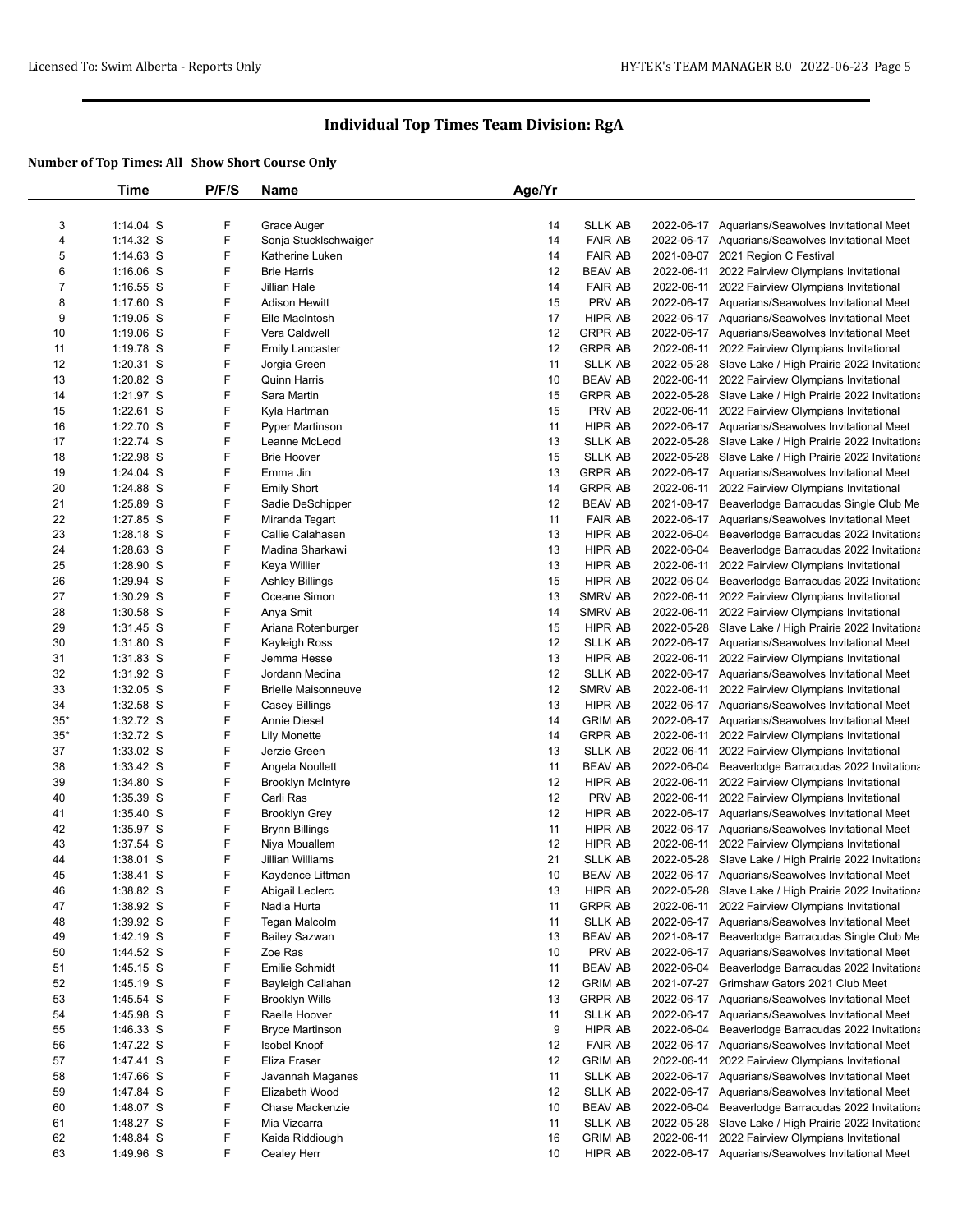|                | Time                   | P/F/S  | Name                               | Age/Yr   |                |                                                       |
|----------------|------------------------|--------|------------------------------------|----------|----------------|-------------------------------------------------------|
|                |                        |        |                                    |          |                |                                                       |
| 3              | 1:14.04 S              | F      | Grace Auger                        | 14       | <b>SLLK AB</b> | 2022-06-17 Aquarians/Seawolves Invitational Meet      |
| 4              | 1:14.32 S              | F      | Sonja Stucklschwaiger              | 14       | <b>FAIR AB</b> | 2022-06-17 Aquarians/Seawolves Invitational Meet      |
| 5              | $1:14.63$ S            | F      | Katherine Luken                    | 14       | <b>FAIR AB</b> | 2021-08-07 2021 Region C Festival                     |
| 6              | $1:16.06$ S            | F      | <b>Brie Harris</b>                 | 12       | <b>BEAV AB</b> | 2022-06-11 2022 Fairview Olympians Invitational       |
| $\overline{7}$ | $1:16.55$ S            | F      | Jillian Hale                       | 14       | <b>FAIR AB</b> | 2022-06-11 2022 Fairview Olympians Invitational       |
| 8              | 1:17.60 S              | F      | <b>Adison Hewitt</b>               | 15       | PRV AB         | 2022-06-17 Aquarians/Seawolves Invitational Meet      |
| 9              | 1:19.05 S              | F      | Elle MacIntosh                     | 17       | HIPR AB        | 2022-06-17 Aquarians/Seawolves Invitational Meet      |
| 10             | 1:19.06 S              | F      | Vera Caldwell                      | 12       | <b>GRPR AB</b> | 2022-06-17 Aquarians/Seawolves Invitational Meet      |
| 11             | 1:19.78 S              | F      | <b>Emily Lancaster</b>             | 12       | <b>GRPR AB</b> | 2022-06-11 2022 Fairview Olympians Invitational       |
| 12             | $1:20.31$ S            | F      | Jorgia Green                       | 11       | <b>SLLK AB</b> | 2022-05-28 Slave Lake / High Prairie 2022 Invitationa |
| 13             | 1:20.82 S              | F      | <b>Quinn Harris</b>                | 10       | <b>BEAV AB</b> | 2022-06-11 2022 Fairview Olympians Invitational       |
| 14             | 1:21.97 S              | F      | Sara Martin                        | 15       | <b>GRPR AB</b> | 2022-05-28 Slave Lake / High Prairie 2022 Invitationa |
| 15             | 1:22.61 S              | F      | Kyla Hartman                       | 15       | PRV AB         | 2022-06-11 2022 Fairview Olympians Invitational       |
| 16             | 1:22.70 S              | F      | <b>Pyper Martinson</b>             | 11       | <b>HIPR AB</b> | 2022-06-17 Aquarians/Seawolves Invitational Meet      |
| 17             | 1:22.74 S              | F      | Leanne McLeod                      | 13       | <b>SLLK AB</b> | 2022-05-28 Slave Lake / High Prairie 2022 Invitationa |
| 18             | 1:22.98 S              | F      | <b>Brie Hoover</b>                 | 15       | <b>SLLK AB</b> | 2022-05-28 Slave Lake / High Prairie 2022 Invitationa |
| 19             | 1:24.04 S              | F      | Emma Jin                           | 13       | <b>GRPR AB</b> | 2022-06-17 Aquarians/Seawolves Invitational Meet      |
| 20             | 1:24.88 S              | F      | <b>Emily Short</b>                 | 14       | <b>GRPR AB</b> | 2022-06-11 2022 Fairview Olympians Invitational       |
| 21             | 1:25.89 S              | F      | Sadie DeSchipper                   | 12       | <b>BEAV AB</b> | 2021-08-17 Beaverlodge Barracudas Single Club Me      |
| 22             | 1:27.85 S              | F      |                                    | 11       | <b>FAIR AB</b> | 2022-06-17 Aquarians/Seawolves Invitational Meet      |
|                | $1:28.18$ S            | F      | Miranda Tegart<br>Callie Calahasen |          |                |                                                       |
| 23             |                        |        |                                    | 13       | HIPR AB        | 2022-06-04 Beaverlodge Barracudas 2022 Invitationa    |
| 24             | 1:28.63 S              | F      | Madina Sharkawi                    | 13       | <b>HIPR AB</b> | 2022-06-04 Beaverlodge Barracudas 2022 Invitationa    |
| 25             | 1:28.90 S              | F      | Keya Willier                       | 13       | HIPR AB        | 2022-06-11 2022 Fairview Olympians Invitational       |
| 26             | 1:29.94 S              | F      | Ashley Billings                    | 15       | HIPR AB        | 2022-06-04 Beaverlodge Barracudas 2022 Invitationa    |
| 27             | 1:30.29 S              | F      | Oceane Simon                       | 13       | <b>SMRV AB</b> | 2022-06-11 2022 Fairview Olympians Invitational       |
| 28             | 1:30.58 S              | F      | Anya Smit                          | 14       | SMRV AB        | 2022-06-11 2022 Fairview Olympians Invitational       |
| 29             | 1:31.45 S              | F      | Ariana Rotenburger                 | 15       | <b>HIPR AB</b> | 2022-05-28 Slave Lake / High Prairie 2022 Invitationa |
| 30             | 1:31.80 S              | F      | Kayleigh Ross                      | 12       | <b>SLLK AB</b> | 2022-06-17 Aquarians/Seawolves Invitational Meet      |
| 31             | 1:31.83 S              | F      | Jemma Hesse                        | 13       | HIPR AB        | 2022-06-11 2022 Fairview Olympians Invitational       |
| 32             | 1:31.92 S              | F      | Jordann Medina                     | 12       | <b>SLLK AB</b> | 2022-06-17 Aquarians/Seawolves Invitational Meet      |
| 33             | 1:32.05 S              | F      | <b>Brielle Maisonneuve</b>         | 12       | SMRV AB        | 2022-06-11 2022 Fairview Olympians Invitational       |
| 34             | 1:32.58 S              | F      | Casey Billings                     | 13       | HIPR AB        | 2022-06-17 Aquarians/Seawolves Invitational Meet      |
| $35*$          | 1:32.72 S              | F      | Annie Diesel                       | 14       | <b>GRIM AB</b> | 2022-06-17 Aquarians/Seawolves Invitational Meet      |
| $35*$          | 1:32.72 S              | F      | <b>Lily Monette</b>                | 14       | <b>GRPR AB</b> | 2022-06-11 2022 Fairview Olympians Invitational       |
| 37             | 1:33.02 S              | F      | Jerzie Green                       | 13       | <b>SLLK AB</b> | 2022-06-11 2022 Fairview Olympians Invitational       |
| 38             | 1:33.42 S              | F      | Angela Noullett                    | 11       | <b>BEAV AB</b> | 2022-06-04 Beaverlodge Barracudas 2022 Invitationa    |
| 39             | 1:34.80 S              | F      | <b>Brooklyn McIntyre</b>           | 12       | HIPR AB        | 2022-06-11 2022 Fairview Olympians Invitational       |
| 40             | 1:35.39 S              | F      | Carli Ras                          | 12       | PRV AB         | 2022-06-11 2022 Fairview Olympians Invitational       |
| 41             | $1:35.40$ S            | F      | <b>Brooklyn Grey</b>               | 12       | HIPR AB        | 2022-06-17 Aquarians/Seawolves Invitational Meet      |
| 42             | 1:35.97 S              | F      | <b>Brynn Billings</b>              | 11       | HIPR AB        | 2022-06-17 Aquarians/Seawolves Invitational Meet      |
| 43             | 1:37.54 S              | F      | Niya Mouallem                      | 12       | HIPR AB        | 2022-06-11 2022 Fairview Olympians Invitational       |
| 44             | 1:38.01 S              | F      | Jillian Williams                   | 21       | <b>SLLK AB</b> | 2022-05-28 Slave Lake / High Prairie 2022 Invitationa |
| 45             | 1:38.41 S              | F      | Kaydence Littman                   | 10       | <b>BEAV AB</b> | 2022-06-17 Aquarians/Seawolves Invitational Meet      |
| 46             | 1:38.82 S              | F      | Abigail Leclerc                    | 13       | HIPR AB        | 2022-05-28 Slave Lake / High Prairie 2022 Invitationa |
| 47             | 1:38.92 S              | F      | Nadia Hurta                        | 11       | <b>GRPR AB</b> | 2022-06-11 2022 Fairview Olympians Invitational       |
| 48             | 1:39.92 S              | F      | Tegan Malcolm                      | 11       | <b>SLLK AB</b> | 2022-06-17 Aquarians/Seawolves Invitational Meet      |
| 49             | 1:42.19 S              | F      | <b>Bailey Sazwan</b>               | 13       | <b>BEAV AB</b> | 2021-08-17 Beaverlodge Barracudas Single Club Me      |
| 50             | 1:44.52 S              | F      | Zoe Ras                            | 10       | PRV AB         | 2022-06-17 Aquarians/Seawolves Invitational Meet      |
| 51             | 1:45.15 S              | F      | Emilie Schmidt                     | 11       | <b>BEAV AB</b> | 2022-06-04 Beaverlodge Barracudas 2022 Invitationa    |
| 52             | 1:45.19 S              | F      | Bayleigh Callahan                  | 12       | <b>GRIM AB</b> | 2021-07-27 Grimshaw Gators 2021 Club Meet             |
| 53             | 1:45.54 S              | F      | <b>Brooklyn Wills</b>              | 13       | <b>GRPR AB</b> | 2022-06-17 Aquarians/Seawolves Invitational Meet      |
| 54             | 1:45.98 S              | F      | Raelle Hoover                      | 11       | <b>SLLK AB</b> | 2022-06-17 Aquarians/Seawolves Invitational Meet      |
| 55             | 1:46.33 S              | F      | <b>Bryce Martinson</b>             | 9        | HIPR AB        | 2022-06-04 Beaverlodge Barracudas 2022 Invitationa    |
|                |                        | F      |                                    |          | <b>FAIR AB</b> | 2022-06-17 Aquarians/Seawolves Invitational Meet      |
| 56<br>57       | 1:47.22 S<br>1:47.41 S | F      | Isobel Knopf                       | 12<br>12 | <b>GRIM AB</b> | 2022-06-11 2022 Fairview Olympians Invitational       |
|                | 1:47.66 S              | F      | Eliza Fraser                       |          | <b>SLLK AB</b> |                                                       |
| 58             |                        |        | Javannah Maganes                   | 11       |                | 2022-06-17 Aquarians/Seawolves Invitational Meet      |
| 59             | 1:47.84 S              | F<br>F | Elizabeth Wood                     | 12       | SLLK AB        | 2022-06-17 Aquarians/Seawolves Invitational Meet      |
| 60             | 1:48.07 S              |        | Chase Mackenzie                    | 10       | <b>BEAV AB</b> | 2022-06-04 Beaverlodge Barracudas 2022 Invitationa    |
| 61             | 1:48.27 S              | F      | Mia Vizcarra                       | 11       | <b>SLLK AB</b> | 2022-05-28 Slave Lake / High Prairie 2022 Invitationa |
| 62             | 1:48.84 S              | F      | Kaida Riddiough                    | 16       | <b>GRIM AB</b> | 2022-06-11 2022 Fairview Olympians Invitational       |
| 63             | 1:49.96 S              | F      | Cealey Herr                        | 10       | HIPR AB        | 2022-06-17 Aquarians/Seawolves Invitational Meet      |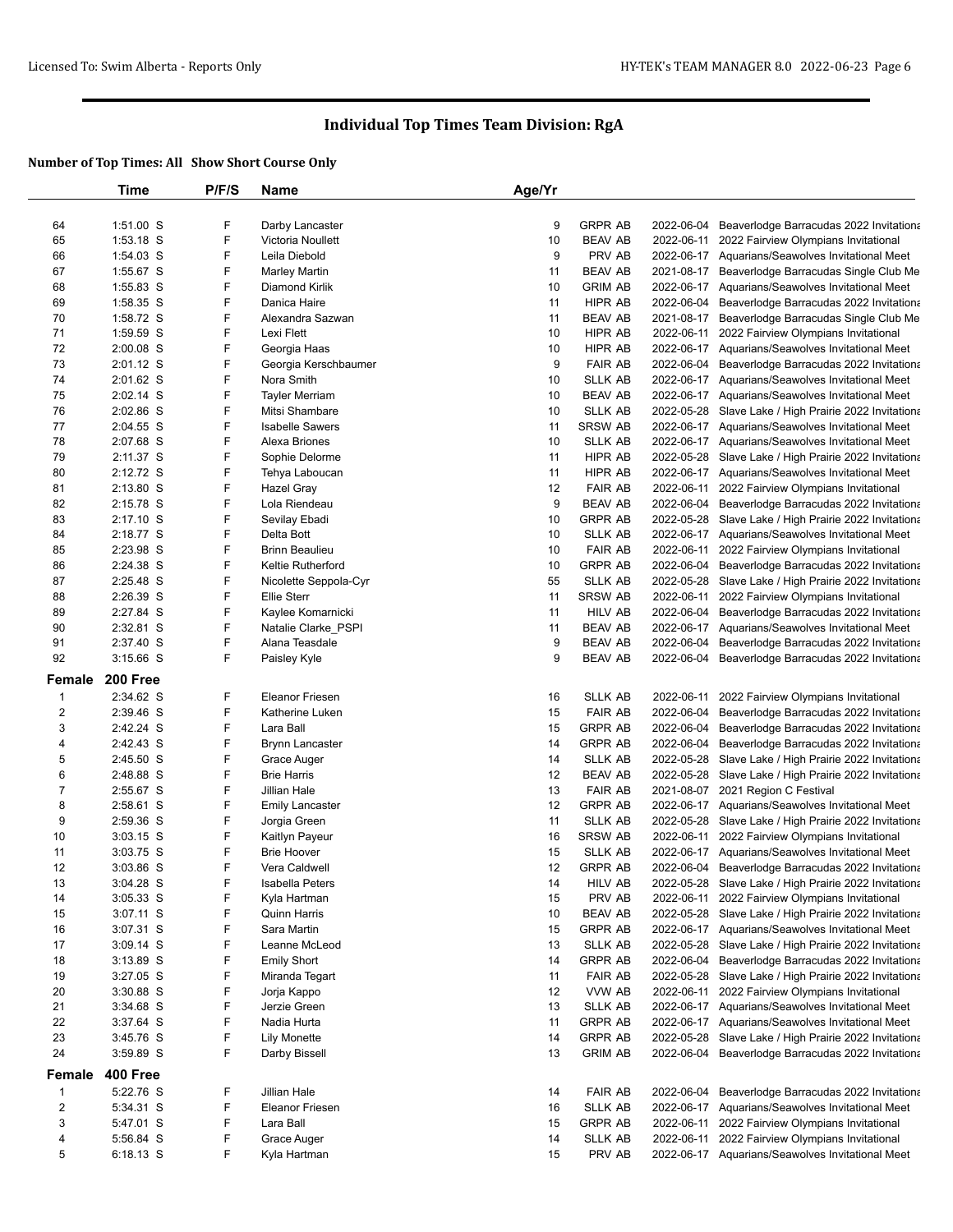|              | Time                       | P/F/S  | Name                                    | Age/Yr   |                           |                                                                                                             |
|--------------|----------------------------|--------|-----------------------------------------|----------|---------------------------|-------------------------------------------------------------------------------------------------------------|
|              |                            |        |                                         |          |                           |                                                                                                             |
| 64           | $1:51.00$ S                | F      | Darby Lancaster                         | 9        | <b>GRPR AB</b>            | 2022-06-04 Beaverlodge Barracudas 2022 Invitationa                                                          |
| 65           | $1:53.18$ S                | F      | Victoria Noullett                       | 10       | BEAV AB                   | 2022-06-11 2022 Fairview Olympians Invitational                                                             |
| 66           | 1:54.03 S                  | F      | Leila Diebold                           | 9        | PRV AB                    | 2022-06-17 Aquarians/Seawolves Invitational Meet                                                            |
| 67           | 1:55.67 S                  | F      | Marley Martin                           | 11       | <b>BEAV AB</b>            | 2021-08-17 Beaverlodge Barracudas Single Club Me                                                            |
| 68           | 1:55.83 S                  | F      | Diamond Kirlik                          | 10       | <b>GRIM AB</b>            | 2022-06-17 Aquarians/Seawolves Invitational Meet                                                            |
| 69           | 1:58.35 S                  | F      | Danica Haire                            | 11       | HIPR AB                   | 2022-06-04 Beaverlodge Barracudas 2022 Invitationa                                                          |
| 70           | 1:58.72 S                  | F      | Alexandra Sazwan                        | 11       | BEAV AB                   | 2021-08-17 Beaverlodge Barracudas Single Club Me                                                            |
| 71           | 1:59.59 S                  | F      | Lexi Flett                              | 10       | HIPR AB                   | 2022-06-11 2022 Fairview Olympians Invitational                                                             |
| 72           | $2:00.08$ S                | F      | Georgia Haas                            | 10       | HIPR AB                   | 2022-06-17 Aquarians/Seawolves Invitational Meet                                                            |
| 73           | 2:01.12 S                  | F      | Georgia Kerschbaumer                    | 9        | <b>FAIR AB</b>            | 2022-06-04 Beaverlodge Barracudas 2022 Invitationa                                                          |
| 74           | 2:01.62 S                  | F      | Nora Smith                              | 10       | SLLK AB                   | 2022-06-17 Aquarians/Seawolves Invitational Meet                                                            |
| 75           | $2:02.14$ S                | F      | <b>Tayler Merriam</b>                   | 10       | <b>BEAV AB</b>            | 2022-06-17 Aquarians/Seawolves Invitational Meet                                                            |
| 76           | 2:02.86 S                  | F      | Mitsi Shambare                          | 10       | <b>SLLK AB</b>            | 2022-05-28 Slave Lake / High Prairie 2022 Invitationa                                                       |
| 77           | 2:04.55 S                  | F      | <b>Isabelle Sawers</b>                  | 11       | <b>SRSW AB</b>            | 2022-06-17 Aquarians/Seawolves Invitational Meet                                                            |
| 78           | 2:07.68 S                  | F      | Alexa Briones                           | 10       | SLLK AB                   | 2022-06-17 Aquarians/Seawolves Invitational Meet                                                            |
| 79           | 2:11.37 S                  | F<br>F | Sophie Delorme                          | 11       | HIPR AB                   | 2022-05-28 Slave Lake / High Prairie 2022 Invitationa                                                       |
| 80           | 2:12.72 S                  |        | Tehya Laboucan                          | 11       | HIPR AB                   | 2022-06-17 Aquarians/Seawolves Invitational Meet                                                            |
| 81           | $2:13.80$ S                | F      | Hazel Gray                              | 12       | <b>FAIR AB</b>            | 2022-06-11 2022 Fairview Olympians Invitational                                                             |
| 82           | 2:15.78 S                  | F      | Lola Riendeau                           | 9        | <b>BEAV AB</b>            | 2022-06-04 Beaverlodge Barracudas 2022 Invitationa                                                          |
| 83           | $2:17.10$ S                | F      | Sevilay Ebadi                           | 10       | <b>GRPR AB</b>            | 2022-05-28 Slave Lake / High Prairie 2022 Invitationa                                                       |
| 84           | 2:18.77 S                  | F<br>F | Delta Bott                              | 10       | SLLK AB                   | 2022-06-17 Aquarians/Seawolves Invitational Meet                                                            |
| 85           | 2:23.98 S                  | F      | <b>Brinn Beaulieu</b>                   | 10       | <b>FAIR AB</b>            | 2022-06-11 2022 Fairview Olympians Invitational                                                             |
| 86           | 2:24.38 S<br>2:25.48 S     | F      | Keltie Rutherford                       | 10<br>55 | <b>GRPR AB</b>            | 2022-06-04 Beaverlodge Barracudas 2022 Invitationa                                                          |
| 87           | 2:26.39 S                  | F      | Nicolette Seppola-Cyr                   |          | SLLK AB<br><b>SRSW AB</b> | 2022-05-28 Slave Lake / High Prairie 2022 Invitationa                                                       |
| 88<br>89     | 2:27.84 S                  | F      | <b>Ellie Sterr</b><br>Kaylee Komarnicki | 11<br>11 | HILV AB                   | 2022-06-11 2022 Fairview Olympians Invitational<br>2022-06-04 Beaverlodge Barracudas 2022 Invitationa       |
| 90           | 2:32.81 S                  | F      | Natalie Clarke_PSPI                     | 11       | BEAV AB                   | 2022-06-17 Aquarians/Seawolves Invitational Meet                                                            |
| 91           | 2:37.40 S                  | F      | Alana Teasdale                          | 9        | BEAV AB                   | 2022-06-04 Beaverlodge Barracudas 2022 Invitationa                                                          |
| 92           | $3:15.66$ S                | F      | Paisley Kyle                            | 9        | <b>BEAV AB</b>            | 2022-06-04 Beaverlodge Barracudas 2022 Invitationa                                                          |
|              |                            |        |                                         |          |                           |                                                                                                             |
| Female       | 200 Free                   |        |                                         |          |                           |                                                                                                             |
| $\mathbf{1}$ | 2:34.62 S                  | F      | <b>Eleanor Friesen</b>                  | 16       | SLLK AB                   | 2022-06-11 2022 Fairview Olympians Invitational                                                             |
| 2            | 2:39.46 S                  | F      | Katherine Luken                         | 15       | <b>FAIR AB</b>            | 2022-06-04 Beaverlodge Barracudas 2022 Invitationa                                                          |
| 3            | 2:42.24 S                  | F      | Lara Ball                               | 15       | <b>GRPR AB</b>            | 2022-06-04 Beaverlodge Barracudas 2022 Invitationa                                                          |
| 4            | 2:42.43 S                  | F      | Brynn Lancaster                         | 14       | <b>GRPR AB</b>            | 2022-06-04 Beaverlodge Barracudas 2022 Invitationa                                                          |
| 5            | 2:45.50 S                  | F      | Grace Auger                             | 14       | SLLK AB                   | 2022-05-28 Slave Lake / High Prairie 2022 Invitationa                                                       |
| 6            | 2:48.88 S                  | F      | <b>Brie Harris</b>                      | 12       | <b>BEAV AB</b>            | 2022-05-28 Slave Lake / High Prairie 2022 Invitationa                                                       |
| 7            | 2:55.67 S                  | F      | Jillian Hale                            | 13       | <b>FAIR AB</b>            | 2021-08-07 2021 Region C Festival                                                                           |
| 8            | 2:58.61 S                  | F      | <b>Emily Lancaster</b>                  | 12       | <b>GRPR AB</b>            | 2022-06-17 Aquarians/Seawolves Invitational Meet                                                            |
| 9            | 2:59.36 S                  | F      | Jorgia Green                            | 11       | <b>SLLK AB</b>            | 2022-05-28 Slave Lake / High Prairie 2022 Invitationa                                                       |
| 10           | $3:03.15$ S                | F      | Kaitlyn Payeur                          | 16       | <b>SRSW AB</b>            | 2022-06-11 2022 Fairview Olympians Invitational                                                             |
| 11           | $3:03.75$ S                | F      | <b>Brie Hoover</b>                      | 15       | SLLK AB                   | 2022-06-17 Aquarians/Seawolves Invitational Meet                                                            |
| 12           | $3:03.86$ S                | F      | Vera Caldwell                           | 12       | <b>GRPR AB</b>            | 2022-06-04 Beaverlodge Barracudas 2022 Invitationa                                                          |
| 13           | 3:04.28 S                  | F      | Isabella Peters                         | 14       | HILV AB                   | 2022-05-28 Slave Lake / High Prairie 2022 Invitationa                                                       |
| 14           | $3:05.33$ S                | F<br>F | Kyla Hartman<br><b>Quinn Harris</b>     | 15       | PRV AB                    | 2022-06-11 2022 Fairview Olympians Invitational                                                             |
| 15           | 3:07.11 S                  | F      |                                         | 10       | BEAV AB                   | 2022-05-28 Slave Lake / High Prairie 2022 Invitationa                                                       |
| 16           | 3:07.31 S                  | F      | Sara Martin                             | 15       | <b>GRPR AB</b>            | 2022-06-17 Aquarians/Seawolves Invitational Meet                                                            |
| 17<br>18     | $3:09.14$ S<br>$3:13.89$ S | F      | Leanne McLeod<br><b>Emily Short</b>     | 13<br>14 | SLLK AB<br><b>GRPR AB</b> | 2022-05-28 Slave Lake / High Prairie 2022 Invitationa<br>2022-06-04 Beaverlodge Barracudas 2022 Invitationa |
| 19           | $3:27.05$ S                | F      | Miranda Tegart                          | 11       | <b>FAIR AB</b>            | 2022-05-28 Slave Lake / High Prairie 2022 Invitationa                                                       |
| 20           | 3:30.88 S                  | F      |                                         | 12       | VVW AB                    | 2022-06-11 2022 Fairview Olympians Invitational                                                             |
| 21           | 3:34.68 S                  | F      | Jorja Kappo<br>Jerzie Green             | 13       | SLLK AB                   | 2022-06-17 Aquarians/Seawolves Invitational Meet                                                            |
| 22           | $3:37.64$ S                | F      | Nadia Hurta                             | 11       | <b>GRPR AB</b>            | 2022-06-17 Aquarians/Seawolves Invitational Meet                                                            |
| 23           | 3:45.76 S                  | F      | <b>Lily Monette</b>                     | 14       | <b>GRPR AB</b>            | 2022-05-28 Slave Lake / High Prairie 2022 Invitationa                                                       |
| 24           | 3:59.89 S                  | F      | Darby Bissell                           | 13       | <b>GRIM AB</b>            | 2022-06-04 Beaverlodge Barracudas 2022 Invitationa                                                          |
|              |                            |        |                                         |          |                           |                                                                                                             |
| Female       | <b>400 Free</b>            |        |                                         |          |                           |                                                                                                             |
| 1            | 5:22.76 S                  | F      | Jillian Hale                            | 14       | <b>FAIR AB</b>            | 2022-06-04 Beaverlodge Barracudas 2022 Invitationa                                                          |
| 2            | 5:34.31 S                  | F      | <b>Eleanor Friesen</b>                  | 16       | SLLK AB                   | 2022-06-17 Aquarians/Seawolves Invitational Meet                                                            |
| 3            | 5:47.01 S                  | F      | Lara Ball                               | 15       | <b>GRPR AB</b>            | 2022-06-11 2022 Fairview Olympians Invitational                                                             |
| 4            | 5:56.84 S                  | F      | Grace Auger                             | 14       | SLLK AB                   | 2022-06-11 2022 Fairview Olympians Invitational                                                             |
| 5            | 6:18.13 S                  | F      | Kyla Hartman                            | 15       | PRV AB                    | 2022-06-17 Aquarians/Seawolves Invitational Meet                                                            |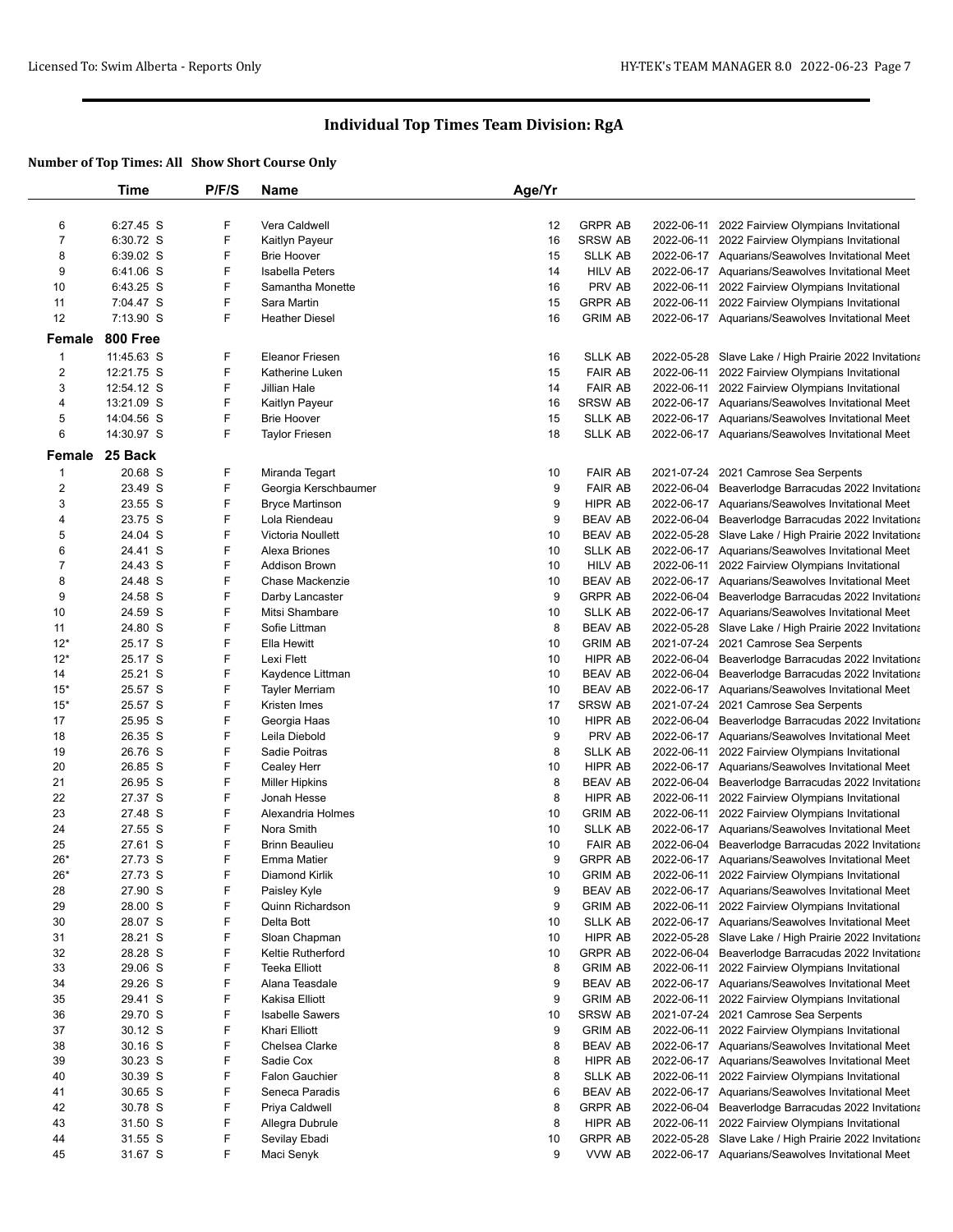|                  | Time               | P/F/S | Name                        | Age/Yr |                |            |                                                       |
|------------------|--------------------|-------|-----------------------------|--------|----------------|------------|-------------------------------------------------------|
|                  |                    |       |                             |        |                |            |                                                       |
| 6                | 6:27.45 S          | F     | Vera Caldwell               | 12     | <b>GRPR AB</b> |            | 2022-06-11 2022 Fairview Olympians Invitational       |
| $\overline{7}$   | 6:30.72 S          | F     | Kaitlyn Payeur              | 16     | <b>SRSW AB</b> |            | 2022-06-11 2022 Fairview Olympians Invitational       |
| 8                | 6:39.02 S          | F     | <b>Brie Hoover</b>          | 15     | <b>SLLK AB</b> |            | 2022-06-17 Aquarians/Seawolves Invitational Meet      |
| 9                | 6:41.06 S          | F     | <b>Isabella Peters</b>      | 14     | <b>HILV AB</b> |            | 2022-06-17 Aquarians/Seawolves Invitational Meet      |
| 10               | 6:43.25 S          | F     | Samantha Monette            | 16     | PRV AB         |            | 2022-06-11 2022 Fairview Olympians Invitational       |
| 11               | 7:04.47 S          | F     | Sara Martin                 | 15     | <b>GRPR AB</b> |            | 2022-06-11 2022 Fairview Olympians Invitational       |
| 12               | 7:13.90 S          | F     | <b>Heather Diesel</b>       | 16     | <b>GRIM AB</b> |            | 2022-06-17 Aquarians/Seawolves Invitational Meet      |
| Female           | 800 Free           |       |                             |        |                |            |                                                       |
|                  |                    |       |                             |        |                |            |                                                       |
| $\mathbf 1$      | 11:45.63 S         | F     | <b>Eleanor Friesen</b>      | 16     | <b>SLLK AB</b> |            | 2022-05-28 Slave Lake / High Prairie 2022 Invitationa |
| $\boldsymbol{2}$ | 12:21.75 S         | F     | Katherine Luken             | 15     | <b>FAIR AB</b> |            | 2022-06-11 2022 Fairview Olympians Invitational       |
| 3                | 12:54.12 S         | F     | Jillian Hale                | 14     | <b>FAIR AB</b> |            | 2022-06-11 2022 Fairview Olympians Invitational       |
| 4                | 13:21.09 S         | F     | Kaitlyn Payeur              | 16     | SRSW AB        |            | 2022-06-17 Aquarians/Seawolves Invitational Meet      |
| 5                | 14:04.56 S         | F     | <b>Brie Hoover</b>          | 15     | <b>SLLK AB</b> |            | 2022-06-17 Aquarians/Seawolves Invitational Meet      |
| 6                | 14:30.97 S         | F     | <b>Taylor Friesen</b>       | 18     | <b>SLLK AB</b> |            | 2022-06-17 Aquarians/Seawolves Invitational Meet      |
|                  | Female 25 Back     |       |                             |        |                |            |                                                       |
| $\mathbf 1$      | 20.68 S            | F     | Miranda Tegart              | 10     | <b>FAIR AB</b> |            | 2021-07-24 2021 Camrose Sea Serpents                  |
| $\overline{2}$   | 23.49 S            | F     | Georgia Kerschbaumer        | 9      | <b>FAIR AB</b> | 2022-06-04 | Beaverlodge Barracudas 2022 Invitationa               |
| 3                | 23.55 S            | F     | <b>Bryce Martinson</b>      | 9      | HIPR AB        |            | 2022-06-17 Aquarians/Seawolves Invitational Meet      |
| 4                | 23.75 S            | F     | Lola Riendeau               | 9      | <b>BEAV AB</b> | 2022-06-04 | Beaverlodge Barracudas 2022 Invitationa               |
| 5                | 24.04 S            | F     | Victoria Noullett           | 10     | <b>BEAV AB</b> |            | 2022-05-28 Slave Lake / High Prairie 2022 Invitationa |
| 6                | 24.41 S            | F     | Alexa Briones               | 10     | <b>SLLK AB</b> |            | 2022-06-17 Aquarians/Seawolves Invitational Meet      |
| $\overline{7}$   | 24.43 S            | F     | <b>Addison Brown</b>        | 10     | <b>HILV AB</b> |            | 2022-06-11 2022 Fairview Olympians Invitational       |
| 8                | 24.48 S            | F     | Chase Mackenzie             | 10     | <b>BEAV AB</b> |            | 2022-06-17 Aquarians/Seawolves Invitational Meet      |
| 9                | 24.58 S            | F     | Darby Lancaster             | 9      | <b>GRPR AB</b> |            | 2022-06-04 Beaverlodge Barracudas 2022 Invitationa    |
| 10               | 24.59 S            | F     | Mitsi Shambare              | 10     | <b>SLLK AB</b> |            | 2022-06-17 Aquarians/Seawolves Invitational Meet      |
| 11               | 24.80 S            | F     | Sofie Littman               | 8      | <b>BEAV AB</b> |            | 2022-05-28 Slave Lake / High Prairie 2022 Invitationa |
| $12*$            | 25.17 S            | F     | Ella Hewitt                 | 10     | <b>GRIM AB</b> |            | 2021-07-24 2021 Camrose Sea Serpents                  |
| $12*$            | 25.17 S            | F     | Lexi Flett                  | 10     | HIPR AB        | 2022-06-04 | Beaverlodge Barracudas 2022 Invitationa               |
| 14               | 25.21 S            | F     | Kaydence Littman            | 10     | <b>BEAV AB</b> |            | 2022-06-04 Beaverlodge Barracudas 2022 Invitationa    |
| $15*$            | 25.57 S            | F     | Tayler Merriam              | 10     | BEAV AB        |            | 2022-06-17 Aquarians/Seawolves Invitational Meet      |
| $15*$            | 25.57 S            | F     | Kristen Imes                | 17     | <b>SRSW AB</b> |            | 2021-07-24 2021 Camrose Sea Serpents                  |
| 17               | 25.95 S            | F     | Georgia Haas                | 10     | HIPR AB        |            | 2022-06-04 Beaverlodge Barracudas 2022 Invitationa    |
| 18               | 26.35 S            | F     | Leila Diebold               | 9      | PRV AB         |            | 2022-06-17 Aquarians/Seawolves Invitational Meet      |
| 19               | 26.76 S            | F     | Sadie Poitras               | 8      | <b>SLLK AB</b> |            | 2022-06-11 2022 Fairview Olympians Invitational       |
| 20               | 26.85 S            | F     | Cealey Herr                 | 10     | HIPR AB        |            | 2022-06-17 Aquarians/Seawolves Invitational Meet      |
| 21               | 26.95 S            | F     | <b>Miller Hipkins</b>       | 8      | <b>BEAV AB</b> |            | 2022-06-04 Beaverlodge Barracudas 2022 Invitationa    |
| 22               | 27.37 S            | F     | Jonah Hesse                 | 8      | HIPR AB        |            | 2022-06-11 2022 Fairview Olympians Invitational       |
| 23               | 27.48 S            | F     | Alexandria Holmes           | 10     | <b>GRIM AB</b> |            | 2022-06-11 2022 Fairview Olympians Invitational       |
| 24               | 27.55 S            | F     | Nora Smith                  | 10     | <b>SLLK AB</b> |            | 2022-06-17 Aquarians/Seawolves Invitational Meet      |
| 25               | 27.61 S            | F     | <b>Brinn Beaulieu</b>       | 10     | <b>FAIR AB</b> | 2022-06-04 | Beaverlodge Barracudas 2022 Invitationa               |
| $26*$            | 27.73 S            | F     | <b>Emma Matier</b>          | 9      | <b>GRPR AB</b> |            | 2022-06-17 Aquarians/Seawolves Invitational Meet      |
| $26*$            | 27.73 S            | F     | Diamond Kirlik              | 10     | <b>GRIM AB</b> |            | 2022-06-11 2022 Fairview Olympians Invitational       |
| 28               | 27.90 S            | F     | Paisley Kyle                | 9      | BEAV AB        |            | 2022-06-17 Aquarians/Seawolves Invitational Meet      |
| 29               | 28.00 S            | F     | Quinn Richardson            | 9      | <b>GRIM AB</b> |            | 2022-06-11 2022 Fairview Olympians Invitational       |
| 30               | 28.07 S            | F     | Delta Bott                  | 10     | <b>SLLK AB</b> |            | 2022-06-17 Aquarians/Seawolves Invitational Meet      |
| 31               | 28.21 S            | F     | Sloan Chapman               | 10     | HIPR AB        | 2022-05-28 | Slave Lake / High Prairie 2022 Invitationa            |
| 32               | 28.28 S            | F     | Keltie Rutherford           | 10     | <b>GRPR AB</b> | 2022-06-04 | Beaverlodge Barracudas 2022 Invitationa               |
| 33               | 29.06 S            | F     | <b>Teeka Elliott</b>        | 8      | <b>GRIM AB</b> |            | 2022-06-11 2022 Fairview Olympians Invitational       |
| 34               | 29.26 S            | F     | Alana Teasdale              | 9      | BEAV AB        |            | 2022-06-17 Aquarians/Seawolves Invitational Meet      |
| 35               | 29.41 S            | F     | Kakisa Elliott              | 9      | <b>GRIM AB</b> |            | 2022-06-11 2022 Fairview Olympians Invitational       |
| 36               | 29.70 S            | F     | <b>Isabelle Sawers</b>      | 10     | <b>SRSW AB</b> |            | 2021-07-24 2021 Camrose Sea Serpents                  |
| 37               | 30.12 S            | F     | Khari Elliott               | 9      | <b>GRIM AB</b> |            | 2022-06-11 2022 Fairview Olympians Invitational       |
| 38               | 30.16 S            | F     | Chelsea Clarke              | 8      | <b>BEAV AB</b> |            | 2022-06-17 Aquarians/Seawolves Invitational Meet      |
| 39               | 30.23 S            | F     | Sadie Cox                   | 8      | HIPR AB        |            | 2022-06-17 Aquarians/Seawolves Invitational Meet      |
| 40               | 30.39 S            | F     | <b>Falon Gauchier</b>       | 8      | <b>SLLK AB</b> | 2022-06-11 | 2022 Fairview Olympians Invitational                  |
| 41               | 30.65 S            | F     | Seneca Paradis              | 6      | BEAV AB        |            | 2022-06-17 Aquarians/Seawolves Invitational Meet      |
| 42               | 30.78 S            | F     | Priya Caldwell              | 8      | <b>GRPR AB</b> |            | 2022-06-04 Beaverlodge Barracudas 2022 Invitationa    |
| 43               | 31.50 S            | F     | Allegra Dubrule             | 8      | HIPR AB        |            | 2022-06-11 2022 Fairview Olympians Invitational       |
|                  |                    | F     |                             | 10     | <b>GRPR AB</b> |            | 2022-05-28 Slave Lake / High Prairie 2022 Invitationa |
| 44<br>45         | 31.55 S<br>31.67 S | F     | Sevilay Ebadi<br>Maci Senyk | 9      | VVW AB         |            | 2022-06-17 Aquarians/Seawolves Invitational Meet      |
|                  |                    |       |                             |        |                |            |                                                       |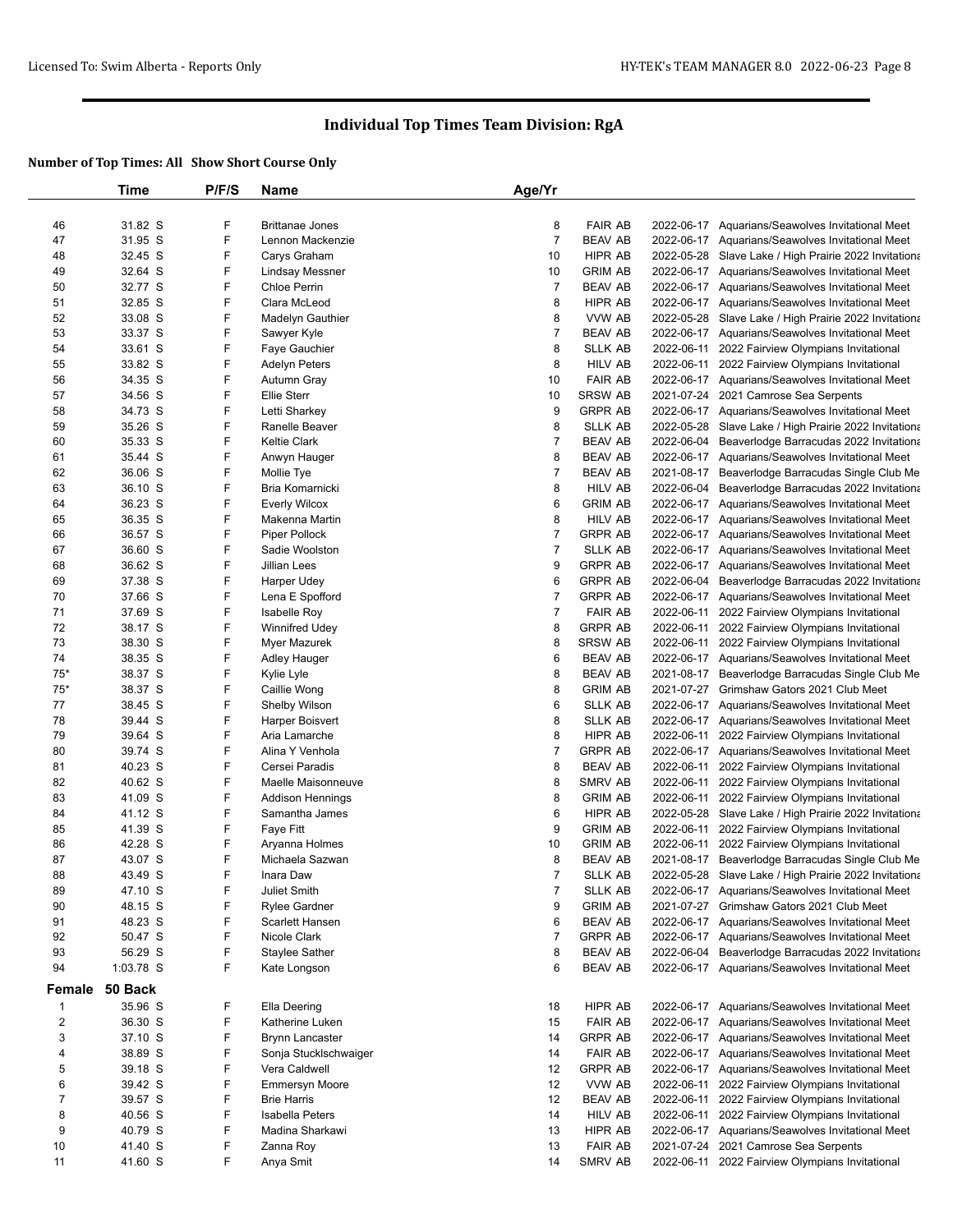|                         | Time               | P/F/S  | <b>Name</b>                          | Age/Yr              |                                  |            |                                                                                                     |
|-------------------------|--------------------|--------|--------------------------------------|---------------------|----------------------------------|------------|-----------------------------------------------------------------------------------------------------|
|                         |                    |        |                                      |                     |                                  |            |                                                                                                     |
| 46                      | 31.82 S            | F      | <b>Brittanae Jones</b>               | 8                   | <b>FAIR AB</b>                   |            | 2022-06-17 Aquarians/Seawolves Invitational Meet                                                    |
| 47                      | 31.95 S            | F      | Lennon Mackenzie                     | $\overline{7}$      | <b>BEAV AB</b>                   |            | 2022-06-17 Aquarians/Seawolves Invitational Meet                                                    |
| 48                      | 32.45 S            | F      | Carys Graham                         | 10                  | HIPR AB                          |            | 2022-05-28 Slave Lake / High Prairie 2022 Invitationa                                               |
| 49                      | 32.64 S            | F      | Lindsay Messner                      | 10                  | <b>GRIM AB</b>                   |            | 2022-06-17 Aquarians/Seawolves Invitational Meet                                                    |
| 50                      | 32.77 S            | F      | Chloe Perrin                         | $\overline{7}$      | <b>BEAV AB</b>                   |            | 2022-06-17 Aquarians/Seawolves Invitational Meet                                                    |
| 51                      | 32.85 S            | F      | Clara McLeod                         | 8                   | HIPR AB                          |            | 2022-06-17 Aquarians/Seawolves Invitational Meet                                                    |
| 52                      | 33.08 S            | F      | Madelyn Gauthier                     | 8                   | VVW AB                           |            | 2022-05-28 Slave Lake / High Prairie 2022 Invitationa                                               |
| 53                      | 33.37 S            | F<br>F | Sawyer Kyle                          | 7                   | <b>BEAV AB</b>                   |            | 2022-06-17 Aquarians/Seawolves Invitational Meet                                                    |
| 54                      | 33.61 S            | F      | Faye Gauchier                        | 8                   | <b>SLLK AB</b>                   |            | 2022-06-11 2022 Fairview Olympians Invitational                                                     |
| 55<br>56                | 33.82 S<br>34.35 S | F      | <b>Adelyn Peters</b><br>Autumn Gray  | 8<br>10             | HILV AB<br><b>FAIR AB</b>        |            | 2022-06-11 2022 Fairview Olympians Invitational<br>2022-06-17 Aquarians/Seawolves Invitational Meet |
| 57                      | 34.56 S            | F      | <b>Ellie Sterr</b>                   | 10                  | <b>SRSW AB</b>                   |            | 2021-07-24 2021 Camrose Sea Serpents                                                                |
| 58                      | 34.73 S            | F      | Letti Sharkey                        | 9                   | <b>GRPR AB</b>                   |            | 2022-06-17 Aquarians/Seawolves Invitational Meet                                                    |
| 59                      | 35.26 S            | F      | Ranelle Beaver                       | 8                   | <b>SLLK AB</b>                   |            | 2022-05-28 Slave Lake / High Prairie 2022 Invitationa                                               |
| 60                      | 35.33 S            | F      | <b>Keltie Clark</b>                  | $\overline{7}$      | <b>BEAV AB</b>                   |            | 2022-06-04 Beaverlodge Barracudas 2022 Invitationa                                                  |
| 61                      | 35.44 S            | F      | Anwyn Hauger                         | 8                   | <b>BEAV AB</b>                   |            | 2022-06-17 Aquarians/Seawolves Invitational Meet                                                    |
| 62                      | 36.06 S            | F      | Mollie Tye                           | $\overline{7}$      | <b>BEAV AB</b>                   |            | 2021-08-17 Beaverlodge Barracudas Single Club Me                                                    |
| 63                      | 36.10 S            | F      | Bria Komarnicki                      | 8                   | HILV AB                          |            | 2022-06-04 Beaverlodge Barracudas 2022 Invitationa                                                  |
| 64                      | 36.23 S            | F      | <b>Everly Wilcox</b>                 | 6                   | <b>GRIM AB</b>                   |            | 2022-06-17 Aquarians/Seawolves Invitational Meet                                                    |
| 65                      | 36.35 S            | F      | Makenna Martin                       | 8                   | <b>HILV AB</b>                   |            | 2022-06-17 Aquarians/Seawolves Invitational Meet                                                    |
| 66                      | 36.57 S            | F      | Piper Pollock                        | 7                   | <b>GRPR AB</b>                   |            | 2022-06-17 Aquarians/Seawolves Invitational Meet                                                    |
| 67                      | 36.60 S            | F      | Sadie Woolston                       | 7                   | <b>SLLK AB</b>                   |            | 2022-06-17 Aquarians/Seawolves Invitational Meet                                                    |
| 68                      | 36.62 S            | F      | Jillian Lees                         | 9                   | <b>GRPR AB</b>                   |            | 2022-06-17 Aquarians/Seawolves Invitational Meet                                                    |
| 69                      | 37.38 S            | F      | Harper Udey                          | 6                   | <b>GRPR AB</b>                   |            | 2022-06-04 Beaverlodge Barracudas 2022 Invitationa                                                  |
| 70                      | 37.66 S            | F      | Lena E Spofford                      | 7                   | <b>GRPR AB</b>                   |            | 2022-06-17 Aquarians/Seawolves Invitational Meet                                                    |
| 71                      | 37.69 S            | F      | Isabelle Roy                         | 7                   | <b>FAIR AB</b>                   |            | 2022-06-11 2022 Fairview Olympians Invitational                                                     |
| 72                      | 38.17 S            | F      | <b>Winnifred Udey</b>                | 8                   | <b>GRPR AB</b>                   |            | 2022-06-11 2022 Fairview Olympians Invitational                                                     |
| 73                      | 38.30 S            | F      | Myer Mazurek                         | 8                   | <b>SRSW AB</b>                   |            | 2022-06-11 2022 Fairview Olympians Invitational                                                     |
| 74                      | 38.35 S            | F      | <b>Adley Hauger</b>                  | 6                   | <b>BEAV AB</b>                   |            | 2022-06-17 Aquarians/Seawolves Invitational Meet                                                    |
| $75*$                   | 38.37 S            | F      | Kylie Lyle                           | 8                   | <b>BEAV AB</b>                   |            | 2021-08-17 Beaverlodge Barracudas Single Club Me                                                    |
| $75*$                   | 38.37 S            | F      | Caillie Wong                         | 8                   | <b>GRIM AB</b>                   |            | 2021-07-27 Grimshaw Gators 2021 Club Meet                                                           |
| 77                      | 38.45 S            | F      | Shelby Wilson                        | 6                   | <b>SLLK AB</b>                   |            | 2022-06-17 Aquarians/Seawolves Invitational Meet                                                    |
| 78                      | 39.44 S            | F      | <b>Harper Boisvert</b>               | 8                   | SLLK AB                          |            | 2022-06-17 Aquarians/Seawolves Invitational Meet                                                    |
| 79                      | 39.64 S            | F      | Aria Lamarche                        | 8                   | HIPR AB                          | 2022-06-11 | 2022 Fairview Olympians Invitational                                                                |
| 80                      | 39.74 S            | F      | Alina Y Venhola                      | $\overline{7}$      | <b>GRPR AB</b>                   |            | 2022-06-17 Aquarians/Seawolves Invitational Meet                                                    |
| 81                      | 40.23 S            | F      | Cersei Paradis                       | 8                   | BEAV AB                          |            | 2022-06-11 2022 Fairview Olympians Invitational                                                     |
| 82                      | 40.62 S            | F      | Maelle Maisonneuve                   | 8                   | SMRV AB                          |            | 2022-06-11 2022 Fairview Olympians Invitational                                                     |
| 83                      | 41.09 S            | F      | <b>Addison Hennings</b>              | 8                   | <b>GRIM AB</b>                   |            | 2022-06-11 2022 Fairview Olympians Invitational                                                     |
| 84                      | 41.12 S            | F      | Samantha James                       | 6                   | HIPR AB                          |            | 2022-05-28 Slave Lake / High Prairie 2022 Invitationa                                               |
| 85                      | 41.39 S            | F      | Faye Fitt                            | 9                   | <b>GRIM AB</b>                   | 2022-06-11 | 2022 Fairview Olympians Invitational                                                                |
| 86                      | 42.28 S            | F      | Aryanna Holmes                       | 10                  | <b>GRIM AB</b>                   |            | 2022-06-11 2022 Fairview Olympians Invitational                                                     |
| 87                      | 43.07 S            | F<br>F | Michaela Sazwan                      | 8                   | <b>BEAV AB</b>                   |            | 2021-08-17 Beaverlodge Barracudas Single Club Me                                                    |
| 88                      | 43.49 S            |        | Inara Daw                            | $\overline{7}$      | <b>SLLK AB</b>                   |            | 2022-05-28 Slave Lake / High Prairie 2022 Invitationa                                               |
| 89<br>90                | 47.10 S<br>48.15 S | F<br>F | Juliet Smith<br><b>Rylee Gardner</b> | $\overline{7}$<br>9 | <b>SLLK AB</b><br><b>GRIM AB</b> |            | 2022-06-17 Aquarians/Seawolves Invitational Meet<br>2021-07-27 Grimshaw Gators 2021 Club Meet       |
| 91                      | 48.23 S            | F      | Scarlett Hansen                      | 6                   | <b>BEAV AB</b>                   |            | 2022-06-17 Aquarians/Seawolves Invitational Meet                                                    |
| 92                      | 50.47 S            | F      | Nicole Clark                         | 7                   | <b>GRPR AB</b>                   |            | 2022-06-17 Aquarians/Seawolves Invitational Meet                                                    |
| 93                      | 56.29 S            | F      | Staylee Sather                       | 8                   | BEAV AB                          |            | 2022-06-04 Beaverlodge Barracudas 2022 Invitationa                                                  |
| 94                      | 1:03.78 S          | F      | Kate Longson                         | 6                   | <b>BEAV AB</b>                   |            | 2022-06-17 Aquarians/Seawolves Invitational Meet                                                    |
|                         |                    |        |                                      |                     |                                  |            |                                                                                                     |
| Female                  | 50 Back            |        |                                      |                     |                                  |            |                                                                                                     |
| $\mathbf{1}$            | 35.96 S            | F      | Ella Deering                         | 18                  | HIPR AB                          |            | 2022-06-17 Aquarians/Seawolves Invitational Meet                                                    |
| $\overline{\mathbf{c}}$ | 36.30 S            | F      | Katherine Luken                      | 15                  | <b>FAIR AB</b>                   |            | 2022-06-17 Aquarians/Seawolves Invitational Meet                                                    |
| 3                       | 37.10 S            | F      | <b>Brynn Lancaster</b>               | 14                  | <b>GRPR AB</b>                   |            | 2022-06-17 Aquarians/Seawolves Invitational Meet                                                    |
| 4                       | 38.89 S            | F      | Sonja Stucklschwaiger                | 14                  | <b>FAIR AB</b>                   |            | 2022-06-17 Aquarians/Seawolves Invitational Meet                                                    |
| 5                       | 39.18 S            | F      | Vera Caldwell                        | 12                  | <b>GRPR AB</b>                   |            | 2022-06-17 Aquarians/Seawolves Invitational Meet                                                    |
| 6                       | 39.42 S            | F<br>F | <b>Emmersyn Moore</b>                | 12                  | VVW AB                           |            | 2022-06-11 2022 Fairview Olympians Invitational                                                     |
| $\boldsymbol{7}$        | 39.57 S            | F      | <b>Brie Harris</b>                   | 12                  | <b>BEAV AB</b>                   |            | 2022-06-11 2022 Fairview Olympians Invitational                                                     |
| 8                       | 40.56 S            | F      | Isabella Peters<br>Madina Sharkawi   | 14                  | <b>HILV AB</b>                   |            | 2022-06-11 2022 Fairview Olympians Invitational                                                     |
| 9<br>10                 | 40.79 S<br>41.40 S | F      |                                      | 13                  | HIPR AB<br><b>FAIR AB</b>        |            | 2022-06-17 Aquarians/Seawolves Invitational Meet<br>2021-07-24 2021 Camrose Sea Serpents            |
| 11                      | 41.60 S            | F      | Zanna Roy<br>Anya Smit               | 13<br>14            | SMRV AB                          |            | 2022-06-11 2022 Fairview Olympians Invitational                                                     |
|                         |                    |        |                                      |                     |                                  |            |                                                                                                     |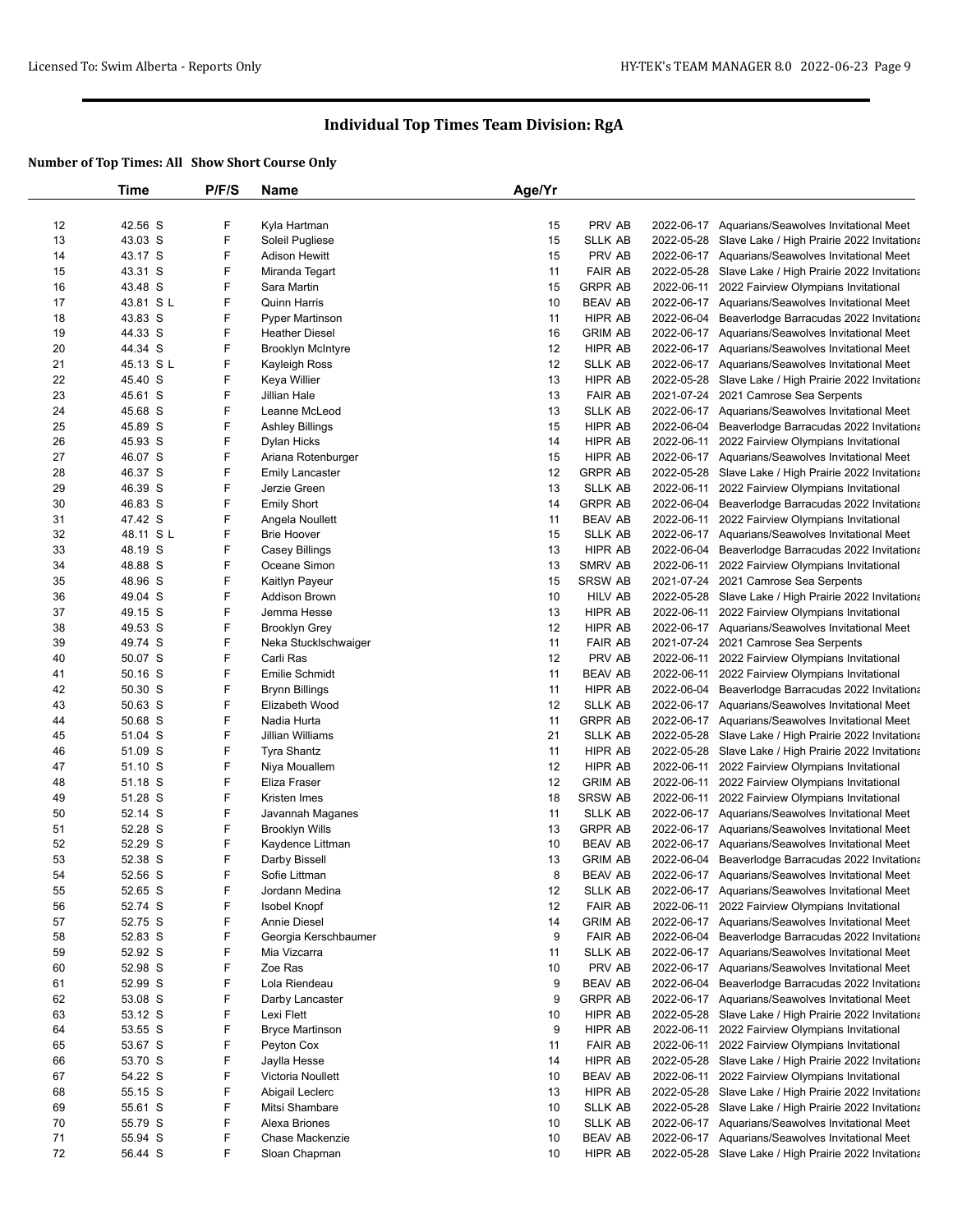|    | Time      | P/F/S  | <b>Name</b>                   | Age/Yr |                |            |                                                                                                    |
|----|-----------|--------|-------------------------------|--------|----------------|------------|----------------------------------------------------------------------------------------------------|
|    |           |        |                               |        |                |            |                                                                                                    |
| 12 | 42.56 S   | F      | Kyla Hartman                  | 15     | PRV AB         |            | 2022-06-17 Aquarians/Seawolves Invitational Meet                                                   |
| 13 | 43.03 S   | F      | Soleil Pugliese               | 15     | <b>SLLK AB</b> |            | 2022-05-28 Slave Lake / High Prairie 2022 Invitationa                                              |
| 14 | 43.17 S   | F      | <b>Adison Hewitt</b>          | 15     | PRV AB         |            | 2022-06-17 Aquarians/Seawolves Invitational Meet                                                   |
| 15 | 43.31 S   | F      | Miranda Tegart                | 11     | <b>FAIR AB</b> |            | 2022-05-28 Slave Lake / High Prairie 2022 Invitationa                                              |
| 16 | 43.48 S   | F      | Sara Martin                   | 15     | <b>GRPR AB</b> |            | 2022-06-11 2022 Fairview Olympians Invitational                                                    |
| 17 | 43.81 SL  | F      | <b>Quinn Harris</b>           | 10     | <b>BEAV AB</b> |            | 2022-06-17 Aquarians/Seawolves Invitational Meet                                                   |
| 18 | 43.83 S   | F      | <b>Pyper Martinson</b>        | 11     | HIPR AB        | 2022-06-04 | Beaverlodge Barracudas 2022 Invitationa                                                            |
| 19 | 44.33 S   | F      | <b>Heather Diesel</b>         | 16     | <b>GRIM AB</b> |            | 2022-06-17 Aquarians/Seawolves Invitational Meet                                                   |
| 20 | 44.34 S   | F      | <b>Brooklyn McIntyre</b>      | 12     | HIPR AB        |            | 2022-06-17 Aquarians/Seawolves Invitational Meet                                                   |
| 21 | 45.13 SL  | F      | Kayleigh Ross                 | 12     | <b>SLLK AB</b> |            | 2022-06-17 Aquarians/Seawolves Invitational Meet                                                   |
| 22 | 45.40 S   | F      | Keya Willier                  | 13     | HIPR AB        |            | 2022-05-28 Slave Lake / High Prairie 2022 Invitationa                                              |
| 23 | 45.61 S   | F      | Jillian Hale                  | 13     | <b>FAIR AB</b> |            | 2021-07-24 2021 Camrose Sea Serpents                                                               |
| 24 | 45.68 S   | F      | Leanne McLeod                 | 13     | <b>SLLK AB</b> |            | 2022-06-17 Aquarians/Seawolves Invitational Meet                                                   |
| 25 | 45.89 S   | F      | Ashley Billings               | 15     | HIPR AB        |            | 2022-06-04 Beaverlodge Barracudas 2022 Invitationa                                                 |
| 26 | 45.93 S   | F      | Dylan Hicks                   | 14     | HIPR AB        |            | 2022-06-11 2022 Fairview Olympians Invitational                                                    |
| 27 | 46.07 S   | F      | Ariana Rotenburger            | 15     | HIPR AB        |            | 2022-06-17 Aquarians/Seawolves Invitational Meet                                                   |
| 28 | 46.37 S   | F      | <b>Emily Lancaster</b>        | 12     | <b>GRPR AB</b> |            | 2022-05-28 Slave Lake / High Prairie 2022 Invitationa                                              |
| 29 | 46.39 S   | F      | Jerzie Green                  | 13     | <b>SLLK AB</b> |            | 2022-06-11 2022 Fairview Olympians Invitational                                                    |
| 30 | 46.83 S   | F      | <b>Emily Short</b>            | 14     | <b>GRPR AB</b> | 2022-06-04 | Beaverlodge Barracudas 2022 Invitationa                                                            |
| 31 | 47.42 S   | F      | Angela Noullett               | 11     | <b>BEAV AB</b> |            | 2022-06-11 2022 Fairview Olympians Invitational                                                    |
| 32 | 48.11 S L | F      | <b>Brie Hoover</b>            | 15     | <b>SLLK AB</b> |            | 2022-06-17 Aquarians/Seawolves Invitational Meet                                                   |
| 33 | 48.19 S   | F      | Casey Billings                | 13     | HIPR AB        |            | 2022-06-04 Beaverlodge Barracudas 2022 Invitationa                                                 |
| 34 | 48.88 S   | F      | Oceane Simon                  | 13     | SMRV AB        |            | 2022-06-11 2022 Fairview Olympians Invitational                                                    |
| 35 | 48.96 S   | F      | Kaitlyn Payeur                | 15     | SRSW AB        |            | 2021-07-24 2021 Camrose Sea Serpents                                                               |
| 36 | 49.04 S   | F      | <b>Addison Brown</b>          | 10     | HILV AB        |            | 2022-05-28 Slave Lake / High Prairie 2022 Invitationa                                              |
| 37 | 49.15 S   | F      | Jemma Hesse                   | 13     | HIPR AB        |            | 2022-06-11 2022 Fairview Olympians Invitational                                                    |
| 38 | 49.53 S   | F      | <b>Brooklyn Grey</b>          | 12     | HIPR AB        |            | 2022-06-17 Aquarians/Seawolves Invitational Meet                                                   |
| 39 | 49.74 S   | F      | Neka Stucklschwaiger          | 11     | <b>FAIR AB</b> |            | 2021-07-24 2021 Camrose Sea Serpents                                                               |
| 40 | 50.07 S   | F      | Carli Ras                     | 12     | PRV AB         | 2022-06-11 | 2022 Fairview Olympians Invitational                                                               |
| 41 | 50.16 S   | F      | Emilie Schmidt                | 11     | <b>BEAV AB</b> |            | 2022-06-11 2022 Fairview Olympians Invitational                                                    |
| 42 | 50.30 S   | F      | <b>Brynn Billings</b>         | 11     | HIPR AB        |            | 2022-06-04 Beaverlodge Barracudas 2022 Invitationa                                                 |
| 43 | 50.63 S   | F      | Elizabeth Wood                | 12     | <b>SLLK AB</b> |            | 2022-06-17 Aquarians/Seawolves Invitational Meet                                                   |
| 44 | 50.68 S   | F      | Nadia Hurta                   | 11     | <b>GRPR AB</b> |            | 2022-06-17 Aquarians/Seawolves Invitational Meet                                                   |
| 45 | 51.04 S   | F      | Jillian Williams              | 21     | <b>SLLK AB</b> |            |                                                                                                    |
| 46 | 51.09 S   | F      | <b>Tyra Shantz</b>            | 11     | HIPR AB        |            | 2022-05-28 Slave Lake / High Prairie 2022 Invitationa                                              |
| 47 | 51.10 S   | F      |                               | 12     | HIPR AB        |            | 2022-05-28 Slave Lake / High Prairie 2022 Invitationa                                              |
| 48 | 51.18 S   | F      | Niya Mouallem<br>Eliza Fraser | 12     | <b>GRIM AB</b> |            | 2022-06-11 2022 Fairview Olympians Invitational                                                    |
|    |           | F      | Kristen Imes                  | 18     |                |            | 2022-06-11 2022 Fairview Olympians Invitational<br>2022-06-11 2022 Fairview Olympians Invitational |
| 49 | 51.28 S   | F      |                               | 11     | SRSW AB        |            |                                                                                                    |
| 50 | 52.14 S   | F      | Javannah Maganes              |        | <b>SLLK AB</b> |            | 2022-06-17 Aquarians/Seawolves Invitational Meet                                                   |
| 51 | 52.28 S   |        | <b>Brooklyn Wills</b>         | 13     | <b>GRPR AB</b> |            | 2022-06-17 Aquarians/Seawolves Invitational Meet                                                   |
| 52 | 52.29 S   | F      | Kaydence Littman              | 10     | <b>BEAV AB</b> |            | 2022-06-17 Aquarians/Seawolves Invitational Meet                                                   |
| 53 | 52.38 S   | F<br>F | Darby Bissell                 | 13     | <b>GRIM AB</b> |            | 2022-06-04 Beaverlodge Barracudas 2022 Invitationa                                                 |
| 54 | 52.56 S   |        | Sofie Littman                 | 8      | <b>BEAV AB</b> |            | 2022-06-17 Aquarians/Seawolves Invitational Meet                                                   |
| 55 | 52.65 S   | F      | Jordann Medina                | 12     | <b>SLLK AB</b> |            | 2022-06-17 Aquarians/Seawolves Invitational Meet                                                   |
| 56 | 52.74 S   | F      | Isobel Knopf                  | 12     | <b>FAIR AB</b> |            | 2022-06-11 2022 Fairview Olympians Invitational                                                    |
| 57 | 52.75 S   | F      | <b>Annie Diesel</b>           | 14     | <b>GRIM AB</b> |            | 2022-06-17 Aquarians/Seawolves Invitational Meet                                                   |
| 58 | 52.83 S   | F      | Georgia Kerschbaumer          | 9      | <b>FAIR AB</b> |            | 2022-06-04 Beaverlodge Barracudas 2022 Invitationa                                                 |
| 59 | 52.92 S   | F      | Mia Vizcarra                  | 11     | SLLK AB        |            | 2022-06-17 Aquarians/Seawolves Invitational Meet                                                   |
| 60 | 52.98 S   | F      | Zoe Ras                       | 10     | PRV AB         |            | 2022-06-17 Aquarians/Seawolves Invitational Meet                                                   |
| 61 | 52.99 S   | F      | Lola Riendeau                 | 9      | <b>BEAV AB</b> |            | 2022-06-04 Beaverlodge Barracudas 2022 Invitationa                                                 |
| 62 | 53.08 S   | F      | Darby Lancaster               | 9      | <b>GRPR AB</b> |            | 2022-06-17 Aquarians/Seawolves Invitational Meet                                                   |
| 63 | 53.12 S   | F      | Lexi Flett                    | 10     | HIPR AB        |            | 2022-05-28 Slave Lake / High Prairie 2022 Invitationa                                              |
| 64 | 53.55 S   | F      | <b>Bryce Martinson</b>        | 9      | HIPR AB        |            | 2022-06-11 2022 Fairview Olympians Invitational                                                    |
| 65 | 53.67 S   | F      | Peyton Cox                    | 11     | <b>FAIR AB</b> |            | 2022-06-11 2022 Fairview Olympians Invitational                                                    |
| 66 | 53.70 S   | F      | Jaylla Hesse                  | 14     | HIPR AB        |            | 2022-05-28 Slave Lake / High Prairie 2022 Invitationa                                              |
| 67 | 54.22 S   | F      | Victoria Noullett             | 10     | <b>BEAV AB</b> |            | 2022-06-11 2022 Fairview Olympians Invitational                                                    |
| 68 | 55.15 S   | F      | Abigail Leclerc               | 13     | HIPR AB        |            | 2022-05-28 Slave Lake / High Prairie 2022 Invitationa                                              |
| 69 | 55.61 S   | F      | Mitsi Shambare                | 10     | <b>SLLK AB</b> |            | 2022-05-28 Slave Lake / High Prairie 2022 Invitationa                                              |
| 70 | 55.79 S   | F      | Alexa Briones                 | 10     | SLLK AB        |            | 2022-06-17 Aquarians/Seawolves Invitational Meet                                                   |
| 71 | 55.94 S   | F      | Chase Mackenzie               | 10     | BEAV AB        |            | 2022-06-17 Aquarians/Seawolves Invitational Meet                                                   |
| 72 | 56.44 S   | F      | Sloan Chapman                 | 10     | HIPR AB        |            | 2022-05-28 Slave Lake / High Prairie 2022 Invitationa                                              |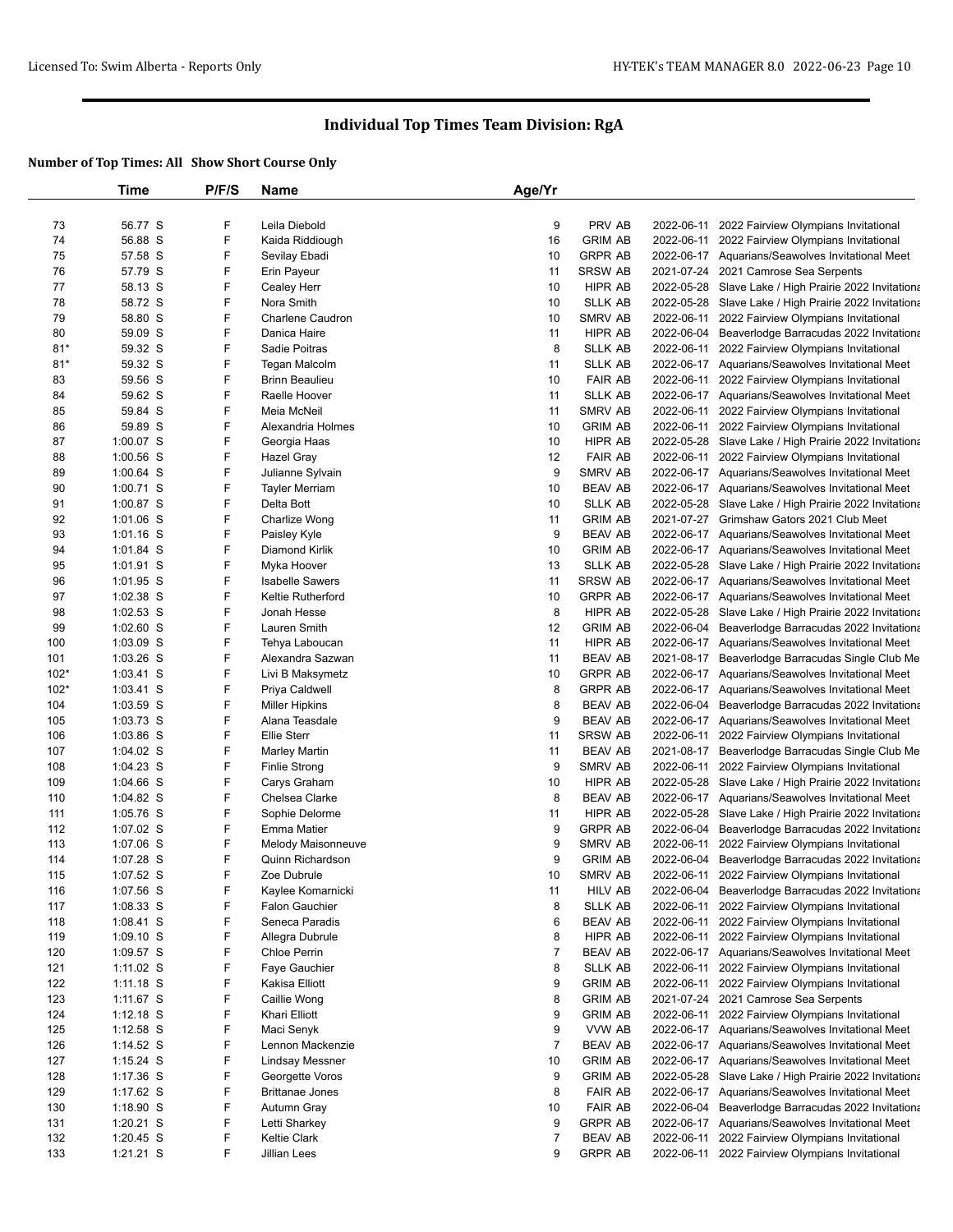|        | Time        | P/F/S | <b>Name</b>              | Age/Yr         |                |                                                       |
|--------|-------------|-------|--------------------------|----------------|----------------|-------------------------------------------------------|
|        |             |       |                          |                |                |                                                       |
| 73     | 56.77 S     | F     | Leila Diebold            | 9              | PRV AB         | 2022-06-11 2022 Fairview Olympians Invitational       |
| 74     | 56.88 S     | F     | Kaida Riddiough          | 16             | <b>GRIM AB</b> | 2022-06-11 2022 Fairview Olympians Invitational       |
| 75     | 57.58 S     | F     | Sevilay Ebadi            | 10             | <b>GRPR AB</b> | 2022-06-17 Aquarians/Seawolves Invitational Meet      |
| 76     | 57.79 S     | F     | Erin Payeur              | 11             | <b>SRSW AB</b> | 2021-07-24 2021 Camrose Sea Serpents                  |
| 77     | 58.13 S     | F     | Cealey Herr              | 10             | <b>HIPR AB</b> | 2022-05-28 Slave Lake / High Prairie 2022 Invitationa |
| 78     | 58.72 S     | F     | Nora Smith               | 10             | <b>SLLK AB</b> | 2022-05-28 Slave Lake / High Prairie 2022 Invitationa |
| 79     | 58.80 S     | F     | Charlene Caudron         | 10             | SMRV AB        | 2022-06-11 2022 Fairview Olympians Invitational       |
| 80     | 59.09 S     | F     | Danica Haire             | 11             | HIPR AB        | 2022-06-04 Beaverlodge Barracudas 2022 Invitationa    |
| $81*$  | 59.32 S     | F     | Sadie Poitras            | 8              | <b>SLLK AB</b> | 2022-06-11 2022 Fairview Olympians Invitational       |
| $81*$  | 59.32 S     | F     | Tegan Malcolm            | 11             | <b>SLLK AB</b> | 2022-06-17 Aquarians/Seawolves Invitational Meet      |
| 83     | 59.56 S     | F     | <b>Brinn Beaulieu</b>    | 10             | <b>FAIR AB</b> | 2022-06-11 2022 Fairview Olympians Invitational       |
| 84     | 59.62 S     | F     | Raelle Hoover            | 11             | <b>SLLK AB</b> | 2022-06-17 Aquarians/Seawolves Invitational Meet      |
| 85     | 59.84 S     | F     | Meia McNeil              | 11             | SMRV AB        | 2022-06-11 2022 Fairview Olympians Invitational       |
| 86     | 59.89 S     | F     | Alexandria Holmes        | 10             | <b>GRIM AB</b> | 2022-06-11 2022 Fairview Olympians Invitational       |
| 87     | 1:00.07 S   | F     | Georgia Haas             | 10             | HIPR AB        | 2022-05-28 Slave Lake / High Prairie 2022 Invitationa |
| 88     | 1:00.56 S   | F     | Hazel Gray               | 12             | <b>FAIR AB</b> | 2022-06-11 2022 Fairview Olympians Invitational       |
| 89     | 1:00.64 S   | F     | Julianne Sylvain         | 9              | SMRV AB        | 2022-06-17 Aquarians/Seawolves Invitational Meet      |
| 90     | 1:00.71 S   | F     | <b>Tayler Merriam</b>    | 10             | <b>BEAV AB</b> | 2022-06-17 Aquarians/Seawolves Invitational Meet      |
| 91     | 1:00.87 S   | F     | Delta Bott               | 10             | <b>SLLK AB</b> | 2022-05-28 Slave Lake / High Prairie 2022 Invitationa |
| 92     | 1:01.06 S   | F     | Charlize Wong            | 11             | <b>GRIM AB</b> | 2021-07-27 Grimshaw Gators 2021 Club Meet             |
| 93     | $1:01.16$ S | F     | Paisley Kyle             | 9              | <b>BEAV AB</b> | 2022-06-17 Aquarians/Seawolves Invitational Meet      |
| 94     | 1:01.84 S   | F     | Diamond Kirlik           | 10             | <b>GRIM AB</b> | 2022-06-17 Aquarians/Seawolves Invitational Meet      |
| 95     | 1:01.91 S   | F     | Myka Hoover              | 13             | <b>SLLK AB</b> | 2022-05-28 Slave Lake / High Prairie 2022 Invitationa |
| 96     | 1:01.95 S   | F     | <b>Isabelle Sawers</b>   | 11             | <b>SRSW AB</b> | 2022-06-17 Aquarians/Seawolves Invitational Meet      |
| 97     | 1:02.38 S   | F     | <b>Keltie Rutherford</b> | 10             | <b>GRPR AB</b> | 2022-06-17 Aquarians/Seawolves Invitational Meet      |
| 98     | 1:02.53 S   | F     | Jonah Hesse              | 8              | HIPR AB        | 2022-05-28 Slave Lake / High Prairie 2022 Invitationa |
| 99     | 1:02.60 S   | F     | Lauren Smith             | 12             | <b>GRIM AB</b> | 2022-06-04 Beaverlodge Barracudas 2022 Invitationa    |
| 100    | 1:03.09 S   | F     | Tehya Laboucan           | 11             | HIPR AB        | 2022-06-17 Aquarians/Seawolves Invitational Meet      |
| 101    | 1:03.26 S   | F     | Alexandra Sazwan         | 11             | <b>BEAV AB</b> | 2021-08-17 Beaverlodge Barracudas Single Club Me      |
| $102*$ | 1:03.41 S   | F     | Livi B Maksymetz         | 10             | <b>GRPR AB</b> | 2022-06-17 Aquarians/Seawolves Invitational Meet      |
| $102*$ | 1:03.41 S   | F     | Priya Caldwell           | 8              | <b>GRPR AB</b> | 2022-06-17 Aquarians/Seawolves Invitational Meet      |
| 104    | 1:03.59 S   | F     | <b>Miller Hipkins</b>    | 8              | <b>BEAV AB</b> | 2022-06-04 Beaverlodge Barracudas 2022 Invitationa    |
| 105    | 1:03.73 S   | F     | Alana Teasdale           | 9              | <b>BEAV AB</b> | 2022-06-17 Aquarians/Seawolves Invitational Meet      |
| 106    | 1:03.86 S   | F     | <b>Ellie Sterr</b>       | 11             | <b>SRSW AB</b> | 2022-06-11 2022 Fairview Olympians Invitational       |
| 107    | 1:04.02 S   | F     | Marley Martin            | 11             | <b>BEAV AB</b> | 2021-08-17 Beaverlodge Barracudas Single Club Me      |
| 108    | 1:04.23 S   | F     | <b>Finlie Strong</b>     | 9              | SMRV AB        | 2022-06-11 2022 Fairview Olympians Invitational       |
| 109    | $1:04.66$ S | F     | Carys Graham             | 10             | HIPR AB        | 2022-05-28 Slave Lake / High Prairie 2022 Invitationa |
| 110    | 1:04.82 S   | F     | Chelsea Clarke           | 8              | <b>BEAV AB</b> | 2022-06-17 Aquarians/Seawolves Invitational Meet      |
| 111    | 1:05.76 S   | F     | Sophie Delorme           | 11             | HIPR AB        | 2022-05-28 Slave Lake / High Prairie 2022 Invitationa |
| 112    | 1:07.02 S   | F     | <b>Emma Matier</b>       | 9              | <b>GRPR AB</b> | 2022-06-04 Beaverlodge Barracudas 2022 Invitationa    |
| 113    | 1:07.06 S   | F     | Melody Maisonneuve       | 9              | SMRV AB        | 2022-06-11 2022 Fairview Olympians Invitational       |
| 114    | 1:07.28 S   | F     | Quinn Richardson         | 9              | <b>GRIM AB</b> | 2022-06-04 Beaverlodge Barracudas 2022 Invitationa    |
| 115    | 1:07.52 S   | F     | Zoe Dubrule              | 10             | <b>SMRV AB</b> | 2022-06-11 2022 Fairview Olympians Invitational       |
| 116    | 1:07.56 S   | F     | Kaylee Komarnicki        | 11             | <b>HILV AB</b> | 2022-06-04 Beaverlodge Barracudas 2022 Invitationa    |
| 117    | $1:08.33$ S | F     | <b>Falon Gauchier</b>    | 8              | <b>SLLK AB</b> | 2022-06-11 2022 Fairview Olympians Invitational       |
| 118    | 1:08.41 S   | F     | Seneca Paradis           | 6              | <b>BEAV AB</b> | 2022-06-11 2022 Fairview Olympians Invitational       |
| 119    | 1:09.10 S   | F     | Allegra Dubrule          | 8              | HIPR AB        | 2022-06-11 2022 Fairview Olympians Invitational       |
| 120    | $1:09.57$ S | F     | <b>Chloe Perrin</b>      | 7              | <b>BEAV AB</b> | 2022-06-17 Aquarians/Seawolves Invitational Meet      |
| 121    | 1:11.02 S   | F     | Faye Gauchier            | 8              | <b>SLLK AB</b> | 2022-06-11 2022 Fairview Olympians Invitational       |
| 122    | $1:11.18$ S | F     | Kakisa Elliott           | 9              | <b>GRIM AB</b> | 2022-06-11 2022 Fairview Olympians Invitational       |
| 123    | $1:11.67$ S | F     | Caillie Wong             | 8              | <b>GRIM AB</b> | 2021-07-24 2021 Camrose Sea Serpents                  |
| 124    | 1:12.18 S   | F     | Khari Elliott            | 9              | <b>GRIM AB</b> | 2022-06-11 2022 Fairview Olympians Invitational       |
| 125    | 1:12.58 S   | F     | Maci Senyk               | 9              | VVW AB         | 2022-06-17 Aquarians/Seawolves Invitational Meet      |
| 126    | $1:14.52$ S | F     | Lennon Mackenzie         | $\overline{7}$ | <b>BEAV AB</b> | 2022-06-17 Aquarians/Seawolves Invitational Meet      |
| 127    | 1:15.24 S   | F     | <b>Lindsay Messner</b>   | 10             | <b>GRIM AB</b> | 2022-06-17 Aquarians/Seawolves Invitational Meet      |
| 128    | 1:17.36 S   | F     | Georgette Voros          | 9              | <b>GRIM AB</b> | 2022-05-28 Slave Lake / High Prairie 2022 Invitationa |
| 129    | $1:17.62$ S | F     | <b>Brittanae Jones</b>   | 8              | <b>FAIR AB</b> | 2022-06-17 Aquarians/Seawolves Invitational Meet      |
| 130    | 1:18.90 S   | F     | Autumn Gray              | 10             | <b>FAIR AB</b> | 2022-06-04 Beaverlodge Barracudas 2022 Invitationa    |
| 131    | $1:20.21$ S | F     | Letti Sharkey            | 9              | <b>GRPR AB</b> | 2022-06-17 Aquarians/Seawolves Invitational Meet      |
| 132    | 1:20.45 S   | F     | <b>Keltie Clark</b>      | $\overline{7}$ | <b>BEAV AB</b> | 2022-06-11 2022 Fairview Olympians Invitational       |
| 133    | 1:21.21 S   | F     | Jillian Lees             | 9              | <b>GRPR AB</b> | 2022-06-11 2022 Fairview Olympians Invitational       |
|        |             |       |                          |                |                |                                                       |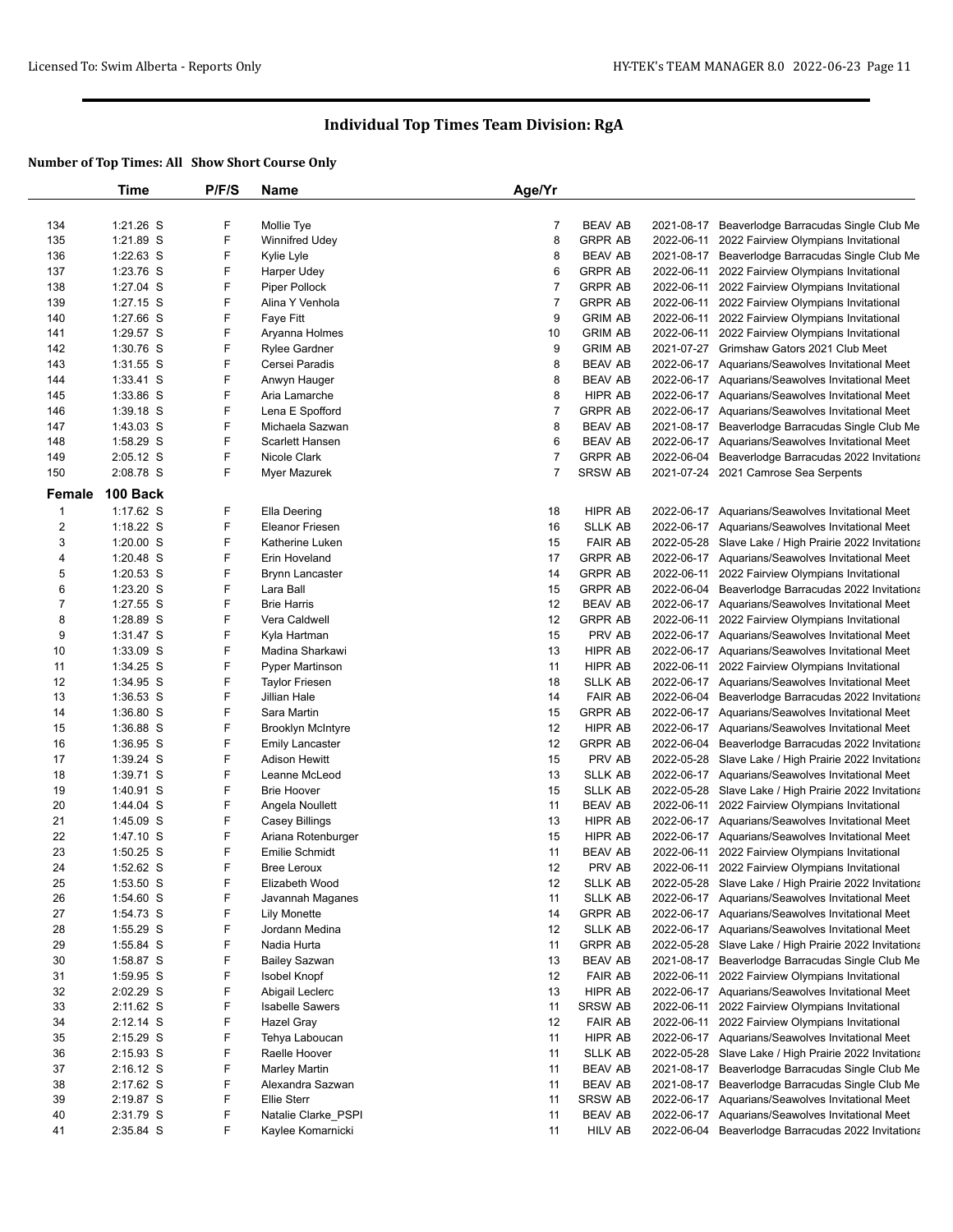|                         | Time                     | P/F/S       | Name                                | Age/Yr         |                                  |                                                                                                           |
|-------------------------|--------------------------|-------------|-------------------------------------|----------------|----------------------------------|-----------------------------------------------------------------------------------------------------------|
|                         |                          |             |                                     |                |                                  |                                                                                                           |
| 134                     | 1:21.26 S                | F           | Mollie Tye                          | 7              | <b>BEAV AB</b>                   | 2021-08-17 Beaverlodge Barracudas Single Club Me                                                          |
| 135                     | 1:21.89 S                | F           | Winnifred Udey                      | 8              | <b>GRPR AB</b>                   | 2022-06-11 2022 Fairview Olympians Invitational                                                           |
| 136                     | 1:22.63 S                | F           | Kylie Lyle                          | 8              | <b>BEAV AB</b>                   | 2021-08-17 Beaverlodge Barracudas Single Club Me                                                          |
| 137                     | 1:23.76 S                | F           | Harper Udey                         | 6              | <b>GRPR AB</b>                   | 2022-06-11 2022 Fairview Olympians Invitational                                                           |
| 138                     | 1:27.04 S                | F           | Piper Pollock                       | $\overline{7}$ | <b>GRPR AB</b>                   | 2022-06-11 2022 Fairview Olympians Invitational                                                           |
| 139                     | $1:27.15$ S              | F           | Alina Y Venhola                     | 7              | <b>GRPR AB</b>                   | 2022-06-11 2022 Fairview Olympians Invitational                                                           |
| 140                     | 1:27.66 S                | F           | Faye Fitt                           | 9              | <b>GRIM AB</b>                   | 2022-06-11 2022 Fairview Olympians Invitational                                                           |
| 141                     | 1:29.57 S                | F           | Aryanna Holmes                      | 10             | <b>GRIM AB</b>                   | 2022-06-11 2022 Fairview Olympians Invitational                                                           |
| 142                     | 1:30.76 S                | F           | <b>Rylee Gardner</b>                | 9              | <b>GRIM AB</b>                   | 2021-07-27 Grimshaw Gators 2021 Club Meet                                                                 |
| 143                     | $1:31.55$ S              | F           | Cersei Paradis                      | 8              | <b>BEAV AB</b>                   | 2022-06-17 Aquarians/Seawolves Invitational Meet                                                          |
| 144                     | 1:33.41 S                | F           | Anwyn Hauger                        | 8              | <b>BEAV AB</b>                   | 2022-06-17 Aquarians/Seawolves Invitational Meet                                                          |
| 145                     | 1:33.86 S                | F           | Aria Lamarche                       | 8              | HIPR AB                          | 2022-06-17 Aquarians/Seawolves Invitational Meet                                                          |
| 146                     | $1:39.18$ S              | F           | Lena E Spofford                     | 7              | <b>GRPR AB</b>                   | 2022-06-17 Aquarians/Seawolves Invitational Meet                                                          |
| 147                     | 1:43.03 S                | F           | Michaela Sazwan                     | 8              | <b>BEAV AB</b>                   | 2021-08-17 Beaverlodge Barracudas Single Club Me                                                          |
| 148                     | 1:58.29 S                | F           | Scarlett Hansen                     | 6              | <b>BEAV AB</b>                   | 2022-06-17 Aquarians/Seawolves Invitational Meet                                                          |
| 149                     | 2:05.12 S                | F           | Nicole Clark                        | 7              | <b>GRPR AB</b>                   | 2022-06-04 Beaverlodge Barracudas 2022 Invitationa                                                        |
| 150                     | 2:08.78 S                | F           | Myer Mazurek                        | 7              | SRSW AB                          | 2021-07-24 2021 Camrose Sea Serpents                                                                      |
| Female                  | 100 Back                 |             |                                     |                |                                  |                                                                                                           |
| $\mathbf 1$             | 1:17.62 S                | F           | Ella Deering                        |                |                                  |                                                                                                           |
|                         |                          | F           | <b>Eleanor Friesen</b>              | 18             | HIPR AB                          | 2022-06-17 Aquarians/Seawolves Invitational Meet                                                          |
| $\overline{\mathbf{c}}$ | 1:18.22 S<br>1:20.00 S   | F           | Katherine Luken                     | 16<br>15       | <b>SLLK AB</b>                   | 2022-06-17 Aquarians/Seawolves Invitational Meet                                                          |
| 3                       |                          | F           |                                     |                | <b>FAIR AB</b>                   | 2022-05-28 Slave Lake / High Prairie 2022 Invitationa<br>2022-06-17 Aquarians/Seawolves Invitational Meet |
| 4<br>5                  | $1:20.48$ S<br>1:20.53 S | F           | Erin Hoveland                       | 17<br>14       | <b>GRPR AB</b><br><b>GRPR AB</b> |                                                                                                           |
|                         |                          | F           | <b>Brynn Lancaster</b><br>Lara Ball |                |                                  | 2022-06-11 2022 Fairview Olympians Invitational                                                           |
| 6<br>$\overline{7}$     | 1:23.20 S                | F           |                                     | 15             | <b>GRPR AB</b><br><b>BEAV AB</b> | 2022-06-04 Beaverlodge Barracudas 2022 Invitationa                                                        |
|                         | 1:27.55 S                | F           | <b>Brie Harris</b>                  | 12             |                                  | 2022-06-17 Aquarians/Seawolves Invitational Meet                                                          |
| 8                       | 1:28.89 S                |             | Vera Caldwell                       | 12             | <b>GRPR AB</b>                   | 2022-06-11 2022 Fairview Olympians Invitational                                                           |
| 9                       | 1:31.47 S                | F           | Kyla Hartman                        | 15             | PRV AB                           | 2022-06-17 Aquarians/Seawolves Invitational Meet                                                          |
| 10                      | 1:33.09 S                | F           | Madina Sharkawi                     | 13             | HIPR AB                          | 2022-06-17 Aquarians/Seawolves Invitational Meet                                                          |
| 11                      | 1:34.25 S                | F           | <b>Pyper Martinson</b>              | 11             | HIPR AB                          | 2022-06-11 2022 Fairview Olympians Invitational                                                           |
| 12                      | 1:34.95 S                | F<br>F      | <b>Taylor Friesen</b>               | 18<br>14       | <b>SLLK AB</b><br><b>FAIR AB</b> | 2022-06-17 Aquarians/Seawolves Invitational Meet                                                          |
| 13                      | 1:36.53 S                | F           | Jillian Hale                        |                |                                  | 2022-06-04 Beaverlodge Barracudas 2022 Invitationa                                                        |
| 14                      | 1:36.80 S                | F           | Sara Martin                         | 15             | <b>GRPR AB</b>                   | 2022-06-17 Aquarians/Seawolves Invitational Meet                                                          |
| 15                      | 1:36.88 S                | F           | <b>Brooklyn McIntyre</b>            | 12<br>12       | HIPR AB                          | 2022-06-17 Aquarians/Seawolves Invitational Meet                                                          |
| 16                      | 1:36.95 S                | F           | <b>Emily Lancaster</b>              |                | <b>GRPR AB</b>                   | 2022-06-04 Beaverlodge Barracudas 2022 Invitationa                                                        |
| 17                      | 1:39.24 S                | F           | <b>Adison Hewitt</b>                | 15             | PRV AB                           | 2022-05-28 Slave Lake / High Prairie 2022 Invitationa                                                     |
| 18                      | $1:39.71$ S              | F           | Leanne McLeod                       | 13             | <b>SLLK AB</b>                   | 2022-06-17 Aquarians/Seawolves Invitational Meet                                                          |
| 19                      | 1:40.91 S                | F           | <b>Brie Hoover</b>                  | 15             | <b>SLLK AB</b>                   | 2022-05-28 Slave Lake / High Prairie 2022 Invitationa                                                     |
| 20                      | 1:44.04 S                |             | Angela Noullett                     | 11             | <b>BEAV AB</b>                   | 2022-06-11 2022 Fairview Olympians Invitational                                                           |
| 21                      | 1:45.09 S                | F<br>F      | Casey Billings                      | 13             | HIPR AB                          | 2022-06-17 Aquarians/Seawolves Invitational Meet                                                          |
| 22                      | 1:47.10 S                |             | Ariana Rotenburger                  | 15             | HIPR AB                          | 2022-06-17 Aquarians/Seawolves Invitational Meet                                                          |
| 23                      | 1:50.25 S                | F<br>F      | Emilie Schmidt                      | 11             | <b>BEAV AB</b><br>PRV AB         | 2022-06-11 2022 Fairview Olympians Invitational                                                           |
| 24                      | 1:52.62 S                |             | Bree Leroux                         | 12             |                                  | 2022-06-11 2022 Fairview Olympians Invitational                                                           |
| 25                      | 1:53.50 S                | $\mathsf F$ | Elizabeth Wood                      | 12             | <b>SLLK AB</b>                   | 2022-05-28 Slave Lake / High Prairie 2022 Invitationa                                                     |
| 26                      | 1:54.60 S                | F           | Javannah Maganes                    | 11             | SLLK AB                          | 2022-06-17 Aquarians/Seawolves Invitational Meet                                                          |
| 27                      | 1:54.73 S                | F<br>F      | <b>Lily Monette</b>                 | 14             | <b>GRPR AB</b>                   | 2022-06-17 Aquarians/Seawolves Invitational Meet                                                          |
| 28                      | 1:55.29 S                | F           | Jordann Medina                      | 12             | <b>SLLK AB</b>                   | 2022-06-17 Aquarians/Seawolves Invitational Meet                                                          |
| 29                      | 1:55.84 S                | F           | Nadia Hurta                         | 11             | <b>GRPR AB</b>                   | 2022-05-28 Slave Lake / High Prairie 2022 Invitationa                                                     |
| 30                      | 1:58.87 S                |             | <b>Bailey Sazwan</b>                | 13             | <b>BEAV AB</b>                   | 2021-08-17 Beaverlodge Barracudas Single Club Me                                                          |
| 31                      | 1:59.95 S                | F           | Isobel Knopf                        | 12             | <b>FAIR AB</b>                   | 2022-06-11 2022 Fairview Olympians Invitational                                                           |
| 32                      | 2:02.29 S                | F<br>F      | Abigail Leclerc                     | 13             | HIPR AB                          | 2022-06-17 Aquarians/Seawolves Invitational Meet                                                          |
| 33                      | 2:11.62 S                |             | <b>Isabelle Sawers</b>              | 11             | SRSW AB                          | 2022-06-11 2022 Fairview Olympians Invitational                                                           |
| 34                      | $2:12.14$ S              | F           | Hazel Gray                          | 12             | <b>FAIR AB</b>                   | 2022-06-11 2022 Fairview Olympians Invitational                                                           |
| 35                      | 2:15.29 S                | F           | Tehya Laboucan                      | 11             | HIPR AB                          | 2022-06-17 Aquarians/Seawolves Invitational Meet                                                          |
| 36                      | $2:15.93$ S              | F           | Raelle Hoover                       | 11             | <b>SLLK AB</b>                   | 2022-05-28 Slave Lake / High Prairie 2022 Invitationa                                                     |
| 37                      | $2:16.12$ S              | F           | Marley Martin                       | 11             | <b>BEAV AB</b>                   | 2021-08-17 Beaverlodge Barracudas Single Club Me                                                          |
| 38                      | 2:17.62 S                | F           | Alexandra Sazwan                    | 11             | <b>BEAV AB</b>                   | 2021-08-17 Beaverlodge Barracudas Single Club Me                                                          |
| 39                      | 2:19.87 S                | F           | Ellie Sterr                         | 11             | SRSW AB                          | 2022-06-17 Aquarians/Seawolves Invitational Meet                                                          |
| 40                      | 2:31.79 S                | F           | Natalie Clarke_PSPI                 | 11             | <b>BEAV AB</b>                   | 2022-06-17 Aquarians/Seawolves Invitational Meet                                                          |
| 41                      | 2:35.84 S                | F           | Kaylee Komarnicki                   | 11             | <b>HILV AB</b>                   | 2022-06-04 Beaverlodge Barracudas 2022 Invitationa                                                        |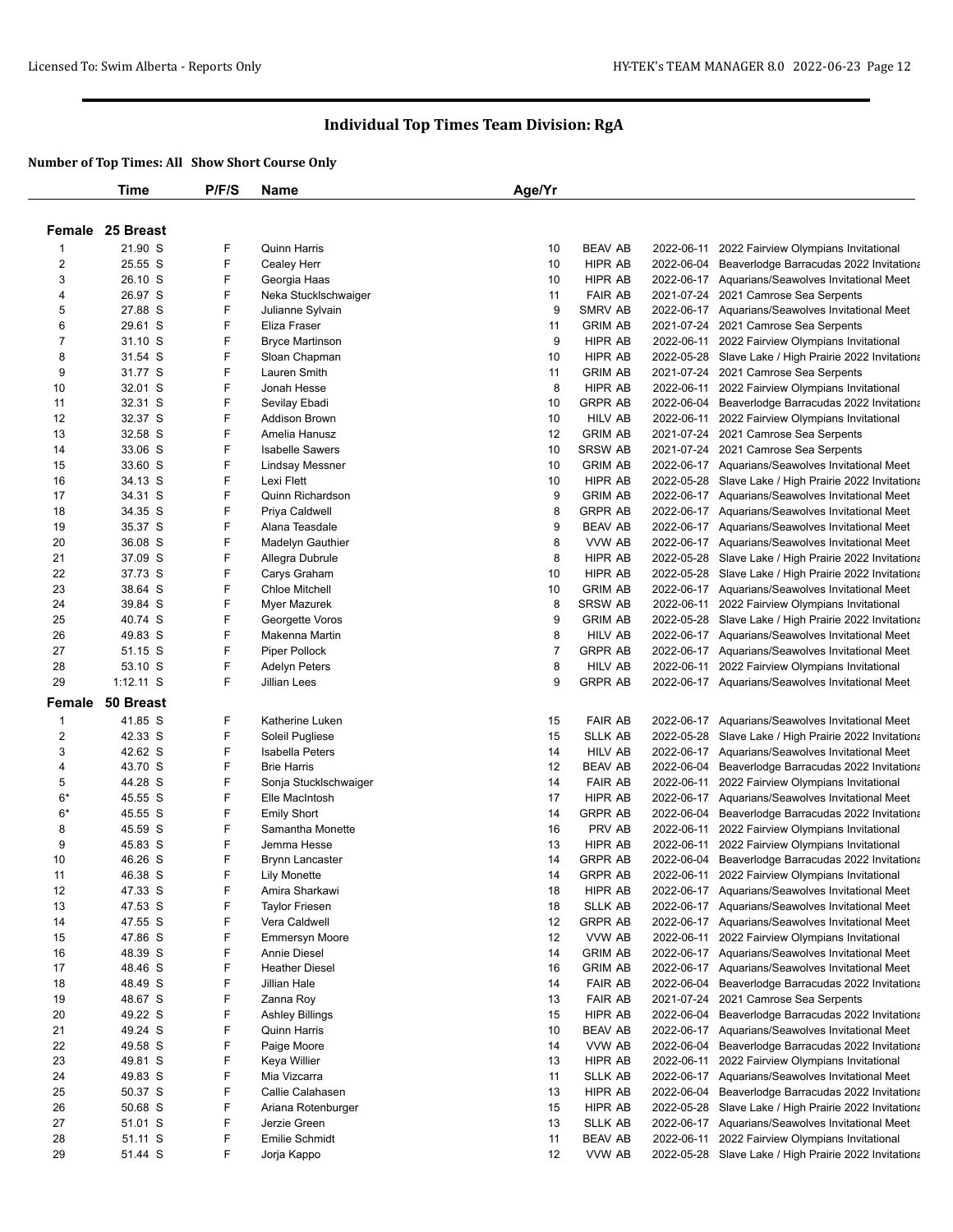|                         | Time             | P/F/S | Name                    | Age/Yr |                |            |                                                       |
|-------------------------|------------------|-------|-------------------------|--------|----------------|------------|-------------------------------------------------------|
|                         |                  |       |                         |        |                |            |                                                       |
|                         | Female 25 Breast |       |                         |        |                |            |                                                       |
| $\mathbf 1$             | 21.90 S          | F     | Quinn Harris            | 10     | <b>BEAV AB</b> | 2022-06-11 | 2022 Fairview Olympians Invitational                  |
| $\overline{2}$          | 25.55 S          | F     | Cealey Herr             | 10     | HIPR AB        |            | 2022-06-04 Beaverlodge Barracudas 2022 Invitationa    |
| 3                       | 26.10 S          | F     | Georgia Haas            | 10     | <b>HIPR AB</b> |            | 2022-06-17 Aquarians/Seawolves Invitational Meet      |
| 4                       | 26.97 S          | F     | Neka Stucklschwaiger    | 11     | <b>FAIR AB</b> |            | 2021-07-24 2021 Camrose Sea Serpents                  |
| 5                       | 27.88 S          | F     | Julianne Sylvain        | 9      | <b>SMRV AB</b> |            | 2022-06-17 Aquarians/Seawolves Invitational Meet      |
| 6                       | 29.61 S          | F     | Eliza Fraser            | 11     | <b>GRIM AB</b> |            | 2021-07-24 2021 Camrose Sea Serpents                  |
| 7                       | 31.10 S          | F     | <b>Bryce Martinson</b>  | 9      | HIPR AB        |            | 2022-06-11 2022 Fairview Olympians Invitational       |
| 8                       | 31.54 S          | F     | Sloan Chapman           | 10     | HIPR AB        |            | 2022-05-28 Slave Lake / High Prairie 2022 Invitationa |
| 9                       | 31.77 S          | F     | Lauren Smith            | 11     | <b>GRIM AB</b> |            | 2021-07-24 2021 Camrose Sea Serpents                  |
| 10                      | 32.01 S          | F     | Jonah Hesse             | 8      | HIPR AB        |            | 2022-06-11 2022 Fairview Olympians Invitational       |
| 11                      | 32.31 S          | F     | Sevilay Ebadi           | 10     | <b>GRPR AB</b> |            | 2022-06-04 Beaverlodge Barracudas 2022 Invitationa    |
| 12                      | 32.37 S          | F     | Addison Brown           | 10     | HILV AB        | 2022-06-11 | 2022 Fairview Olympians Invitational                  |
| 13                      | 32.58 S          | F     | Amelia Hanusz           | 12     | <b>GRIM AB</b> |            | 2021-07-24 2021 Camrose Sea Serpents                  |
| 14                      | 33.06 S          | F     | <b>Isabelle Sawers</b>  | 10     | <b>SRSW AB</b> |            | 2021-07-24 2021 Camrose Sea Serpents                  |
| 15                      | 33.60 S          | F     | <b>Lindsay Messner</b>  | 10     | <b>GRIM AB</b> |            | 2022-06-17 Aquarians/Seawolves Invitational Meet      |
| 16                      | 34.13 S          | F     | Lexi Flett              | 10     | HIPR AB        |            | 2022-05-28 Slave Lake / High Prairie 2022 Invitationa |
| 17                      | 34.31 S          | F     | <b>Quinn Richardson</b> | 9      | <b>GRIM AB</b> |            | 2022-06-17 Aquarians/Seawolves Invitational Meet      |
| 18                      | 34.35 S          | F     | Priya Caldwell          | 8      | <b>GRPR AB</b> |            | 2022-06-17 Aquarians/Seawolves Invitational Meet      |
| 19                      | 35.37 S          | F     | Alana Teasdale          | 9      | <b>BEAV AB</b> |            | 2022-06-17 Aquarians/Seawolves Invitational Meet      |
| 20                      | 36.08 S          | F     | Madelyn Gauthier        | 8      | VVW AB         |            | 2022-06-17 Aquarians/Seawolves Invitational Meet      |
| 21                      | 37.09 S          | F     | Allegra Dubrule         | 8      | HIPR AB        |            | 2022-05-28 Slave Lake / High Prairie 2022 Invitationa |
| 22                      | 37.73 S          | F     | Carys Graham            | 10     | <b>HIPR AB</b> |            | 2022-05-28 Slave Lake / High Prairie 2022 Invitationa |
| 23                      | 38.64 S          | F     | <b>Chloe Mitchell</b>   | 10     | <b>GRIM AB</b> |            | 2022-06-17 Aquarians/Seawolves Invitational Meet      |
| 24                      | 39.84 S          | F     | Myer Mazurek            | 8      | SRSW AB        | 2022-06-11 | 2022 Fairview Olympians Invitational                  |
| 25                      | 40.74 S          | F     | Georgette Voros         | 9      | <b>GRIM AB</b> |            | 2022-05-28 Slave Lake / High Prairie 2022 Invitationa |
| 26                      | 49.83 S          | F     | Makenna Martin          | 8      | <b>HILV AB</b> |            | 2022-06-17 Aquarians/Seawolves Invitational Meet      |
| 27                      | 51.15 S          | F     | Piper Pollock           | 7      | <b>GRPR AB</b> |            | 2022-06-17 Aquarians/Seawolves Invitational Meet      |
| 28                      | 53.10 S          | F     | Adelyn Peters           | 8      | <b>HILV AB</b> | 2022-06-11 | 2022 Fairview Olympians Invitational                  |
| 29                      | $1:12.11$ S      | F     | Jillian Lees            | 9      | <b>GRPR AB</b> |            | 2022-06-17 Aquarians/Seawolves Invitational Meet      |
| Female                  | 50 Breast        |       |                         |        |                |            |                                                       |
| 1                       | 41.85 S          | F     | Katherine Luken         | 15     | <b>FAIR AB</b> |            | 2022-06-17 Aquarians/Seawolves Invitational Meet      |
| $\overline{\mathbf{c}}$ | 42.33 S          | F     | Soleil Pugliese         | 15     | <b>SLLK AB</b> | 2022-05-28 | Slave Lake / High Prairie 2022 Invitationa            |
| 3                       | 42.62 S          | F     | Isabella Peters         | 14     | HILV AB        |            | 2022-06-17 Aquarians/Seawolves Invitational Meet      |
| 4                       | 43.70 S          | F     | <b>Brie Harris</b>      | 12     | <b>BEAV AB</b> |            | 2022-06-04 Beaverlodge Barracudas 2022 Invitationa    |
| 5                       | 44.28 S          | F     | Sonja Stucklschwaiger   | 14     | <b>FAIR AB</b> | 2022-06-11 | 2022 Fairview Olympians Invitational                  |
| $6*$                    | 45.55 S          | F     | Elle MacIntosh          | 17     | HIPR AB        |            | 2022-06-17 Aquarians/Seawolves Invitational Meet      |
| $6*$                    | 45.55 S          | F     | <b>Emily Short</b>      | 14     | <b>GRPR AB</b> |            | 2022-06-04 Beaverlodge Barracudas 2022 Invitationa    |
| 8                       | 45.59 S          | F     | Samantha Monette        | 16     | PRV AB         | 2022-06-11 | 2022 Fairview Olympians Invitational                  |
| 9                       | 45.83 S          | F     | Jemma Hesse             | 13     | HIPR AB        | 2022-06-11 | 2022 Fairview Olympians Invitational                  |
| 10                      | 46.26 S          | F     | <b>Brynn Lancaster</b>  | 14     | <b>GRPR AB</b> |            | 2022-06-04 Beaverlodge Barracudas 2022 Invitationa    |
| 11                      | 46.38 S          | F     | Lily Monette            | 14     | <b>GRPR AB</b> | 2022-06-11 | 2022 Fairview Olympians Invitational                  |
| 12                      | 47.33 S          | F     | Amira Sharkawi          | 18     | HIPR AB        |            | 2022-06-17 Aquarians/Seawolves Invitational Meet      |
| 13                      | 47.53 S          | F     | <b>Taylor Friesen</b>   | 18     | <b>SLLK AB</b> |            | 2022-06-17 Aquarians/Seawolves Invitational Meet      |
| 14                      | 47.55 S          | F     | Vera Caldwell           | 12     | <b>GRPR AB</b> |            | 2022-06-17 Aquarians/Seawolves Invitational Meet      |
| 15                      | 47.86 S          | F     | <b>Emmersyn Moore</b>   | 12     | VVW AB         | 2022-06-11 | 2022 Fairview Olympians Invitational                  |
| 16                      | 48.39 S          | F     | Annie Diesel            | 14     | <b>GRIM AB</b> |            | 2022-06-17 Aquarians/Seawolves Invitational Meet      |
| 17                      | 48.46 S          | F     | <b>Heather Diesel</b>   | 16     | <b>GRIM AB</b> |            | 2022-06-17 Aquarians/Seawolves Invitational Meet      |
| 18                      | 48.49 S          | F     | Jillian Hale            | 14     | <b>FAIR AB</b> |            | 2022-06-04 Beaverlodge Barracudas 2022 Invitationa    |
| 19                      | 48.67 S          | F     | Zanna Roy               | 13     | <b>FAIR AB</b> |            | 2021-07-24 2021 Camrose Sea Serpents                  |
| 20                      | 49.22 S          | F     | Ashley Billings         | 15     | HIPR AB        | 2022-06-04 | Beaverlodge Barracudas 2022 Invitationa               |
| 21                      | 49.24 S          | F     | Quinn Harris            | 10     | <b>BEAV AB</b> |            | 2022-06-17 Aquarians/Seawolves Invitational Meet      |
| 22                      | 49.58 S          | F     | Paige Moore             | 14     | VVW AB         |            | 2022-06-04 Beaverlodge Barracudas 2022 Invitationa    |
| 23                      | 49.81 S          | F     | Keya Willier            | 13     | HIPR AB        | 2022-06-11 | 2022 Fairview Olympians Invitational                  |
| 24                      | 49.83 S          | F     | Mia Vizcarra            | 11     | <b>SLLK AB</b> |            | 2022-06-17 Aquarians/Seawolves Invitational Meet      |
| 25                      | 50.37 S          | F     | Callie Calahasen        | 13     | HIPR AB        |            | 2022-06-04 Beaverlodge Barracudas 2022 Invitationa    |
| 26                      | 50.68 S          | F     | Ariana Rotenburger      | 15     | HIPR AB        |            | 2022-05-28 Slave Lake / High Prairie 2022 Invitationa |
| 27                      | 51.01 S          | F     | Jerzie Green            | 13     | SLLK AB        |            | 2022-06-17 Aquarians/Seawolves Invitational Meet      |
| 28                      | 51.11 S          | F     | Emilie Schmidt          | 11     | <b>BEAV AB</b> | 2022-06-11 | 2022 Fairview Olympians Invitational                  |
| 29                      | 51.44 S          | F     | Jorja Kappo             | 12     | VVW AB         |            | 2022-05-28 Slave Lake / High Prairie 2022 Invitationa |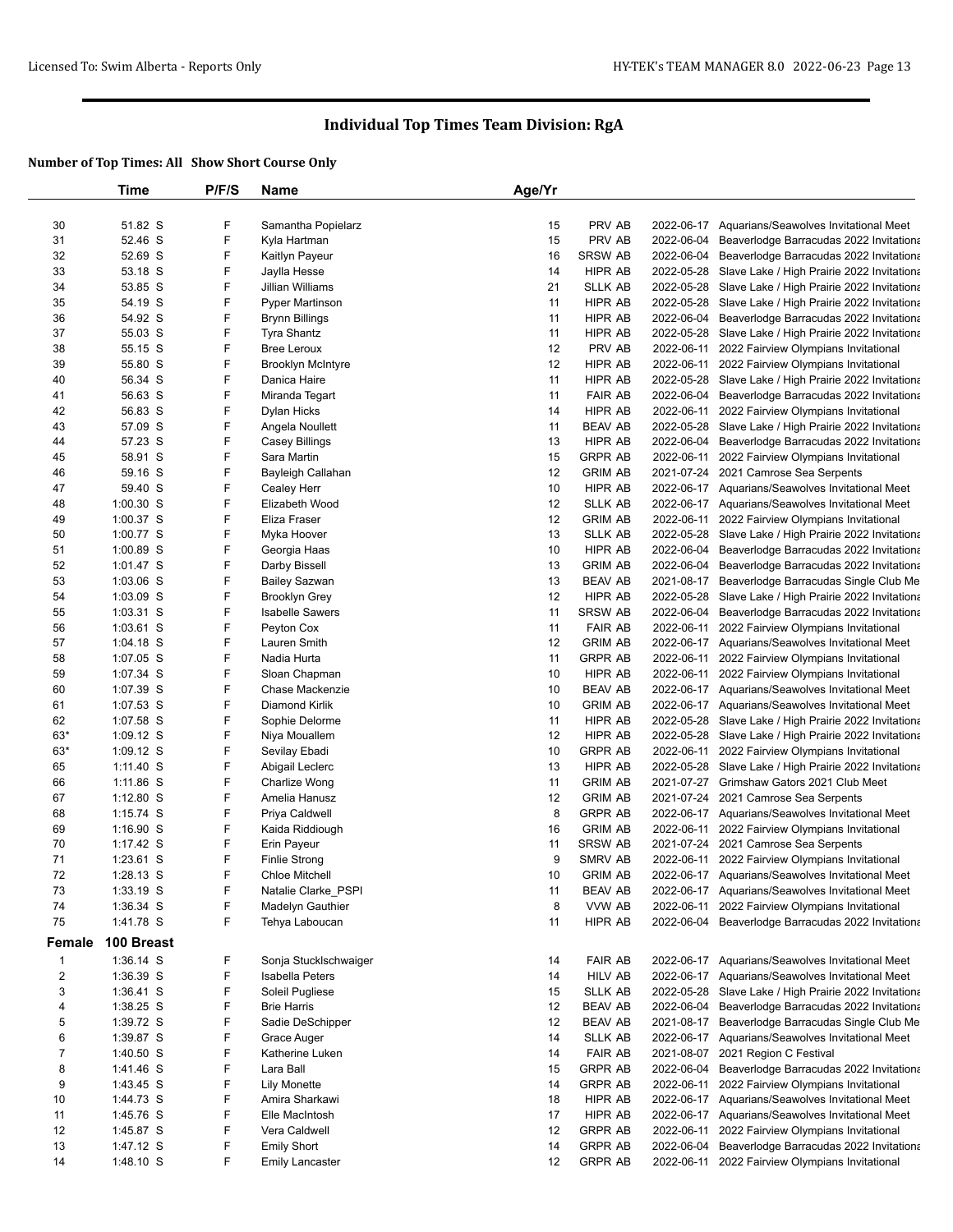|                         | Time        | P/F/S | <b>Name</b>              | Age/Yr |                |            |                                                       |
|-------------------------|-------------|-------|--------------------------|--------|----------------|------------|-------------------------------------------------------|
|                         |             |       |                          |        |                |            |                                                       |
| 30                      | 51.82 S     | F     | Samantha Popielarz       | 15     | PRV AB         |            | 2022-06-17 Aquarians/Seawolves Invitational Meet      |
| 31                      | 52.46 S     | F     | Kyla Hartman             | 15     | PRV AB         | 2022-06-04 | Beaverlodge Barracudas 2022 Invitationa               |
| 32                      | 52.69 S     | F     | Kaitlyn Payeur           | 16     | <b>SRSW AB</b> |            | 2022-06-04 Beaverlodge Barracudas 2022 Invitationa    |
| 33                      | 53.18 S     | F     | Jaylla Hesse             | 14     | HIPR AB        |            | 2022-05-28 Slave Lake / High Prairie 2022 Invitationa |
| 34                      | 53.85 S     | F     | Jillian Williams         | 21     | <b>SLLK AB</b> |            | 2022-05-28 Slave Lake / High Prairie 2022 Invitationa |
| 35                      | 54.19 S     | F     | <b>Pyper Martinson</b>   | 11     | HIPR AB        |            | 2022-05-28 Slave Lake / High Prairie 2022 Invitationa |
| 36                      | 54.92 S     | F     | <b>Brynn Billings</b>    | 11     | HIPR AB        |            | 2022-06-04 Beaverlodge Barracudas 2022 Invitationa    |
| 37                      | 55.03 S     | F     | Tyra Shantz              | 11     | HIPR AB        |            | 2022-05-28 Slave Lake / High Prairie 2022 Invitationa |
| 38                      | 55.15 S     | F     | <b>Bree Leroux</b>       | 12     | PRV AB         |            | 2022-06-11 2022 Fairview Olympians Invitational       |
| 39                      | 55.80 S     | F     | <b>Brooklyn McIntyre</b> | 12     | HIPR AB        |            | 2022-06-11 2022 Fairview Olympians Invitational       |
| 40                      | 56.34 S     | F     | Danica Haire             | 11     | HIPR AB        |            | 2022-05-28 Slave Lake / High Prairie 2022 Invitationa |
| 41                      | 56.63 S     | F     | Miranda Tegart           | 11     | <b>FAIR AB</b> |            | 2022-06-04 Beaverlodge Barracudas 2022 Invitationa    |
| 42                      | 56.83 S     | F     | Dylan Hicks              | 14     | HIPR AB        |            | 2022-06-11 2022 Fairview Olympians Invitational       |
| 43                      | 57.09 S     | F     | Angela Noullett          | 11     | <b>BEAV AB</b> |            | 2022-05-28 Slave Lake / High Prairie 2022 Invitationa |
| 44                      | 57.23 S     | F     | Casey Billings           | 13     | HIPR AB        |            | 2022-06-04 Beaverlodge Barracudas 2022 Invitationa    |
| 45                      | 58.91 S     | F     | Sara Martin              | 15     | <b>GRPR AB</b> |            | 2022-06-11 2022 Fairview Olympians Invitational       |
| 46                      | 59.16 S     | F     | Bayleigh Callahan        | 12     | <b>GRIM AB</b> |            | 2021-07-24 2021 Camrose Sea Serpents                  |
| 47                      | 59.40 S     | F     | Cealey Herr              | 10     | HIPR AB        |            | 2022-06-17 Aquarians/Seawolves Invitational Meet      |
| 48                      | $1:00.30$ S | F     | Elizabeth Wood           | 12     | SLLK AB        |            | 2022-06-17 Aquarians/Seawolves Invitational Meet      |
| 49                      | 1:00.37 S   | F     | Eliza Fraser             | 12     | <b>GRIM AB</b> |            | 2022-06-11 2022 Fairview Olympians Invitational       |
| 50                      | 1:00.77 S   | F     | Myka Hoover              | 13     | <b>SLLK AB</b> |            | 2022-05-28 Slave Lake / High Prairie 2022 Invitationa |
| 51                      | 1:00.89 S   | F     | Georgia Haas             | 10     | HIPR AB        |            | 2022-06-04 Beaverlodge Barracudas 2022 Invitationa    |
| 52                      | 1:01.47 S   | F     | Darby Bissell            | 13     | <b>GRIM AB</b> |            | 2022-06-04 Beaverlodge Barracudas 2022 Invitationa    |
| 53                      | 1:03.06 S   | F     | <b>Bailey Sazwan</b>     | 13     | BEAV AB        |            | 2021-08-17 Beaverlodge Barracudas Single Club Me      |
| 54                      | 1:03.09 S   | F     | <b>Brooklyn Grey</b>     | 12     | HIPR AB        |            | 2022-05-28 Slave Lake / High Prairie 2022 Invitationa |
| 55                      | 1:03.31 S   | F     | <b>Isabelle Sawers</b>   | 11     | <b>SRSW AB</b> |            | 2022-06-04 Beaverlodge Barracudas 2022 Invitationa    |
| 56                      | $1:03.61$ S | F     | Peyton Cox               | 11     | <b>FAIR AB</b> | 2022-06-11 | 2022 Fairview Olympians Invitational                  |
| 57                      | 1:04.18 S   | F     | Lauren Smith             | 12     | <b>GRIM AB</b> |            | 2022-06-17 Aquarians/Seawolves Invitational Meet      |
| 58                      | $1:07.05$ S | F     | Nadia Hurta              | 11     | <b>GRPR AB</b> | 2022-06-11 | 2022 Fairview Olympians Invitational                  |
| 59                      | 1:07.34 S   | F     | Sloan Chapman            | 10     | HIPR AB        |            | 2022-06-11 2022 Fairview Olympians Invitational       |
| 60                      | 1:07.39 S   | F     | Chase Mackenzie          | 10     | <b>BEAV AB</b> |            | 2022-06-17 Aquarians/Seawolves Invitational Meet      |
| 61                      | 1:07.53 S   | F     | Diamond Kirlik           | 10     | <b>GRIM AB</b> |            | 2022-06-17 Aquarians/Seawolves Invitational Meet      |
| 62                      | 1:07.58 S   | F     | Sophie Delorme           | 11     | HIPR AB        |            | 2022-05-28 Slave Lake / High Prairie 2022 Invitationa |
| $63*$                   | 1:09.12 S   | F     | Niya Mouallem            | 12     | HIPR AB        |            | 2022-05-28 Slave Lake / High Prairie 2022 Invitationa |
| 63*                     | 1:09.12 S   | F     | Sevilay Ebadi            | 10     | <b>GRPR AB</b> |            | 2022-06-11 2022 Fairview Olympians Invitational       |
| 65                      | 1:11.40 S   | F     | Abigail Leclerc          | 13     | HIPR AB        |            | 2022-05-28 Slave Lake / High Prairie 2022 Invitationa |
| 66                      | $1:11.86$ S | F     | Charlize Wong            | 11     | <b>GRIM AB</b> |            | 2021-07-27 Grimshaw Gators 2021 Club Meet             |
| 67                      | $1:12.80$ S | F     | Amelia Hanusz            | 12     | <b>GRIM AB</b> |            | 2021-07-24 2021 Camrose Sea Serpents                  |
| 68                      | $1:15.74$ S | F     | Priya Caldwell           | 8      | <b>GRPR AB</b> |            | 2022-06-17 Aquarians/Seawolves Invitational Meet      |
| 69                      | $1:16.90$ S | F     | Kaida Riddiough          | 16     | <b>GRIM AB</b> |            | 2022-06-11 2022 Fairview Olympians Invitational       |
| 70                      | 1:17.42 S   | F     | Erin Payeur              | 11     | <b>SRSW AB</b> |            | 2021-07-24 2021 Camrose Sea Serpents                  |
| 71                      | $1:23.61$ S | F     | <b>Finlie Strong</b>     | 9      | SMRV AB        |            | 2022-06-11 2022 Fairview Olympians Invitational       |
| 72                      | $1:28.13$ S | F     | <b>Chloe Mitchell</b>    | 10     | <b>GRIM AB</b> |            | 2022-06-17 Aquarians/Seawolves Invitational Meet      |
| 73                      | 1:33.19 S   | F     | Natalie Clarke_PSPI      | 11     | <b>BEAV AB</b> |            | 2022-06-17 Aquarians/Seawolves Invitational Meet      |
| 74                      | 1:36.34 S   | F     | Madelyn Gauthier         | 8      | VVW AB         |            | 2022-06-11 2022 Fairview Olympians Invitational       |
| 75                      | 1:41.78 S   | F     | Tehya Laboucan           | 11     | HIPR AB        |            | 2022-06-04 Beaverlodge Barracudas 2022 Invitationa    |
| <b>Female</b>           | 100 Breast  |       |                          |        |                |            |                                                       |
| $\mathbf{1}$            | 1:36.14 S   | F     | Sonja Stucklschwaiger    | 14     | <b>FAIR AB</b> |            | 2022-06-17 Aquarians/Seawolves Invitational Meet      |
| $\overline{\mathbf{c}}$ | 1:36.39 S   | F     | Isabella Peters          | 14     | <b>HILV AB</b> |            | 2022-06-17 Aquarians/Seawolves Invitational Meet      |
| 3                       | 1:36.41 S   | F     | Soleil Pugliese          | 15     | <b>SLLK AB</b> |            | 2022-05-28 Slave Lake / High Prairie 2022 Invitationa |
| 4                       | 1:38.25 S   | F     | <b>Brie Harris</b>       | 12     | <b>BEAV AB</b> |            | 2022-06-04 Beaverlodge Barracudas 2022 Invitationa    |
| 5                       | 1:39.72 S   | F     | Sadie DeSchipper         | 12     | <b>BEAV AB</b> |            | 2021-08-17 Beaverlodge Barracudas Single Club Me      |
| 6                       | 1:39.87 S   | F     | Grace Auger              | 14     | <b>SLLK AB</b> |            | 2022-06-17 Aquarians/Seawolves Invitational Meet      |
| 7                       | 1:40.50 S   | F     | Katherine Luken          | 14     | <b>FAIR AB</b> |            | 2021-08-07 2021 Region C Festival                     |
| 8                       | 1:41.46 S   | F     | Lara Ball                | 15     | <b>GRPR AB</b> | 2022-06-04 | Beaverlodge Barracudas 2022 Invitationa               |
| 9                       | 1:43.45 S   | F     | <b>Lily Monette</b>      | 14     | <b>GRPR AB</b> | 2022-06-11 | 2022 Fairview Olympians Invitational                  |
| 10                      | 1:44.73 S   | F     | Amira Sharkawi           | 18     | HIPR AB        |            | 2022-06-17 Aquarians/Seawolves Invitational Meet      |
| 11                      | 1:45.76 S   | F     | Elle MacIntosh           | 17     | HIPR AB        |            | 2022-06-17 Aquarians/Seawolves Invitational Meet      |
| 12                      | 1:45.87 S   | F     | Vera Caldwell            | 12     | <b>GRPR AB</b> |            | 2022-06-11 2022 Fairview Olympians Invitational       |
| 13                      | 1:47.12 S   | F     | <b>Emily Short</b>       | 14     | <b>GRPR AB</b> | 2022-06-04 | Beaverlodge Barracudas 2022 Invitationa               |
| 14                      | 1:48.10 S   | F     | <b>Emily Lancaster</b>   | 12     | <b>GRPR AB</b> | 2022-06-11 | 2022 Fairview Olympians Invitational                  |
|                         |             |       |                          |        |                |            |                                                       |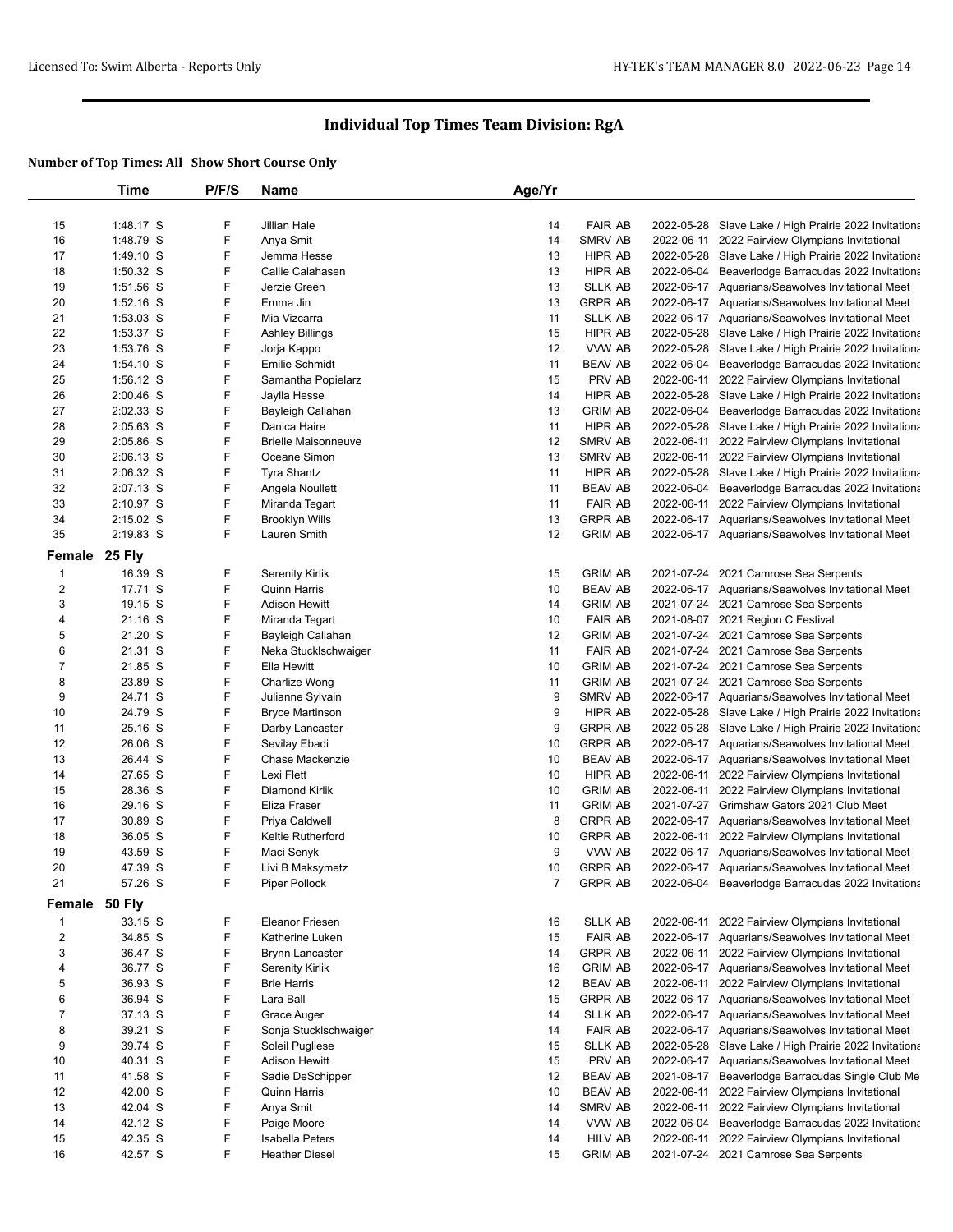|                  | Time               | P/F/S  | <b>Name</b>                | Age/Yr  |                          |            |                                                       |
|------------------|--------------------|--------|----------------------------|---------|--------------------------|------------|-------------------------------------------------------|
|                  |                    |        |                            |         |                          |            |                                                       |
| 15               | 1:48.17 S          | F      | Jillian Hale               | 14      | <b>FAIR AB</b>           |            | 2022-05-28 Slave Lake / High Prairie 2022 Invitationa |
| 16               | 1:48.79 S          | F      | Anya Smit                  | 14      | SMRV AB                  |            | 2022-06-11 2022 Fairview Olympians Invitational       |
| 17               | 1:49.10 S          | F      | Jemma Hesse                | 13      | HIPR AB                  |            | 2022-05-28 Slave Lake / High Prairie 2022 Invitationa |
| 18               | 1:50.32 S          | F      | Callie Calahasen           | 13      | HIPR AB                  |            | 2022-06-04 Beaverlodge Barracudas 2022 Invitationa    |
| 19               | 1:51.56 S          | F      | Jerzie Green               | 13      | <b>SLLK AB</b>           |            | 2022-06-17 Aquarians/Seawolves Invitational Meet      |
| 20               | $1:52.16$ S        | F      | Emma Jin                   | 13      | <b>GRPR AB</b>           |            | 2022-06-17 Aquarians/Seawolves Invitational Meet      |
| 21               | $1:53.03$ S        | F      | Mia Vizcarra               | 11      | SLLK AB                  |            | 2022-06-17 Aquarians/Seawolves Invitational Meet      |
| 22               | 1:53.37 S          | F      | Ashley Billings            | 15      | HIPR AB                  |            | 2022-05-28 Slave Lake / High Prairie 2022 Invitationa |
| 23               | 1:53.76 S          | F      | Jorja Kappo                | 12      | VVW AB                   |            | 2022-05-28 Slave Lake / High Prairie 2022 Invitationa |
| 24               | $1:54.10$ S        | F      | Emilie Schmidt             | 11      | BEAV AB                  |            | 2022-06-04 Beaverlodge Barracudas 2022 Invitationa    |
| 25               | 1:56.12 S          | F      | Samantha Popielarz         | 15      | PRV AB                   |            | 2022-06-11 2022 Fairview Olympians Invitational       |
| 26               | $2:00.46$ S        | F      | Jaylla Hesse               | 14      | HIPR AB                  |            | 2022-05-28 Slave Lake / High Prairie 2022 Invitationa |
| 27               | 2:02.33 S          | F      | Bayleigh Callahan          | 13      | <b>GRIM AB</b>           |            | 2022-06-04 Beaverlodge Barracudas 2022 Invitationa    |
| 28               | $2:05.63$ S        | F      | Danica Haire               | 11      | HIPR AB                  |            | 2022-05-28 Slave Lake / High Prairie 2022 Invitationa |
| 29               | 2:05.86 S          | F      | <b>Brielle Maisonneuve</b> | 12      | SMRV AB                  |            | 2022-06-11 2022 Fairview Olympians Invitational       |
| 30               | $2:06.13$ S        | F<br>F | Oceane Simon               | 13      | SMRV AB                  |            | 2022-06-11 2022 Fairview Olympians Invitational       |
| 31               | 2:06.32 S          |        | Tyra Shantz                | 11      | HIPR AB                  |            | 2022-05-28 Slave Lake / High Prairie 2022 Invitationa |
| 32               | 2:07.13 S          | F      | Angela Noullett            | 11      | BEAV AB                  |            | 2022-06-04 Beaverlodge Barracudas 2022 Invitationa    |
| 33               | 2:10.97 S          | F<br>F | Miranda Tegart             | 11      | <b>FAIR AB</b>           |            | 2022-06-11 2022 Fairview Olympians Invitational       |
| 34               | 2:15.02 S          |        | <b>Brooklyn Wills</b>      | 13      | <b>GRPR AB</b>           |            | 2022-06-17 Aquarians/Seawolves Invitational Meet      |
| 35               | 2:19.83 S          | F      | Lauren Smith               | 12      | <b>GRIM AB</b>           |            | 2022-06-17 Aquarians/Seawolves Invitational Meet      |
| Female           | <b>25 Fly</b>      |        |                            |         |                          |            |                                                       |
| 1                | 16.39 S            | F      | Serenity Kirlik            | 15      | <b>GRIM AB</b>           |            | 2021-07-24 2021 Camrose Sea Serpents                  |
| 2                | 17.71 S            | F      | <b>Quinn Harris</b>        | 10      | <b>BEAV AB</b>           |            | 2022-06-17 Aquarians/Seawolves Invitational Meet      |
| 3                | 19.15 S            | F      | Adison Hewitt              | 14      | <b>GRIM AB</b>           |            | 2021-07-24 2021 Camrose Sea Serpents                  |
| 4                | 21.16 S            | F      | Miranda Tegart             | 10      | <b>FAIR AB</b>           |            | 2021-08-07 2021 Region C Festival                     |
| 5                | 21.20 S            | F      | Bayleigh Callahan          | 12      | <b>GRIM AB</b>           |            | 2021-07-24 2021 Camrose Sea Serpents                  |
| 6                | 21.31 S            | F      | Neka Stucklschwaiger       | 11      | <b>FAIR AB</b>           |            | 2021-07-24 2021 Camrose Sea Serpents                  |
| 7                | 21.85 S            | F      | Ella Hewitt                | 10      | <b>GRIM AB</b>           |            | 2021-07-24 2021 Camrose Sea Serpents                  |
| 8                | 23.89 S            | F      | Charlize Wong              | 11      | <b>GRIM AB</b>           |            | 2021-07-24 2021 Camrose Sea Serpents                  |
| 9                | 24.71 S            | F      | Julianne Sylvain           | 9       | SMRV AB                  |            | 2022-06-17 Aquarians/Seawolves Invitational Meet      |
| 10               | 24.79 S            | F      | Bryce Martinson            | 9       | HIPR AB                  |            | 2022-05-28 Slave Lake / High Prairie 2022 Invitationa |
| 11               | 25.16 S            | F      | Darby Lancaster            | 9       | <b>GRPR AB</b>           |            | 2022-05-28 Slave Lake / High Prairie 2022 Invitationa |
| 12               | 26.06 S            | F      | Sevilay Ebadi              | 10      | <b>GRPR AB</b>           |            | 2022-06-17 Aquarians/Seawolves Invitational Meet      |
| 13               | 26.44 S            | F      | Chase Mackenzie            | 10      | <b>BEAV AB</b>           |            | 2022-06-17 Aquarians/Seawolves Invitational Meet      |
| 14               | 27.65 S            | F      | Lexi Flett                 | 10      | HIPR AB                  |            | 2022-06-11 2022 Fairview Olympians Invitational       |
| 15               | 28.36 S            | F      | Diamond Kirlik             | 10      | <b>GRIM AB</b>           |            | 2022-06-11 2022 Fairview Olympians Invitational       |
| 16               | 29.16 S            | F      | Eliza Fraser               | 11      | <b>GRIM AB</b>           |            | 2021-07-27 Grimshaw Gators 2021 Club Meet             |
| 17               | 30.89 S            | F      | Priya Caldwell             | 8       | <b>GRPR AB</b>           |            | 2022-06-17 Aquarians/Seawolves Invitational Meet      |
| 18               | 36.05 S            | F      | Keltie Rutherford          | 10      | <b>GRPR AB</b>           |            | 2022-06-11 2022 Fairview Olympians Invitational       |
| 19               | 43.59 S            | F<br>F | Maci Senyk                 | 9       | VVW AB<br><b>GRPR AB</b> |            | 2022-06-17 Aquarians/Seawolves Invitational Meet      |
| 20<br>21         | 47.39 S<br>57.26 S | F      | Livi B Maksymetz           | 10<br>7 | <b>GRPR AB</b>           |            | 2022-06-17 Aquarians/Seawolves Invitational Meet      |
|                  |                    |        | Piper Pollock              |         |                          |            | 2022-06-04 Beaverlodge Barracudas 2022 Invitationa    |
| Female 50 Fly    |                    |        |                            |         |                          |            |                                                       |
| $\mathbf{1}$     | 33.15 S            | F      | Eleanor Friesen            | 16      | <b>SLLK AB</b>           |            | 2022-06-11 2022 Fairview Olympians Invitational       |
| $\overline{c}$   | 34.85 S            | F      | Katherine Luken            | 15      | <b>FAIR AB</b>           |            | 2022-06-17 Aquarians/Seawolves Invitational Meet      |
| 3                | 36.47 S            | F      | <b>Brynn Lancaster</b>     | 14      | <b>GRPR AB</b>           | 2022-06-11 | 2022 Fairview Olympians Invitational                  |
| 4                | 36.77 S            | F      | Serenity Kirlik            | 16      | <b>GRIM AB</b>           |            | 2022-06-17 Aquarians/Seawolves Invitational Meet      |
| 5                | 36.93 S            | F      | <b>Brie Harris</b>         | 12      | <b>BEAV AB</b>           |            | 2022-06-11 2022 Fairview Olympians Invitational       |
| 6                | 36.94 S            | F      | Lara Ball                  | 15      | <b>GRPR AB</b>           |            | 2022-06-17 Aquarians/Seawolves Invitational Meet      |
| $\boldsymbol{7}$ | 37.13 S            | F      | Grace Auger                | 14      | <b>SLLK AB</b>           |            | 2022-06-17 Aquarians/Seawolves Invitational Meet      |
| 8                | 39.21 S            | F      | Sonja Stucklschwaiger      | 14      | <b>FAIR AB</b>           |            | 2022-06-17 Aquarians/Seawolves Invitational Meet      |
| 9                | 39.74 S            | F      | Soleil Pugliese            | 15      | <b>SLLK AB</b>           |            | 2022-05-28 Slave Lake / High Prairie 2022 Invitationa |
| 10               | 40.31 S            | F      | <b>Adison Hewitt</b>       | 15      | PRV AB                   |            | 2022-06-17 Aquarians/Seawolves Invitational Meet      |
| 11               | 41.58 S            | F      | Sadie DeSchipper           | 12      | <b>BEAV AB</b>           |            | 2021-08-17 Beaverlodge Barracudas Single Club Me      |
| 12               | 42.00 S            | F      | <b>Quinn Harris</b>        | 10      | <b>BEAV AB</b>           |            | 2022-06-11 2022 Fairview Olympians Invitational       |
| 13               | 42.04 S            | F      | Anya Smit                  | 14      | SMRV AB                  |            | 2022-06-11 2022 Fairview Olympians Invitational       |
| 14               | 42.12 S            | F      | Paige Moore                | 14      | VVW AB                   |            | 2022-06-04 Beaverlodge Barracudas 2022 Invitationa    |
| 15               | 42.35 S            | F      | Isabella Peters            | 14      | <b>HILV AB</b>           |            | 2022-06-11 2022 Fairview Olympians Invitational       |
| 16               | 42.57 S            | F      | <b>Heather Diesel</b>      | 15      | <b>GRIM AB</b>           |            | 2021-07-24 2021 Camrose Sea Serpents                  |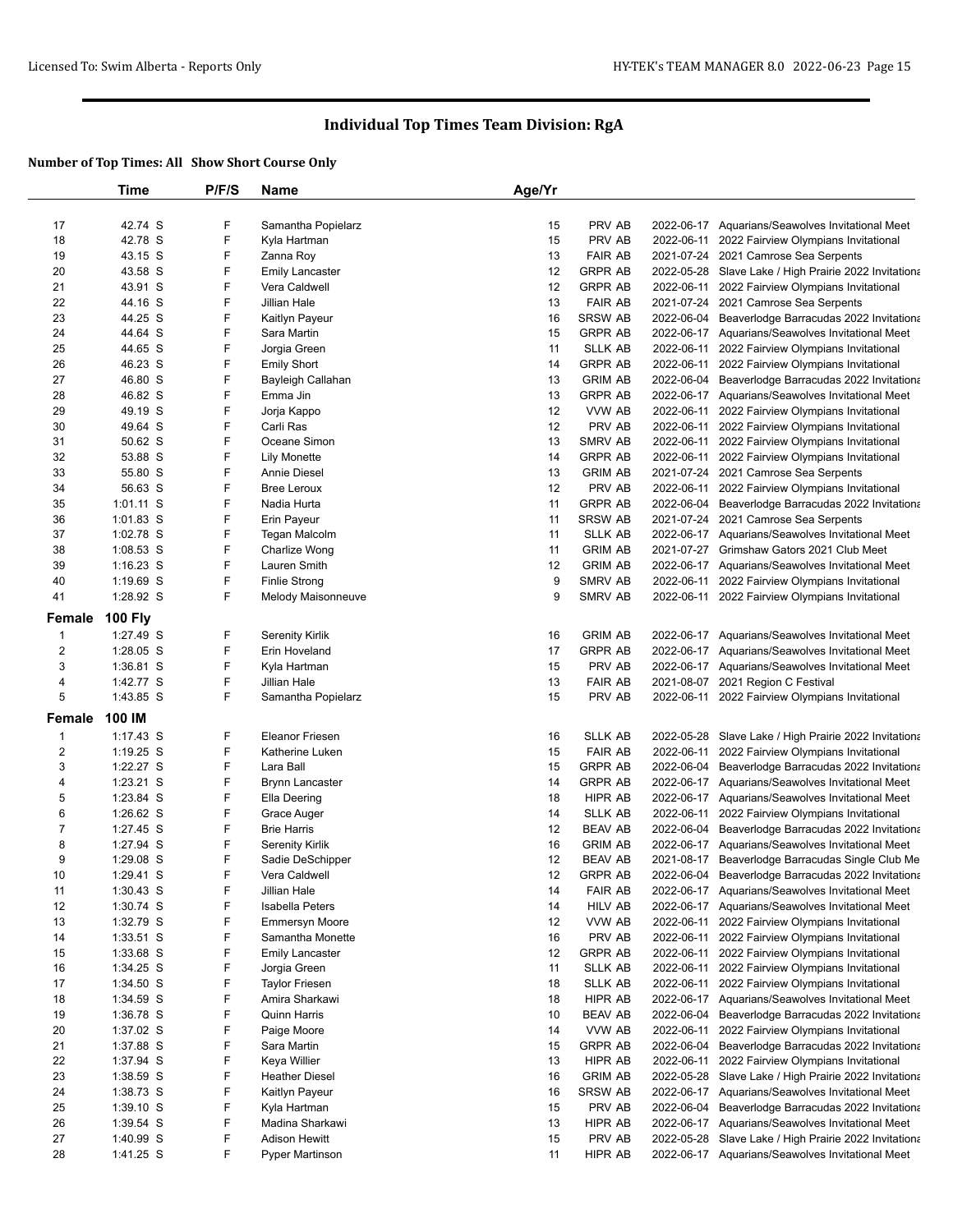|                         | Time           | P/F/S | <b>Name</b>            | Age/Yr |                |            |                                                       |
|-------------------------|----------------|-------|------------------------|--------|----------------|------------|-------------------------------------------------------|
|                         |                |       |                        |        |                |            |                                                       |
| 17                      | 42.74 S        | F     | Samantha Popielarz     | 15     | PRV AB         |            | 2022-06-17 Aquarians/Seawolves Invitational Meet      |
| 18                      | 42.78 S        | F     | Kyla Hartman           | 15     | PRV AB         |            | 2022-06-11 2022 Fairview Olympians Invitational       |
| 19                      | 43.15 S        | F     | Zanna Roy              | 13     | <b>FAIR AB</b> |            | 2021-07-24 2021 Camrose Sea Serpents                  |
| 20                      | 43.58 S        | F     | <b>Emily Lancaster</b> | 12     | <b>GRPR AB</b> |            | 2022-05-28 Slave Lake / High Prairie 2022 Invitationa |
| 21                      | 43.91 S        | F     | Vera Caldwell          | 12     | <b>GRPR AB</b> |            | 2022-06-11 2022 Fairview Olympians Invitational       |
| 22                      | 44.16 S        | F     | Jillian Hale           | 13     | <b>FAIR AB</b> |            | 2021-07-24 2021 Camrose Sea Serpents                  |
| 23                      | 44.25 S        | F     | Kaitlyn Payeur         | 16     | <b>SRSW AB</b> |            | 2022-06-04 Beaverlodge Barracudas 2022 Invitationa    |
| 24                      | 44.64 S        | F     | Sara Martin            | 15     | <b>GRPR AB</b> |            | 2022-06-17 Aquarians/Seawolves Invitational Meet      |
| 25                      | 44.65 S        | F     | Jorgia Green           | 11     | <b>SLLK AB</b> |            | 2022-06-11 2022 Fairview Olympians Invitational       |
| 26                      | 46.23 S        | F     | <b>Emily Short</b>     | 14     | <b>GRPR AB</b> |            | 2022-06-11 2022 Fairview Olympians Invitational       |
| 27                      | 46.80 S        | F     | Bayleigh Callahan      | 13     | <b>GRIM AB</b> |            | 2022-06-04 Beaverlodge Barracudas 2022 Invitationa    |
| 28                      | 46.82 S        | F     | Emma Jin               | 13     | <b>GRPR AB</b> |            | 2022-06-17 Aquarians/Seawolves Invitational Meet      |
| 29                      | 49.19 S        | F     | Jorja Kappo            | 12     | VVW AB         |            | 2022-06-11 2022 Fairview Olympians Invitational       |
| 30                      | 49.64 S        | F     | Carli Ras              | 12     | PRV AB         |            | 2022-06-11 2022 Fairview Olympians Invitational       |
| 31                      | 50.62 S        | F     | Oceane Simon           | 13     | SMRV AB        |            | 2022-06-11 2022 Fairview Olympians Invitational       |
| 32                      | 53.88 S        | F     | <b>Lily Monette</b>    | 14     | <b>GRPR AB</b> |            | 2022-06-11 2022 Fairview Olympians Invitational       |
| 33                      | 55.80 S        | F     | Annie Diesel           | 13     | <b>GRIM AB</b> |            | 2021-07-24 2021 Camrose Sea Serpents                  |
| 34                      | 56.63 S        | F     | <b>Bree Leroux</b>     | 12     | PRV AB         |            | 2022-06-11 2022 Fairview Olympians Invitational       |
| 35                      | $1:01.11$ S    | F     | Nadia Hurta            | 11     | <b>GRPR AB</b> |            | 2022-06-04 Beaverlodge Barracudas 2022 Invitationa    |
| 36                      | 1:01.83 S      | F     | Erin Payeur            | 11     | <b>SRSW AB</b> |            | 2021-07-24 2021 Camrose Sea Serpents                  |
| 37                      | 1:02.78 S      | F     | Tegan Malcolm          | 11     | SLLK AB        |            | 2022-06-17 Aquarians/Seawolves Invitational Meet      |
| 38                      | 1:08.53 S      | F     | Charlize Wong          | 11     | <b>GRIM AB</b> |            | 2021-07-27 Grimshaw Gators 2021 Club Meet             |
| 39                      | $1:16.23$ S    | F     | Lauren Smith           | 12     | <b>GRIM AB</b> |            | 2022-06-17 Aquarians/Seawolves Invitational Meet      |
| 40                      | 1:19.69 S      | F     | <b>Finlie Strong</b>   | 9      | SMRV AB        |            | 2022-06-11 2022 Fairview Olympians Invitational       |
| 41                      | 1:28.92 S      | F     | Melody Maisonneuve     | 9      | <b>SMRV AB</b> |            | 2022-06-11 2022 Fairview Olympians Invitational       |
| Female                  | <b>100 Fly</b> |       |                        |        |                |            |                                                       |
|                         |                |       |                        |        |                |            |                                                       |
| $\mathbf{1}$            | 1:27.49 S      | F     | <b>Serenity Kirlik</b> | 16     | <b>GRIM AB</b> |            | 2022-06-17 Aquarians/Seawolves Invitational Meet      |
| $\mathbf 2$             | 1:28.05 S      | F     | Erin Hoveland          | 17     | <b>GRPR AB</b> |            | 2022-06-17 Aquarians/Seawolves Invitational Meet      |
| 3                       | 1:36.81 S      | F     | Kyla Hartman           | 15     | PRV AB         |            | 2022-06-17 Aquarians/Seawolves Invitational Meet      |
| 4                       | 1:42.77 S      | F     | Jillian Hale           | 13     | <b>FAIR AB</b> |            | 2021-08-07 2021 Region C Festival                     |
| 5                       | 1:43.85 S      | F     | Samantha Popielarz     | 15     | PRV AB         |            | 2022-06-11 2022 Fairview Olympians Invitational       |
| Female                  | 100 IM         |       |                        |        |                |            |                                                       |
| $\mathbf{1}$            | $1:17.43$ S    | F     | <b>Eleanor Friesen</b> | 16     | <b>SLLK AB</b> |            | 2022-05-28 Slave Lake / High Prairie 2022 Invitationa |
| $\overline{\mathbf{c}}$ | 1:19.25 S      | F     | Katherine Luken        | 15     | <b>FAIR AB</b> | 2022-06-11 | 2022 Fairview Olympians Invitational                  |
| 3                       | 1:22.27 S      | F     | Lara Ball              | 15     | <b>GRPR AB</b> |            | 2022-06-04 Beaverlodge Barracudas 2022 Invitationa    |
| 4                       | 1:23.21 S      | F     | <b>Brynn Lancaster</b> | 14     | <b>GRPR AB</b> |            | 2022-06-17 Aquarians/Seawolves Invitational Meet      |
| 5                       | 1:23.84 S      | F     | Ella Deering           | 18     | HIPR AB        |            | 2022-06-17 Aquarians/Seawolves Invitational Meet      |
| 6                       | 1:26.62 S      | F     | Grace Auger            | 14     | <b>SLLK AB</b> |            | 2022-06-11 2022 Fairview Olympians Invitational       |
| $\boldsymbol{7}$        | 1:27.45 S      | F     | <b>Brie Harris</b>     | 12     | <b>BEAV AB</b> |            | 2022-06-04 Beaverlodge Barracudas 2022 Invitationa    |
| 8                       | 1:27.94 S      | F     | Serenity Kirlik        | 16     | <b>GRIM AB</b> |            | 2022-06-17 Aquarians/Seawolves Invitational Meet      |
| 9                       | 1:29.08 S      | F     | Sadie DeSchipper       | 12     | <b>BEAV AB</b> |            | 2021-08-17 Beaverlodge Barracudas Single Club Me      |
| 10                      | 1:29.41 S      | F     | Vera Caldwell          | 12     | <b>GRPR AB</b> |            | 2022-06-04 Beaverlodge Barracudas 2022 Invitationa    |
| 11                      | 1:30.43 S      | F     | Jillian Hale           | 14     | <b>FAIR AB</b> |            | 2022-06-17 Aquarians/Seawolves Invitational Meet      |
| 12                      | 1:30.74 S      | F     | <b>Isabella Peters</b> | 14     | <b>HILV AB</b> |            | 2022-06-17 Aquarians/Seawolves Invitational Meet      |
| 13                      | 1:32.79 S      | F     | <b>Emmersyn Moore</b>  | 12     | VVW AB         |            | 2022-06-11 2022 Fairview Olympians Invitational       |
| 14                      | 1:33.51 S      | F     | Samantha Monette       | 16     | PRV AB         |            | 2022-06-11 2022 Fairview Olympians Invitational       |
| 15                      | 1:33.68 S      | F     | <b>Emily Lancaster</b> | 12     | <b>GRPR AB</b> |            | 2022-06-11 2022 Fairview Olympians Invitational       |
| 16                      | 1:34.25 S      | F     | Jorgia Green           | 11     | <b>SLLK AB</b> |            | 2022-06-11 2022 Fairview Olympians Invitational       |
| 17                      | 1:34.50 S      | F     | <b>Taylor Friesen</b>  | 18     | <b>SLLK AB</b> |            | 2022-06-11 2022 Fairview Olympians Invitational       |
| 18                      | 1:34.59 S      | F     | Amira Sharkawi         | 18     | HIPR AB        |            | 2022-06-17 Aquarians/Seawolves Invitational Meet      |
| 19                      | 1:36.78 S      | F     | <b>Quinn Harris</b>    | 10     | <b>BEAV AB</b> | 2022-06-04 | Beaverlodge Barracudas 2022 Invitationa               |
| 20                      | 1:37.02 S      | F     | Paige Moore            | 14     | VVW AB         | 2022-06-11 | 2022 Fairview Olympians Invitational                  |
| 21                      | 1:37.88 S      | F     | Sara Martin            | 15     | <b>GRPR AB</b> | 2022-06-04 | Beaverlodge Barracudas 2022 Invitationa               |
| 22                      | 1:37.94 S      | F     | Keya Willier           | 13     | HIPR AB        | 2022-06-11 | 2022 Fairview Olympians Invitational                  |
| 23                      | 1:38.59 S      | F     | <b>Heather Diesel</b>  | 16     | <b>GRIM AB</b> |            | 2022-05-28 Slave Lake / High Prairie 2022 Invitationa |
| 24                      | 1:38.73 S      | F     | Kaitlyn Payeur         | 16     | <b>SRSW AB</b> |            | 2022-06-17 Aquarians/Seawolves Invitational Meet      |
| 25                      | 1:39.10 S      | F     | Kyla Hartman           | 15     | PRV AB         |            | 2022-06-04 Beaverlodge Barracudas 2022 Invitationa    |
| 26                      | 1:39.54 S      | F     | Madina Sharkawi        | 13     | HIPR AB        |            | 2022-06-17 Aquarians/Seawolves Invitational Meet      |
| 27                      | 1:40.99 S      | F     | <b>Adison Hewitt</b>   | 15     | PRV AB         |            | 2022-05-28 Slave Lake / High Prairie 2022 Invitationa |
| 28                      | 1:41.25 S      | F     | Pyper Martinson        | 11     | HIPR AB        |            | 2022-06-17 Aquarians/Seawolves Invitational Meet      |
|                         |                |       |                        |        |                |            |                                                       |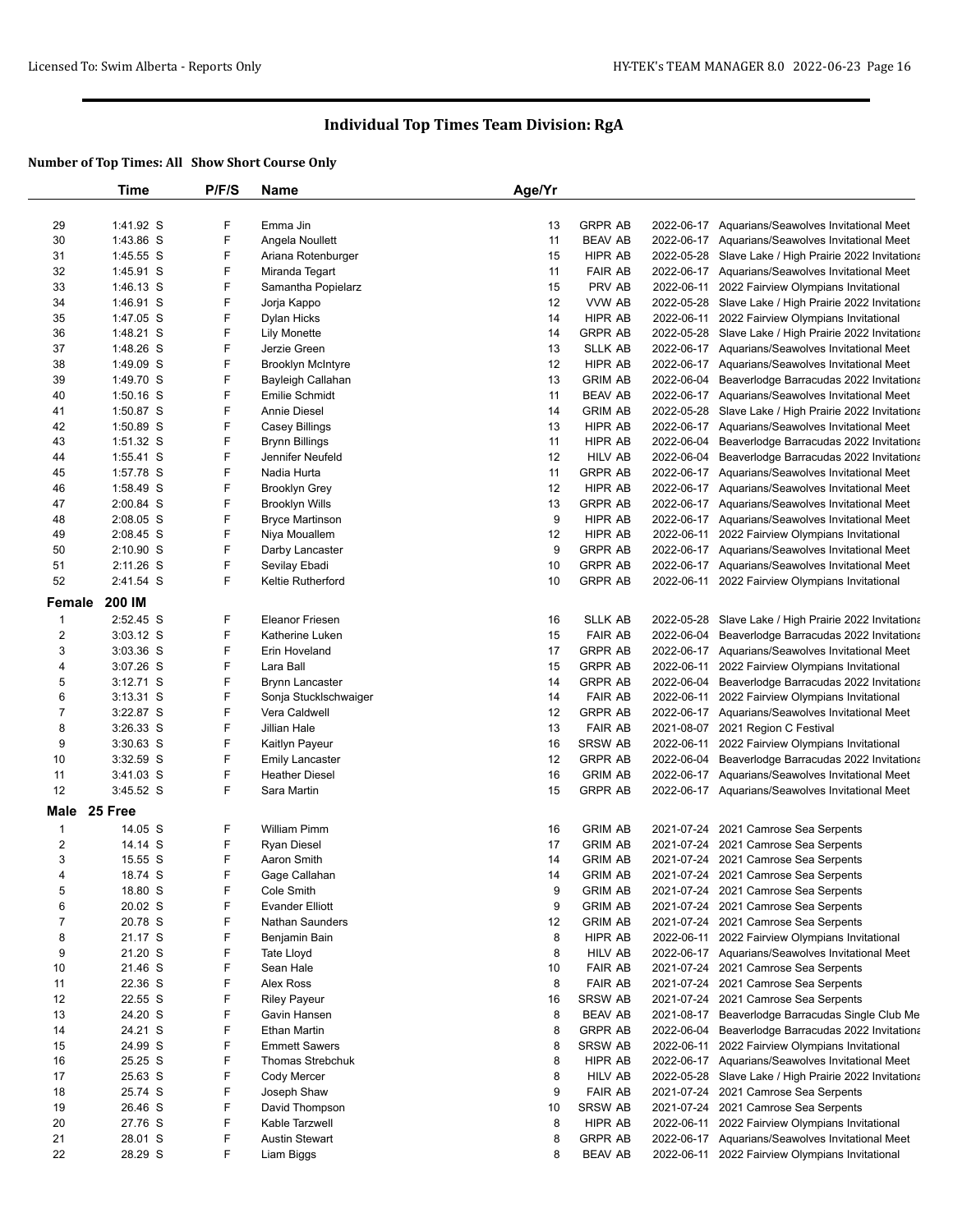|                     | Time               | P/F/S  | Name                              | Age/Yr   |                                  |                                                                              |
|---------------------|--------------------|--------|-----------------------------------|----------|----------------------------------|------------------------------------------------------------------------------|
|                     |                    |        |                                   |          |                                  |                                                                              |
| 29                  | 1:41.92 S          | F      | Emma Jin                          | 13       | <b>GRPR AB</b>                   | 2022-06-17 Aquarians/Seawolves Invitational Meet                             |
| 30                  | 1:43.86 S          | F      | Angela Noullett                   | 11       | <b>BEAV AB</b>                   | 2022-06-17 Aquarians/Seawolves Invitational Meet                             |
| 31                  | 1:45.55 S          | F      | Ariana Rotenburger                | 15       | HIPR AB                          | 2022-05-28 Slave Lake / High Prairie 2022 Invitationa                        |
| 32                  | 1:45.91 S          | F      | Miranda Tegart                    | 11       | <b>FAIR AB</b>                   | 2022-06-17 Aquarians/Seawolves Invitational Meet                             |
| 33                  | 1:46.13 S          | F      | Samantha Popielarz                | 15       | PRV AB                           | 2022-06-11 2022 Fairview Olympians Invitational                              |
| 34                  | 1:46.91 S          | F      | Jorja Kappo                       | 12       | VVW AB                           | 2022-05-28 Slave Lake / High Prairie 2022 Invitationa                        |
| 35                  | 1:47.05 S          | F      | Dylan Hicks                       | 14       | HIPR AB                          | 2022-06-11 2022 Fairview Olympians Invitational                              |
| 36                  | 1:48.21 S          | F      | <b>Lily Monette</b>               | 14       | <b>GRPR AB</b>                   | 2022-05-28 Slave Lake / High Prairie 2022 Invitationa                        |
| 37                  | 1:48.26 S          | F      | Jerzie Green                      | 13       | <b>SLLK AB</b>                   | 2022-06-17 Aquarians/Seawolves Invitational Meet                             |
| 38                  | 1:49.09 S          | F      | <b>Brooklyn McIntyre</b>          | 12       | HIPR AB                          | 2022-06-17 Aquarians/Seawolves Invitational Meet                             |
| 39                  | 1:49.70 S          | F      | Bayleigh Callahan                 | 13       | <b>GRIM AB</b>                   | 2022-06-04 Beaverlodge Barracudas 2022 Invitationa                           |
| 40                  | 1:50.16 S          | F      | Emilie Schmidt                    | 11       | <b>BEAV AB</b>                   | 2022-06-17 Aquarians/Seawolves Invitational Meet                             |
| 41                  | 1:50.87 S          | F      | Annie Diesel                      | 14       | <b>GRIM AB</b>                   | 2022-05-28 Slave Lake / High Prairie 2022 Invitationa                        |
| 42                  | 1:50.89 S          | F      | Casey Billings                    | 13       | HIPR AB                          | 2022-06-17 Aquarians/Seawolves Invitational Meet                             |
| 43                  | 1:51.32 S          | F      | <b>Brynn Billings</b>             | 11       | <b>HIPR AB</b>                   | 2022-06-04 Beaverlodge Barracudas 2022 Invitationa                           |
| 44                  | 1:55.41 S          | F      | Jennifer Neufeld                  | 12       | <b>HILV AB</b>                   | 2022-06-04 Beaverlodge Barracudas 2022 Invitationa                           |
| 45                  | 1:57.78 S          | F      | Nadia Hurta                       | 11       | <b>GRPR AB</b>                   | 2022-06-17 Aquarians/Seawolves Invitational Meet                             |
| 46                  | 1:58.49 S          | F      | <b>Brooklyn Grey</b>              | 12       | HIPR AB                          | 2022-06-17 Aquarians/Seawolves Invitational Meet                             |
| 47                  | 2:00.84 S          | F      | <b>Brooklyn Wills</b>             | 13       | <b>GRPR AB</b>                   | 2022-06-17 Aquarians/Seawolves Invitational Meet                             |
| 48                  | 2:08.05 S          | F      | <b>Bryce Martinson</b>            | 9        | HIPR AB                          | 2022-06-17 Aquarians/Seawolves Invitational Meet                             |
| 49                  | 2:08.45 S          | F      | Niya Mouallem                     | 12       | <b>HIPR AB</b>                   | 2022-06-11 2022 Fairview Olympians Invitational                              |
| 50                  | $2:10.90$ S        | F      | Darby Lancaster                   | 9        | <b>GRPR AB</b>                   | 2022-06-17 Aquarians/Seawolves Invitational Meet                             |
| 51                  | 2:11.26 S          | F      | Sevilay Ebadi                     | 10       | <b>GRPR AB</b>                   | 2022-06-17 Aquarians/Seawolves Invitational Meet                             |
| 52                  | 2:41.54 S          | F      | <b>Keltie Rutherford</b>          | 10       | <b>GRPR AB</b>                   | 2022-06-11 2022 Fairview Olympians Invitational                              |
| Female              | 200 IM             |        |                                   |          |                                  |                                                                              |
| $\mathbf{1}$        | 2:52.45 S          | F      | <b>Eleanor Friesen</b>            | 16       | <b>SLLK AB</b>                   | 2022-05-28 Slave Lake / High Prairie 2022 Invitationa                        |
| $\overline{2}$      | 3:03.12 S          | F      | Katherine Luken                   | 15       | <b>FAIR AB</b>                   | 2022-06-04 Beaverlodge Barracudas 2022 Invitationa                           |
| 3                   | 3:03.36 S          | F      | Erin Hoveland                     | 17       | <b>GRPR AB</b>                   | 2022-06-17 Aquarians/Seawolves Invitational Meet                             |
| 4                   | 3:07.26 S          | F      | Lara Ball                         | 15       | <b>GRPR AB</b>                   | 2022-06-11 2022 Fairview Olympians Invitational                              |
| 5                   | $3:12.71$ S        | F      | <b>Brynn Lancaster</b>            | 14       | <b>GRPR AB</b>                   | 2022-06-04 Beaverlodge Barracudas 2022 Invitationa                           |
| 6                   | 3:13.31 S          | F      | Sonja Stucklschwaiger             | 14       | <b>FAIR AB</b>                   | 2022-06-11 2022 Fairview Olympians Invitational                              |
| 7                   | 3:22.87 S          | F      | Vera Caldwell                     | 12       | <b>GRPR AB</b>                   | 2022-06-17 Aquarians/Seawolves Invitational Meet                             |
| 8                   | 3:26.33 S          | F      | Jillian Hale                      | 13       | <b>FAIR AB</b>                   | 2021-08-07 2021 Region C Festival                                            |
| 9                   | 3:30.63 S          | F      | Kaitlyn Payeur                    | 16       | <b>SRSW AB</b>                   | 2022-06-11 2022 Fairview Olympians Invitational                              |
| 10                  | 3:32.59 S          | F      | <b>Emily Lancaster</b>            | 12       | <b>GRPR AB</b>                   | 2022-06-04 Beaverlodge Barracudas 2022 Invitationa                           |
| 11                  | 3:41.03 S          | F      | <b>Heather Diesel</b>             | 16       | <b>GRIM AB</b>                   | 2022-06-17 Aquarians/Seawolves Invitational Meet                             |
| 12                  | 3:45.52 S          | F      | Sara Martin                       | 15       | <b>GRPR AB</b>                   | 2022-06-17 Aquarians/Seawolves Invitational Meet                             |
| Male                | 25 Free            |        |                                   |          |                                  |                                                                              |
|                     |                    |        |                                   |          | <b>GRIM AB</b>                   |                                                                              |
| $\mathbf{1}$        | 14.05 S            | F      | William Pimm                      | 16       |                                  | 2021-07-24 2021 Camrose Sea Serpents                                         |
| 2                   | 14.14 S            | F<br>F | <b>Ryan Diesel</b><br>Aaron Smith | 17       | <b>GRIM AB</b><br><b>GRIM AB</b> | 2021-07-24 2021 Camrose Sea Serpents                                         |
| 3<br>$\overline{4}$ | 15.55 S            | F      |                                   | 14<br>14 | <b>GRIM AB</b>                   | 2021-07-24 2021 Camrose Sea Serpents                                         |
| 5                   | 18.74 S<br>18.80 S | F      | Gage Callahan<br>Cole Smith       | 9        | <b>GRIM AB</b>                   | 2021-07-24 2021 Camrose Sea Serpents                                         |
| 6                   | 20.02 S            | F      | Evander Elliott                   | 9        | <b>GRIM AB</b>                   | 2021-07-24 2021 Camrose Sea Serpents<br>2021-07-24 2021 Camrose Sea Serpents |
| $\boldsymbol{7}$    | 20.78 S            | F      | <b>Nathan Saunders</b>            | 12       | <b>GRIM AB</b>                   | 2021-07-24 2021 Camrose Sea Serpents                                         |
| 8                   | 21.17 S            | F      | Benjamin Bain                     | 8        | HIPR AB                          | 2022-06-11 2022 Fairview Olympians Invitational                              |
| 9                   | 21.20 S            | F      | Tate Lloyd                        | 8        | <b>HILV AB</b>                   | 2022-06-17 Aquarians/Seawolves Invitational Meet                             |
| 10                  | 21.46 S            | F      | Sean Hale                         | 10       | <b>FAIR AB</b>                   | 2021-07-24 2021 Camrose Sea Serpents                                         |
| 11                  | 22.36 S            | F      | Alex Ross                         | 8        | <b>FAIR AB</b>                   | 2021-07-24 2021 Camrose Sea Serpents                                         |
| 12                  | 22.55 S            | F      | <b>Riley Payeur</b>               | 16       | SRSW AB                          | 2021-07-24 2021 Camrose Sea Serpents                                         |
| 13                  | 24.20 S            | F      | Gavin Hansen                      | 8        | <b>BEAV AB</b>                   | 2021-08-17 Beaverlodge Barracudas Single Club Me                             |
| 14                  | 24.21 S            | F      | Ethan Martin                      | 8        | <b>GRPR AB</b>                   | 2022-06-04 Beaverlodge Barracudas 2022 Invitationa                           |
| 15                  | 24.99 S            | F      | <b>Emmett Sawers</b>              | 8        | SRSW AB                          | 2022-06-11 2022 Fairview Olympians Invitational                              |
| 16                  | 25.25 S            | F      | Thomas Strebchuk                  | 8        | HIPR AB                          | 2022-06-17 Aquarians/Seawolves Invitational Meet                             |
| 17                  | 25.63 S            | F      | Cody Mercer                       | 8        | <b>HILV AB</b>                   | 2022-05-28 Slave Lake / High Prairie 2022 Invitationa                        |
| 18                  | 25.74 S            | F      | Joseph Shaw                       | 9        | <b>FAIR AB</b>                   | 2021-07-24 2021 Camrose Sea Serpents                                         |
| 19                  | 26.46 S            | F      | David Thompson                    | 10       | SRSW AB                          | 2021-07-24 2021 Camrose Sea Serpents                                         |
| 20                  | 27.76 S            | F      | Kable Tarzwell                    | 8        | HIPR AB                          | 2022-06-11 2022 Fairview Olympians Invitational                              |
| 21                  | 28.01 S            | F      | <b>Austin Stewart</b>             | 8        | <b>GRPR AB</b>                   | 2022-06-17 Aquarians/Seawolves Invitational Meet                             |
| 22                  | 28.29 S            | F      | Liam Biggs                        | 8        | <b>BEAV AB</b>                   | 2022-06-11 2022 Fairview Olympians Invitational                              |
|                     |                    |        |                                   |          |                                  |                                                                              |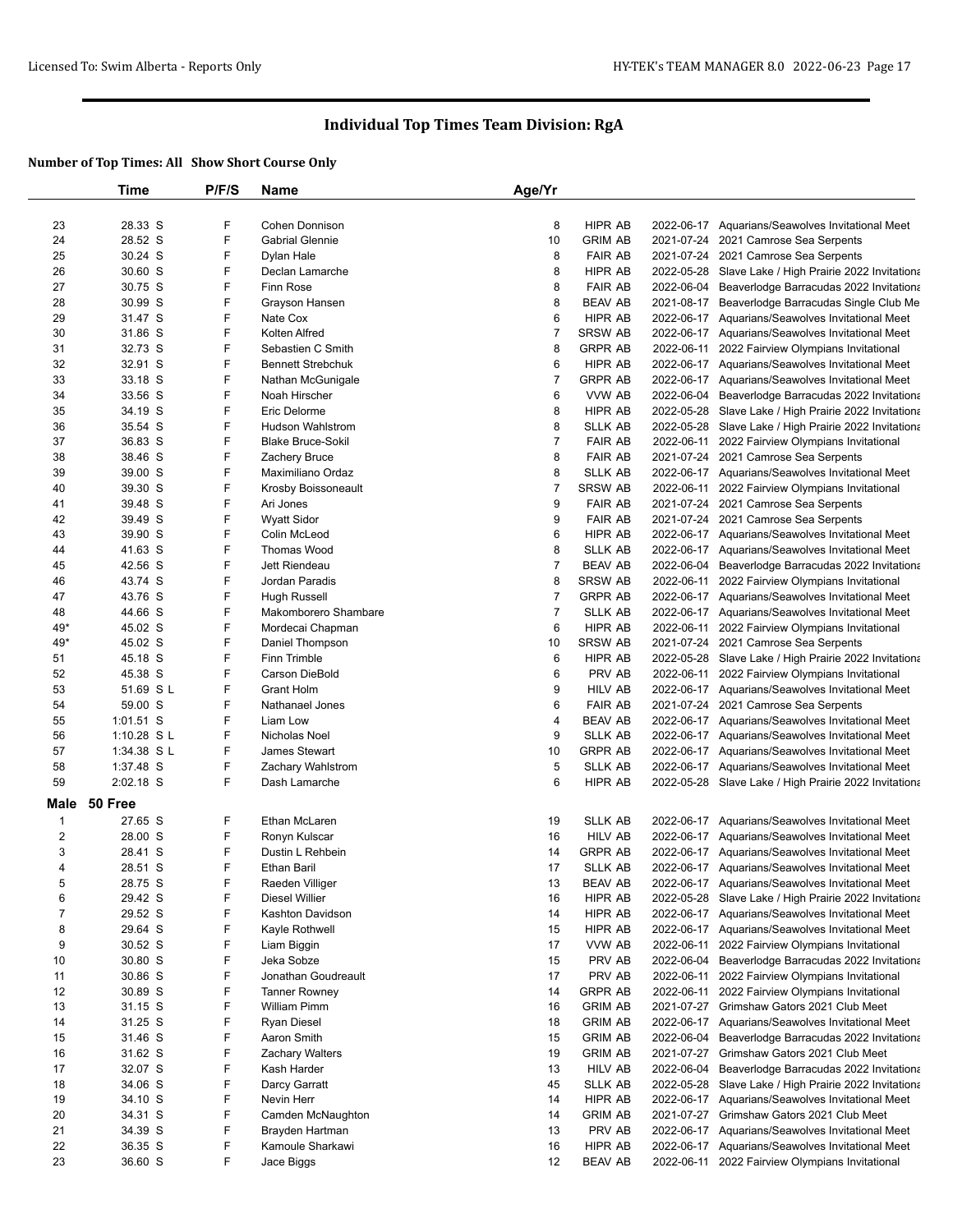|              | Time        | P/F/S | <b>Name</b>              | Age/Yr         |                |                                                       |
|--------------|-------------|-------|--------------------------|----------------|----------------|-------------------------------------------------------|
|              |             |       |                          |                |                |                                                       |
| 23           | 28.33 S     | F     | Cohen Donnison           | 8              | HIPR AB        | 2022-06-17 Aquarians/Seawolves Invitational Meet      |
| 24           | 28.52 S     | F     | <b>Gabrial Glennie</b>   | 10             | <b>GRIM AB</b> | 2021-07-24 2021 Camrose Sea Serpents                  |
| 25           | 30.24 S     | F     | Dylan Hale               | 8              | <b>FAIR AB</b> | 2021-07-24 2021 Camrose Sea Serpents                  |
| 26           | 30.60 S     | F     | Declan Lamarche          | 8              | HIPR AB        | 2022-05-28 Slave Lake / High Prairie 2022 Invitationa |
| 27           | 30.75 S     | F     | <b>Finn Rose</b>         | 8              | <b>FAIR AB</b> | 2022-06-04 Beaverlodge Barracudas 2022 Invitationa    |
| 28           | 30.99 S     | F     | Grayson Hansen           | 8              | <b>BEAV AB</b> | 2021-08-17 Beaverlodge Barracudas Single Club Me      |
| 29           | 31.47 S     | F     | Nate Cox                 | 6              | HIPR AB        | 2022-06-17 Aquarians/Seawolves Invitational Meet      |
| 30           | 31.86 S     | F     | Kolten Alfred            | $\overline{7}$ | <b>SRSW AB</b> | 2022-06-17 Aquarians/Seawolves Invitational Meet      |
| 31           | 32.73 S     | F     | Sebastien C Smith        | 8              | <b>GRPR AB</b> | 2022-06-11 2022 Fairview Olympians Invitational       |
| 32           | 32.91 S     | F     | <b>Bennett Strebchuk</b> | 6              | HIPR AB        | 2022-06-17 Aquarians/Seawolves Invitational Meet      |
| 33           | 33.18 S     | F     | Nathan McGunigale        | $\overline{7}$ | <b>GRPR AB</b> | 2022-06-17 Aquarians/Seawolves Invitational Meet      |
| 34           | 33.56 S     | F     | Noah Hirscher            | 6              | VVW AB         | 2022-06-04 Beaverlodge Barracudas 2022 Invitationa    |
| 35           | 34.19 S     | F     | Eric Delorme             | 8              | HIPR AB        | 2022-05-28 Slave Lake / High Prairie 2022 Invitationa |
| 36           | 35.54 S     | F     | <b>Hudson Wahlstrom</b>  | 8              | <b>SLLK AB</b> | 2022-05-28 Slave Lake / High Prairie 2022 Invitationa |
| 37           | 36.83 S     | F     | <b>Blake Bruce-Sokil</b> | 7              | <b>FAIR AB</b> | 2022-06-11 2022 Fairview Olympians Invitational       |
| 38           | 38.46 S     | F     | Zachery Bruce            | 8              | <b>FAIR AB</b> | 2021-07-24 2021 Camrose Sea Serpents                  |
| 39           | 39.00 S     | F     | Maximiliano Ordaz        | 8              | <b>SLLK AB</b> | 2022-06-17 Aquarians/Seawolves Invitational Meet      |
| 40           | 39.30 S     | F     | Krosby Boissoneault      | $\overline{7}$ | SRSW AB        | 2022-06-11 2022 Fairview Olympians Invitational       |
| 41           | 39.48 S     | F     | Ari Jones                | 9              | <b>FAIR AB</b> | 2021-07-24 2021 Camrose Sea Serpents                  |
| 42           | 39.49 S     | F     | <b>Wyatt Sidor</b>       | 9              | <b>FAIR AB</b> | 2021-07-24 2021 Camrose Sea Serpents                  |
| 43           | 39.90 S     | F     | Colin McLeod             | 6              | HIPR AB        | 2022-06-17 Aquarians/Seawolves Invitational Meet      |
| 44           | 41.63 S     | F     | <b>Thomas Wood</b>       | 8              | <b>SLLK AB</b> | 2022-06-17 Aquarians/Seawolves Invitational Meet      |
| 45           | 42.56 S     | F     | Jett Riendeau            | $\overline{7}$ | <b>BEAV AB</b> | 2022-06-04 Beaverlodge Barracudas 2022 Invitationa    |
| 46           | 43.74 S     | F     | Jordan Paradis           | 8              | SRSW AB        | 2022-06-11 2022 Fairview Olympians Invitational       |
| 47           | 43.76 S     | F     | <b>Hugh Russell</b>      | 7              | <b>GRPR AB</b> | 2022-06-17 Aquarians/Seawolves Invitational Meet      |
| 48           | 44.66 S     | F     | Makomborero Shambare     | 7              | <b>SLLK AB</b> | 2022-06-17 Aquarians/Seawolves Invitational Meet      |
| 49*          | 45.02 S     | F     | Mordecai Chapman         | 6              | HIPR AB        | 2022-06-11 2022 Fairview Olympians Invitational       |
| 49*          | 45.02 S     | F     | Daniel Thompson          | 10             | <b>SRSW AB</b> | 2021-07-24 2021 Camrose Sea Serpents                  |
| 51           | 45.18 S     | F     | Finn Trimble             | 6              | HIPR AB        | 2022-05-28 Slave Lake / High Prairie 2022 Invitationa |
| 52           | 45.38 S     | F     | <b>Carson DieBold</b>    | 6              | PRV AB         | 2022-06-11 2022 Fairview Olympians Invitational       |
| 53           | 51.69 S L   | F     | <b>Grant Holm</b>        | 9              | <b>HILV AB</b> | 2022-06-17 Aquarians/Seawolves Invitational Meet      |
| 54           | 59.00 S     | F     | Nathanael Jones          | 6              | <b>FAIR AB</b> | 2021-07-24 2021 Camrose Sea Serpents                  |
| 55           | 1:01.51 S   | F     | Liam Low                 | 4              | <b>BEAV AB</b> | 2022-06-17 Aquarians/Seawolves Invitational Meet      |
| 56           | 1:10.28 SL  | F     | Nicholas Noel            | 9              | <b>SLLK AB</b> | 2022-06-17 Aquarians/Seawolves Invitational Meet      |
| 57           | 1:34.38 S L | F     | James Stewart            | 10             | <b>GRPR AB</b> | 2022-06-17 Aquarians/Seawolves Invitational Meet      |
| 58           | 1:37.48 S   | F     | Zachary Wahlstrom        | 5              | <b>SLLK AB</b> | 2022-06-17 Aquarians/Seawolves Invitational Meet      |
| 59           | 2:02.18 S   | F     | Dash Lamarche            | 6              | HIPR AB        | 2022-05-28 Slave Lake / High Prairie 2022 Invitationa |
| Male         | 50 Free     |       |                          |                |                |                                                       |
| $\mathbf{1}$ | 27.65 S     | F     | Ethan McLaren            | 19             | <b>SLLK AB</b> | 2022-06-17 Aquarians/Seawolves Invitational Meet      |
| 2            | 28.00 S     | F     | Ronyn Kulscar            | 16             | <b>HILV AB</b> | 2022-06-17 Aquarians/Seawolves Invitational Meet      |
| 3            | 28.41 S     | F     | Dustin L Rehbein         | 14             | <b>GRPR AB</b> | 2022-06-17 Aquarians/Seawolves Invitational Meet      |
| 4            | 28.51 S     | F     | <b>Ethan Baril</b>       | 17             | <b>SLLK AB</b> | 2022-06-17 Aquarians/Seawolves Invitational Meet      |
|              | 28.75 S     | F     | Raeden Villiger          | 13             | <b>BEAV AB</b> | 2022-06-17 Aquarians/Seawolves Invitational Meet      |
| 6            | 29.42 S     | F     | Diesel Willier           | 16             | HIPR AB        | 2022-05-28 Slave Lake / High Prairie 2022 Invitationa |
| 7            | 29.52 S     | F     | Kashton Davidson         | 14             | HIPR AB        | 2022-06-17 Aquarians/Seawolves Invitational Meet      |
| 8            | 29.64 S     | F     | Kayle Rothwell           | 15             | HIPR AB        | 2022-06-17 Aquarians/Seawolves Invitational Meet      |
| 9            | 30.52 S     | F     | Liam Biggin              | 17             | VVW AB         | 2022-06-11 2022 Fairview Olympians Invitational       |
| 10           | 30.80 S     | F     | Jeka Sobze               | 15             | PRV AB         | 2022-06-04 Beaverlodge Barracudas 2022 Invitationa    |
| 11           | 30.86 S     | F     | Jonathan Goudreault      | 17             | PRV AB         | 2022-06-11 2022 Fairview Olympians Invitational       |
| 12           | 30.89 S     | F     | <b>Tanner Rowney</b>     | 14             | <b>GRPR AB</b> | 2022-06-11 2022 Fairview Olympians Invitational       |
| 13           | 31.15 S     | F     | William Pimm             | 16             | <b>GRIM AB</b> | 2021-07-27 Grimshaw Gators 2021 Club Meet             |
| 14           | 31.25 S     | F     | Ryan Diesel              | 18             | <b>GRIM AB</b> | 2022-06-17 Aquarians/Seawolves Invitational Meet      |
| 15           | 31.46 S     | F     | Aaron Smith              | 15             | <b>GRIM AB</b> | 2022-06-04 Beaverlodge Barracudas 2022 Invitationa    |
| 16           | 31.62 S     | F     | <b>Zachary Walters</b>   | 19             | <b>GRIM AB</b> | 2021-07-27 Grimshaw Gators 2021 Club Meet             |
| 17           | 32.07 S     | F     | Kash Harder              | 13             | <b>HILV AB</b> | 2022-06-04 Beaverlodge Barracudas 2022 Invitationa    |
| 18           | 34.06 S     | F     | Darcy Garratt            | 45             | <b>SLLK AB</b> | 2022-05-28 Slave Lake / High Prairie 2022 Invitationa |
| 19           | 34.10 S     | F     | Nevin Herr               | 14             | HIPR AB        | 2022-06-17 Aquarians/Seawolves Invitational Meet      |
| 20           | 34.31 S     | F     | Camden McNaughton        | 14             | <b>GRIM AB</b> | 2021-07-27 Grimshaw Gators 2021 Club Meet             |
| 21           | 34.39 S     | F     | Brayden Hartman          | 13             | PRV AB         | 2022-06-17 Aquarians/Seawolves Invitational Meet      |
| 22           | 36.35 S     | F     | Kamoule Sharkawi         | 16             | HIPR AB        | 2022-06-17 Aquarians/Seawolves Invitational Meet      |
| 23           | 36.60 S     | F     | Jace Biggs               | 12             | <b>BEAV AB</b> | 2022-06-11 2022 Fairview Olympians Invitational       |
|              |             |       |                          |                |                |                                                       |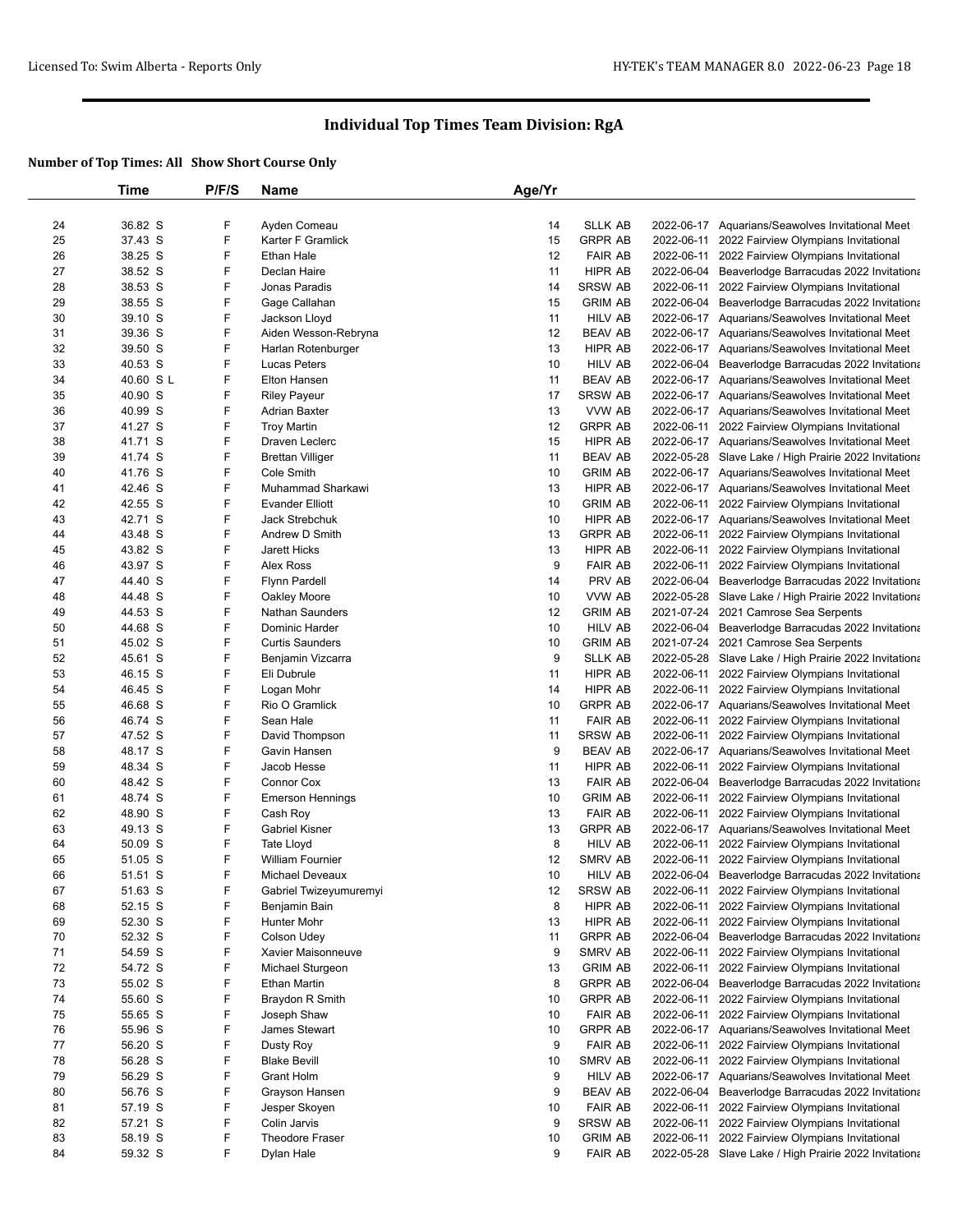|    | Time      | P/F/S | <b>Name</b>             | Age/Yr |                |            |                                                       |
|----|-----------|-------|-------------------------|--------|----------------|------------|-------------------------------------------------------|
|    |           |       |                         |        |                |            |                                                       |
| 24 | 36.82 S   | F     | Ayden Comeau            | 14     | <b>SLLK AB</b> |            | 2022-06-17 Aquarians/Seawolves Invitational Meet      |
| 25 | 37.43 S   | F     | Karter F Gramlick       | 15     | <b>GRPR AB</b> |            | 2022-06-11 2022 Fairview Olympians Invitational       |
| 26 | 38.25 S   | F     | Ethan Hale              | 12     | <b>FAIR AB</b> |            | 2022-06-11 2022 Fairview Olympians Invitational       |
| 27 | 38.52 S   | F     | Declan Haire            | 11     | HIPR AB        |            | 2022-06-04 Beaverlodge Barracudas 2022 Invitationa    |
| 28 | 38.53 S   | F     | Jonas Paradis           | 14     | SRSW AB        |            | 2022-06-11 2022 Fairview Olympians Invitational       |
| 29 | 38.55 S   | F     | Gage Callahan           | 15     | <b>GRIM AB</b> |            | 2022-06-04 Beaverlodge Barracudas 2022 Invitationa    |
| 30 | 39.10 S   | F     | Jackson Lloyd           | 11     | HILV AB        |            | 2022-06-17 Aquarians/Seawolves Invitational Meet      |
| 31 | 39.36 S   | F     | Aiden Wesson-Rebryna    | 12     | <b>BEAV AB</b> |            | 2022-06-17 Aquarians/Seawolves Invitational Meet      |
| 32 | 39.50 S   | F     | Harlan Rotenburger      | 13     | HIPR AB        |            | 2022-06-17 Aquarians/Seawolves Invitational Meet      |
| 33 | 40.53 S   | F     | <b>Lucas Peters</b>     | 10     | HILV AB        | 2022-06-04 | Beaverlodge Barracudas 2022 Invitationa               |
| 34 | 40.60 S L | F     | Elton Hansen            | 11     | <b>BEAV AB</b> |            | 2022-06-17 Aquarians/Seawolves Invitational Meet      |
| 35 | 40.90 S   | F     | <b>Riley Payeur</b>     | 17     | SRSW AB        |            | 2022-06-17 Aquarians/Seawolves Invitational Meet      |
| 36 | 40.99 S   | F     | <b>Adrian Baxter</b>    | 13     | VVW AB         |            | 2022-06-17 Aquarians/Seawolves Invitational Meet      |
| 37 | 41.27 S   | F     | <b>Troy Martin</b>      | 12     | <b>GRPR AB</b> |            | 2022-06-11 2022 Fairview Olympians Invitational       |
| 38 | 41.71 S   | F     | Draven Leclerc          | 15     | HIPR AB        |            | 2022-06-17 Aquarians/Seawolves Invitational Meet      |
| 39 | 41.74 S   | F     | <b>Brettan Villiger</b> | 11     | <b>BEAV AB</b> |            | 2022-05-28 Slave Lake / High Prairie 2022 Invitationa |
| 40 | 41.76 S   | F     | Cole Smith              | 10     | <b>GRIM AB</b> |            | 2022-06-17 Aquarians/Seawolves Invitational Meet      |
| 41 | 42.46 S   | F     | Muhammad Sharkawi       | 13     | HIPR AB        |            |                                                       |
|    |           |       |                         |        |                |            | 2022-06-17 Aquarians/Seawolves Invitational Meet      |
| 42 | 42.55 S   | F     | <b>Evander Elliott</b>  | 10     | <b>GRIM AB</b> |            | 2022-06-11 2022 Fairview Olympians Invitational       |
| 43 | 42.71 S   | F     | Jack Strebchuk          | 10     | HIPR AB        |            | 2022-06-17 Aquarians/Seawolves Invitational Meet      |
| 44 | 43.48 S   | F     | Andrew D Smith          | 13     | <b>GRPR AB</b> |            | 2022-06-11 2022 Fairview Olympians Invitational       |
| 45 | 43.82 S   | F     | Jarett Hicks            | 13     | HIPR AB        |            | 2022-06-11 2022 Fairview Olympians Invitational       |
| 46 | 43.97 S   | F     | <b>Alex Ross</b>        | 9      | <b>FAIR AB</b> |            | 2022-06-11 2022 Fairview Olympians Invitational       |
| 47 | 44.40 S   | F     | <b>Flynn Pardell</b>    | 14     | PRV AB         |            | 2022-06-04 Beaverlodge Barracudas 2022 Invitationa    |
| 48 | 44.48 S   | F     | Oakley Moore            | 10     | VVW AB         |            | 2022-05-28 Slave Lake / High Prairie 2022 Invitationa |
| 49 | 44.53 S   | F     | <b>Nathan Saunders</b>  | 12     | <b>GRIM AB</b> |            | 2021-07-24 2021 Camrose Sea Serpents                  |
| 50 | 44.68 S   | F     | Dominic Harder          | 10     | <b>HILV AB</b> | 2022-06-04 | Beaverlodge Barracudas 2022 Invitationa               |
| 51 | 45.02 S   | F     | <b>Curtis Saunders</b>  | 10     | <b>GRIM AB</b> |            | 2021-07-24 2021 Camrose Sea Serpents                  |
| 52 | 45.61 S   | F     | Benjamin Vizcarra       | 9      | SLLK AB        |            | 2022-05-28 Slave Lake / High Prairie 2022 Invitationa |
| 53 | 46.15 S   | F     | Eli Dubrule             | 11     | HIPR AB        |            | 2022-06-11 2022 Fairview Olympians Invitational       |
| 54 | 46.45 S   | F     | Logan Mohr              | 14     | HIPR AB        |            | 2022-06-11 2022 Fairview Olympians Invitational       |
| 55 | 46.68 S   | F     | Rio O Gramlick          | 10     | <b>GRPR AB</b> |            | 2022-06-17 Aquarians/Seawolves Invitational Meet      |
| 56 | 46.74 S   | F     | Sean Hale               | 11     | <b>FAIR AB</b> |            | 2022-06-11 2022 Fairview Olympians Invitational       |
| 57 | 47.52 S   | F     | David Thompson          | 11     | SRSW AB        |            | 2022-06-11 2022 Fairview Olympians Invitational       |
| 58 | 48.17 S   | F     | Gavin Hansen            | 9      | <b>BEAV AB</b> |            | 2022-06-17 Aquarians/Seawolves Invitational Meet      |
| 59 | 48.34 S   | F     | Jacob Hesse             | 11     | HIPR AB        |            | 2022-06-11 2022 Fairview Olympians Invitational       |
| 60 | 48.42 S   | F     | <b>Connor Cox</b>       | 13     | <b>FAIR AB</b> |            | 2022-06-04 Beaverlodge Barracudas 2022 Invitationa    |
| 61 | 48.74 S   | F     | <b>Emerson Hennings</b> | 10     | <b>GRIM AB</b> |            | 2022-06-11 2022 Fairview Olympians Invitational       |
| 62 | 48.90 S   | F     | Cash Roy                | 13     | <b>FAIR AB</b> |            | 2022-06-11 2022 Fairview Olympians Invitational       |
| 63 | 49.13 S   | F     | <b>Gabriel Kisner</b>   | 13     | <b>GRPR AB</b> |            | 2022-06-17 Aquarians/Seawolves Invitational Meet      |
| 64 | $50.09$ S | F     | <b>Tate Lloyd</b>       | 8      | <b>HILV AB</b> |            | 2022-06-11 2022 Fairview Olympians Invitational       |
| 65 | 51.05 S   | F     | <b>William Fournier</b> | 12     | SMRV AB        |            | 2022-06-11 2022 Fairview Olympians Invitational       |
| 66 | 51.51 S   | F     | Michael Deveaux         | 10     | <b>HILV AB</b> |            | 2022-06-04 Beaverlodge Barracudas 2022 Invitationa    |
| 67 | 51.63 S   | F     | Gabriel Twizeyumuremyi  | 12     | <b>SRSW AB</b> |            | 2022-06-11 2022 Fairview Olympians Invitational       |
| 68 | 52.15 S   | F     | Benjamin Bain           | 8      | HIPR AB        | 2022-06-11 | 2022 Fairview Olympians Invitational                  |
| 69 | 52.30 S   | F     | Hunter Mohr             | 13     | HIPR AB        |            | 2022-06-11 2022 Fairview Olympians Invitational       |
| 70 |           | F     | Colson Udey             |        | <b>GRPR AB</b> | 2022-06-04 | Beaverlodge Barracudas 2022 Invitationa               |
|    | 52.32 S   |       |                         | 11     |                |            |                                                       |
| 71 | 54.59 S   | F     | Xavier Maisonneuve      | 9      | SMRV AB        | 2022-06-11 | 2022 Fairview Olympians Invitational                  |
| 72 | 54.72 S   | F     | Michael Sturgeon        | 13     | <b>GRIM AB</b> | 2022-06-11 | 2022 Fairview Olympians Invitational                  |
| 73 | 55.02 S   | F     | Ethan Martin            | 8      | <b>GRPR AB</b> |            | 2022-06-04 Beaverlodge Barracudas 2022 Invitationa    |
| 74 | 55.60 S   | F     | Braydon R Smith         | 10     | <b>GRPR AB</b> |            | 2022-06-11 2022 Fairview Olympians Invitational       |
| 75 | 55.65 S   | F     | Joseph Shaw             | 10     | <b>FAIR AB</b> |            | 2022-06-11 2022 Fairview Olympians Invitational       |
| 76 | 55.96 S   | F     | James Stewart           | 10     | <b>GRPR AB</b> |            | 2022-06-17 Aquarians/Seawolves Invitational Meet      |
| 77 | 56.20 S   | F     | Dusty Roy               | 9      | <b>FAIR AB</b> |            | 2022-06-11 2022 Fairview Olympians Invitational       |
| 78 | 56.28 S   | F     | <b>Blake Bevill</b>     | 10     | SMRV AB        |            | 2022-06-11 2022 Fairview Olympians Invitational       |
| 79 | 56.29 S   | F     | <b>Grant Holm</b>       | 9      | <b>HILV AB</b> |            | 2022-06-17 Aquarians/Seawolves Invitational Meet      |
| 80 | 56.76 S   | F     | Grayson Hansen          | 9      | <b>BEAV AB</b> | 2022-06-04 | Beaverlodge Barracudas 2022 Invitationa               |
| 81 | 57.19 S   | F     | Jesper Skoyen           | 10     | <b>FAIR AB</b> |            | 2022-06-11 2022 Fairview Olympians Invitational       |
| 82 | 57.21 S   | F     | Colin Jarvis            | 9      | SRSW AB        |            | 2022-06-11 2022 Fairview Olympians Invitational       |
| 83 | 58.19 S   | F     | Theodore Fraser         | 10     | <b>GRIM AB</b> |            | 2022-06-11 2022 Fairview Olympians Invitational       |
| 84 | 59.32 S   | F     | Dylan Hale              | 9      | <b>FAIR AB</b> |            | 2022-05-28 Slave Lake / High Prairie 2022 Invitationa |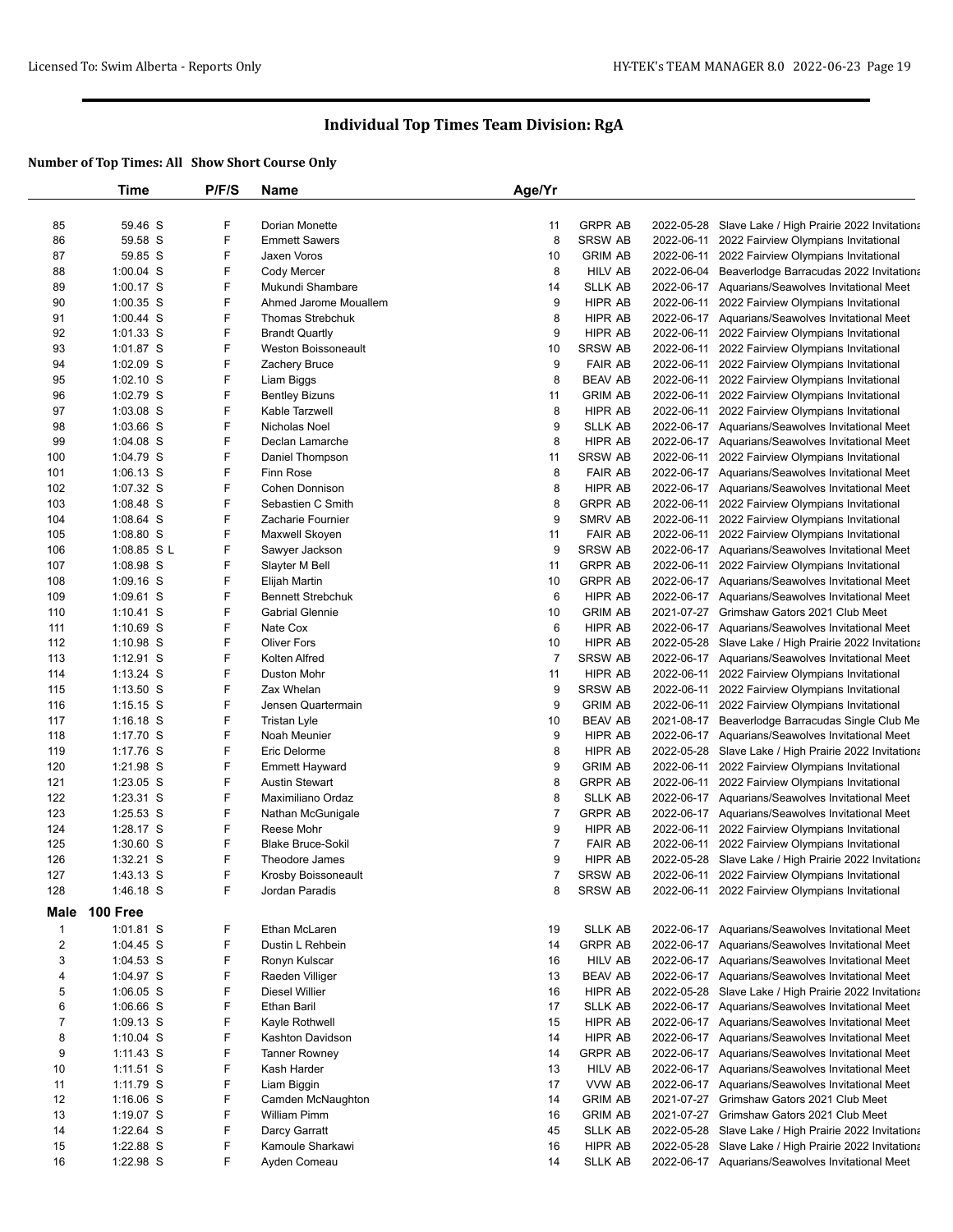|                  | Time                     | P/F/S  | Name                        | Age/Yr         |                                  |                                                                                                    |
|------------------|--------------------------|--------|-----------------------------|----------------|----------------------------------|----------------------------------------------------------------------------------------------------|
|                  |                          |        |                             |                |                                  |                                                                                                    |
| 85               | 59.46 S                  | F      | Dorian Monette              | 11             | <b>GRPR AB</b>                   | 2022-05-28 Slave Lake / High Prairie 2022 Invitationa                                              |
| 86               | 59.58 S                  | F      | <b>Emmett Sawers</b>        | 8              | <b>SRSW AB</b>                   | 2022-06-11 2022 Fairview Olympians Invitational                                                    |
| 87               | 59.85 S                  | F      | Jaxen Voros                 | 10             | <b>GRIM AB</b>                   | 2022-06-11 2022 Fairview Olympians Invitational                                                    |
| 88               | 1:00.04 S                | F      | Cody Mercer                 | 8              | <b>HILV AB</b>                   | 2022-06-04 Beaverlodge Barracudas 2022 Invitationa                                                 |
| 89               | 1:00.17 S                | F      | Mukundi Shambare            | 14             | <b>SLLK AB</b>                   | 2022-06-17 Aquarians/Seawolves Invitational Meet                                                   |
| 90               | 1:00.35 S                | F      | Ahmed Jarome Mouallem       | 9              | HIPR AB                          | 2022-06-11 2022 Fairview Olympians Invitational                                                    |
| 91               | 1:00.44 S                | F      | <b>Thomas Strebchuk</b>     | 8              | HIPR AB                          | 2022-06-17 Aquarians/Seawolves Invitational Meet                                                   |
| 92               | 1:01.33 S                | F      | <b>Brandt Quartly</b>       | 9              | HIPR AB                          | 2022-06-11 2022 Fairview Olympians Invitational                                                    |
| 93               | 1:01.87 S                | F<br>F | Weston Boissoneault         | 10             | <b>SRSW AB</b>                   | 2022-06-11 2022 Fairview Olympians Invitational                                                    |
| 94<br>95         | 1:02.09 S<br>$1:02.10$ S | F      | Zachery Bruce<br>Liam Biggs | 9<br>8         | <b>FAIR AB</b><br><b>BEAV AB</b> | 2022-06-11 2022 Fairview Olympians Invitational<br>2022-06-11 2022 Fairview Olympians Invitational |
| 96               | 1:02.79 S                | F      | <b>Bentley Bizuns</b>       | 11             | <b>GRIM AB</b>                   | 2022-06-11 2022 Fairview Olympians Invitational                                                    |
| 97               | 1:03.08 S                | F      | Kable Tarzwell              | 8              | HIPR AB                          | 2022-06-11 2022 Fairview Olympians Invitational                                                    |
| 98               | 1:03.66 S                | F      | Nicholas Noel               | 9              | <b>SLLK AB</b>                   | 2022-06-17 Aquarians/Seawolves Invitational Meet                                                   |
| 99               | $1:04.08$ S              | F      | Declan Lamarche             | 8              | HIPR AB                          | 2022-06-17 Aquarians/Seawolves Invitational Meet                                                   |
| 100              | 1:04.79 S                | F      | Daniel Thompson             | 11             | <b>SRSW AB</b>                   | 2022-06-11 2022 Fairview Olympians Invitational                                                    |
| 101              | 1:06.13 S                | F      | <b>Finn Rose</b>            | 8              | <b>FAIR AB</b>                   | 2022-06-17 Aquarians/Seawolves Invitational Meet                                                   |
| 102              | 1:07.32 S                | F      | <b>Cohen Donnison</b>       | 8              | HIPR AB                          | 2022-06-17 Aquarians/Seawolves Invitational Meet                                                   |
| 103              | 1:08.48 S                | F      | Sebastien C Smith           | 8              | <b>GRPR AB</b>                   | 2022-06-11 2022 Fairview Olympians Invitational                                                    |
| 104              | 1:08.64 S                | F      | Zacharie Fournier           | 9              | SMRV AB                          | 2022-06-11 2022 Fairview Olympians Invitational                                                    |
| 105              | 1:08.80 S                | F      | Maxwell Skoyen              | 11             | <b>FAIR AB</b>                   | 2022-06-11 2022 Fairview Olympians Invitational                                                    |
| 106              | 1:08.85 SL               | F      | Sawyer Jackson              | 9              | <b>SRSW AB</b>                   | 2022-06-17 Aquarians/Seawolves Invitational Meet                                                   |
| 107              | 1:08.98 S                | F      | Slayter M Bell              | 11             | <b>GRPR AB</b>                   | 2022-06-11 2022 Fairview Olympians Invitational                                                    |
| 108              | 1:09.16 S                | F      | Elijah Martin               | 10             | <b>GRPR AB</b>                   | 2022-06-17 Aquarians/Seawolves Invitational Meet                                                   |
| 109              | 1:09.61 S                | F      | <b>Bennett Strebchuk</b>    | 6              | HIPR AB                          | 2022-06-17 Aquarians/Seawolves Invitational Meet                                                   |
| 110              | $1:10.41$ S              | F      | <b>Gabrial Glennie</b>      | 10             | <b>GRIM AB</b>                   | 2021-07-27 Grimshaw Gators 2021 Club Meet                                                          |
| 111              | 1:10.69 S                | F      | Nate Cox                    | 6              | HIPR AB                          | 2022-06-17 Aquarians/Seawolves Invitational Meet                                                   |
| 112              | 1:10.98 S                | F      | <b>Oliver Fors</b>          | 10             | HIPR AB                          | 2022-05-28 Slave Lake / High Prairie 2022 Invitationa                                              |
| 113              | 1:12.91 S                | F      | Kolten Alfred               | $\overline{7}$ | <b>SRSW AB</b>                   | 2022-06-17 Aquarians/Seawolves Invitational Meet                                                   |
| 114              | 1:13.24 S                | F      | <b>Duston Mohr</b>          | 11             | HIPR AB                          | 2022-06-11 2022 Fairview Olympians Invitational                                                    |
| 115              | 1:13.50 S                | F      | Zax Whelan                  | 9              | <b>SRSW AB</b>                   | 2022-06-11 2022 Fairview Olympians Invitational                                                    |
| 116              | $1:15.15$ S              | F      | Jensen Quartermain          | 9              | <b>GRIM AB</b>                   | 2022-06-11 2022 Fairview Olympians Invitational                                                    |
| 117              | $1:16.18$ S              | F      | <b>Tristan Lyle</b>         | 10             | <b>BEAV AB</b>                   | 2021-08-17 Beaverlodge Barracudas Single Club Me                                                   |
| 118              | 1:17.70 S                | F      | Noah Meunier                | 9              | <b>HIPR AB</b>                   | 2022-06-17 Aquarians/Seawolves Invitational Meet                                                   |
| 119              | 1:17.76 S                | F      | Eric Delorme                | 8              | HIPR AB                          | 2022-05-28 Slave Lake / High Prairie 2022 Invitationa                                              |
| 120              | 1:21.98 S                | F      | <b>Emmett Hayward</b>       | 9              | <b>GRIM AB</b>                   | 2022-06-11 2022 Fairview Olympians Invitational                                                    |
| 121              | 1:23.05 S                | F      | <b>Austin Stewart</b>       | 8              | <b>GRPR AB</b>                   | 2022-06-11 2022 Fairview Olympians Invitational                                                    |
| 122              | 1:23.31 S                | F      | Maximiliano Ordaz           | 8              | <b>SLLK AB</b>                   | 2022-06-17 Aquarians/Seawolves Invitational Meet                                                   |
| 123              | 1:25.53 S                | F      | Nathan McGunigale           | 7              | <b>GRPR AB</b>                   | 2022-06-17 Aquarians/Seawolves Invitational Meet                                                   |
| 124              | 1:28.17 S                | F      | Reese Mohr                  | 9              | HIPR AB                          | 2022-06-11 2022 Fairview Olympians Invitational                                                    |
| 125              | 1:30.60 S                | F      | <b>Blake Bruce-Sokil</b>    | 7              | <b>FAIR AB</b>                   | 2022-06-11 2022 Fairview Olympians Invitational                                                    |
| 126              | 1:32.21 S                | F      | Theodore James              | 9              | HIPR AB                          | 2022-05-28 Slave Lake / High Prairie 2022 Invitationa                                              |
| 127              | 1:43.13 S                | F      | Krosby Boissoneault         | 7              | <b>SRSW AB</b>                   | 2022-06-11 2022 Fairview Olympians Invitational                                                    |
| 128              | 1:46.18 S                | F      | Jordan Paradis              | 8              | <b>SRSW AB</b>                   | 2022-06-11 2022 Fairview Olympians Invitational                                                    |
| <b>Male</b>      | 100 Free                 |        |                             |                |                                  |                                                                                                    |
| $\mathbf{1}$     | 1:01.81 S                | F      | Ethan McLaren               | 19             | <b>SLLK AB</b>                   | 2022-06-17 Aquarians/Seawolves Invitational Meet                                                   |
| $\boldsymbol{2}$ | 1:04.45 S                | F      | Dustin L Rehbein            | 14             | <b>GRPR AB</b>                   | 2022-06-17 Aquarians/Seawolves Invitational Meet                                                   |
| 3                | 1:04.53 S                | F      | Ronyn Kulscar               | 16             | <b>HILV AB</b>                   | 2022-06-17 Aquarians/Seawolves Invitational Meet                                                   |
| 4                | 1:04.97 S                | F      | Raeden Villiger             | 13             | <b>BEAV AB</b>                   | 2022-06-17 Aquarians/Seawolves Invitational Meet                                                   |
| 5                | 1:06.05 S                | F      | Diesel Willier              | 16             | HIPR AB                          | 2022-05-28 Slave Lake / High Prairie 2022 Invitationa                                              |
| 6                | 1:06.66 S                | F      | <b>Ethan Baril</b>          | 17             | <b>SLLK AB</b>                   | 2022-06-17 Aquarians/Seawolves Invitational Meet                                                   |
| 7                | 1:09.13 S                | F      | Kayle Rothwell              | 15             | HIPR AB                          | 2022-06-17 Aquarians/Seawolves Invitational Meet                                                   |
| 8                | $1:10.04$ S              | F      | Kashton Davidson            | 14             | HIPR AB                          | 2022-06-17 Aquarians/Seawolves Invitational Meet                                                   |
| 9                | $1:11.43$ S              | F      | <b>Tanner Rowney</b>        | 14             | <b>GRPR AB</b>                   | 2022-06-17 Aquarians/Seawolves Invitational Meet                                                   |
| 10               | $1:11.51$ S              | F      | Kash Harder                 | 13             | <b>HILV AB</b>                   | 2022-06-17 Aquarians/Seawolves Invitational Meet                                                   |
| 11               | 1:11.79 S                | F      | Liam Biggin                 | 17             | VVW AB                           | 2022-06-17 Aquarians/Seawolves Invitational Meet                                                   |
| 12               | $1:16.06$ S              | F      | Camden McNaughton           | 14             | <b>GRIM AB</b>                   | 2021-07-27 Grimshaw Gators 2021 Club Meet                                                          |
| 13               | 1:19.07 S                | F      | William Pimm                | 16             | <b>GRIM AB</b>                   | 2021-07-27 Grimshaw Gators 2021 Club Meet                                                          |
| 14               | 1:22.64 S                | F      | Darcy Garratt               | 45             | <b>SLLK AB</b>                   | 2022-05-28 Slave Lake / High Prairie 2022 Invitationa                                              |
| 15               | 1:22.88 S                | F      | Kamoule Sharkawi            | 16             | HIPR AB                          | 2022-05-28 Slave Lake / High Prairie 2022 Invitationa                                              |
| 16               | 1:22.98 S                | F      | Ayden Comeau                | 14             | <b>SLLK AB</b>                   | 2022-06-17 Aquarians/Seawolves Invitational Meet                                                   |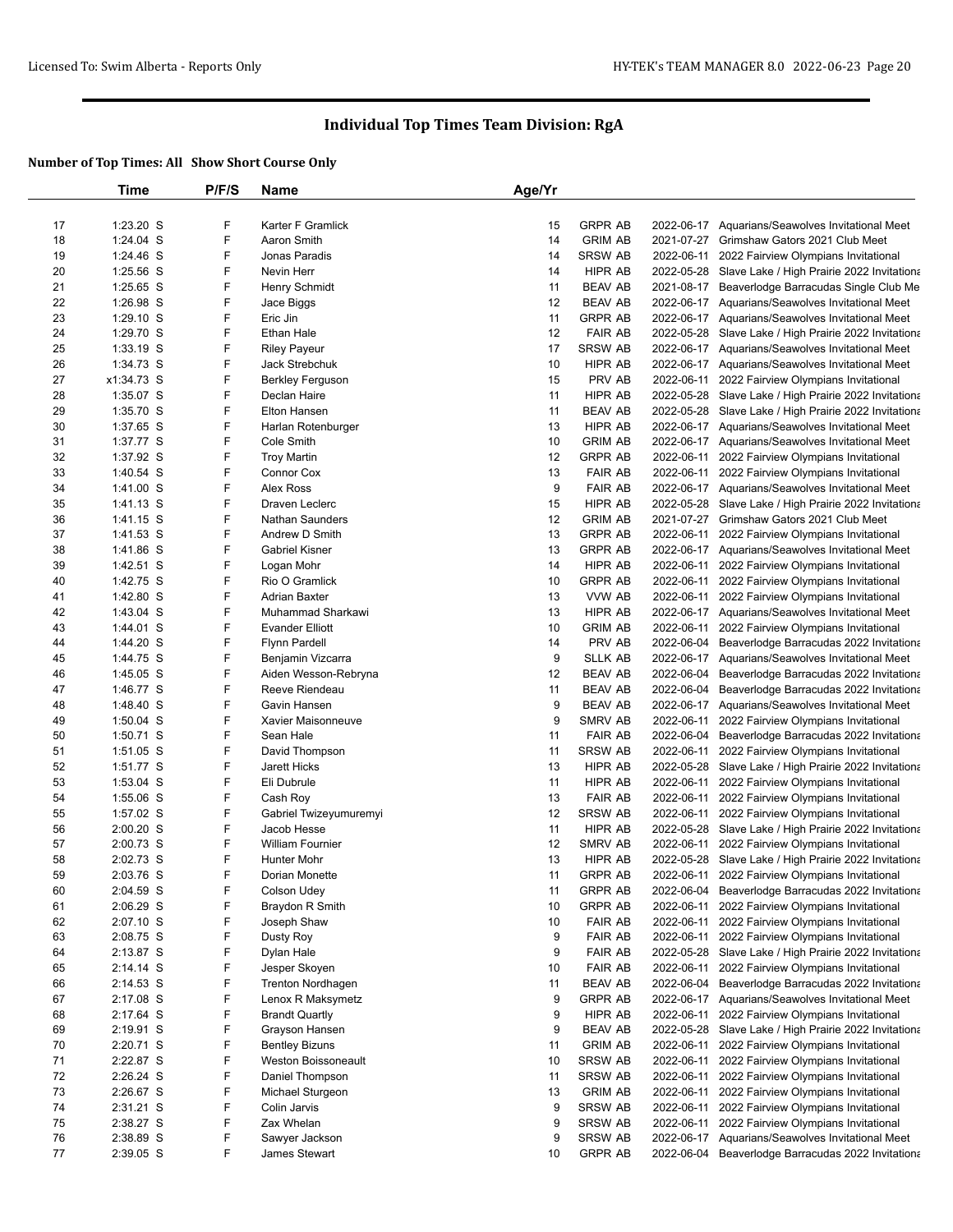|          | Time                   | P/F/S  | Name                                  | Age/Yr   |                                  |            |                                                                                                           |
|----------|------------------------|--------|---------------------------------------|----------|----------------------------------|------------|-----------------------------------------------------------------------------------------------------------|
|          |                        |        |                                       |          |                                  |            |                                                                                                           |
| 17       | 1:23.20 S              | F      | Karter F Gramlick                     | 15       | <b>GRPR AB</b>                   |            | 2022-06-17 Aquarians/Seawolves Invitational Meet                                                          |
| 18       | 1:24.04 S              | F      | Aaron Smith                           | 14       | <b>GRIM AB</b>                   |            | 2021-07-27 Grimshaw Gators 2021 Club Meet                                                                 |
| 19       | 1:24.46 S              | F      | Jonas Paradis                         | 14       | <b>SRSW AB</b>                   |            | 2022-06-11 2022 Fairview Olympians Invitational                                                           |
| 20       | 1:25.56 S              | F      | Nevin Herr                            | 14       | HIPR AB                          |            | 2022-05-28 Slave Lake / High Prairie 2022 Invitationa                                                     |
| 21       | 1:25.65 S              | F      | Henry Schmidt                         | 11       | <b>BEAV AB</b>                   |            | 2021-08-17 Beaverlodge Barracudas Single Club Me                                                          |
| 22       | 1:26.98 S              | F      | Jace Biggs                            | 12       | <b>BEAV AB</b>                   |            | 2022-06-17 Aquarians/Seawolves Invitational Meet                                                          |
| 23       | 1:29.10 S              | F      | Eric Jin                              | 11       | <b>GRPR AB</b>                   |            | 2022-06-17 Aquarians/Seawolves Invitational Meet                                                          |
| 24<br>25 | 1:29.70 S<br>1:33.19 S | F<br>F | Ethan Hale                            | 12<br>17 | <b>FAIR AB</b><br><b>SRSW AB</b> |            | 2022-05-28 Slave Lake / High Prairie 2022 Invitationa<br>2022-06-17 Aquarians/Seawolves Invitational Meet |
| 26       | 1:34.73 S              | F      | <b>Riley Payeur</b><br>Jack Strebchuk | 10       | HIPR AB                          |            | 2022-06-17 Aquarians/Seawolves Invitational Meet                                                          |
| 27       | x1:34.73 S             | F      | <b>Berkley Ferguson</b>               | 15       | PRV AB                           |            | 2022-06-11 2022 Fairview Olympians Invitational                                                           |
| 28       | 1:35.07 S              | F      | Declan Haire                          | 11       | HIPR AB                          |            | 2022-05-28 Slave Lake / High Prairie 2022 Invitationa                                                     |
| 29       | 1:35.70 S              | F      | <b>Elton Hansen</b>                   | 11       | <b>BEAV AB</b>                   |            | 2022-05-28 Slave Lake / High Prairie 2022 Invitationa                                                     |
| 30       | 1:37.65 S              | F      | Harlan Rotenburger                    | 13       | <b>HIPR AB</b>                   |            | 2022-06-17 Aquarians/Seawolves Invitational Meet                                                          |
| 31       | 1:37.77 S              | F      | Cole Smith                            | 10       | <b>GRIM AB</b>                   |            | 2022-06-17 Aquarians/Seawolves Invitational Meet                                                          |
| 32       | 1:37.92 S              | F      | <b>Troy Martin</b>                    | 12       | <b>GRPR AB</b>                   |            | 2022-06-11 2022 Fairview Olympians Invitational                                                           |
| 33       | 1:40.54 S              | F      | Connor Cox                            | 13       | <b>FAIR AB</b>                   |            | 2022-06-11 2022 Fairview Olympians Invitational                                                           |
| 34       | 1:41.00 S              | F      | Alex Ross                             | 9        | <b>FAIR AB</b>                   |            | 2022-06-17 Aquarians/Seawolves Invitational Meet                                                          |
| 35       | 1:41.13 S              | F      | Draven Leclerc                        | 15       | HIPR AB                          |            | 2022-05-28 Slave Lake / High Prairie 2022 Invitationa                                                     |
| 36       | 1:41.15 S              | F      | <b>Nathan Saunders</b>                | 12       | <b>GRIM AB</b>                   |            | 2021-07-27 Grimshaw Gators 2021 Club Meet                                                                 |
| 37       | 1:41.53 S              | F      | Andrew D Smith                        | 13       | <b>GRPR AB</b>                   |            | 2022-06-11 2022 Fairview Olympians Invitational                                                           |
| 38       | 1:41.86 S              | F      | <b>Gabriel Kisner</b>                 | 13       | <b>GRPR AB</b>                   |            | 2022-06-17 Aquarians/Seawolves Invitational Meet                                                          |
| 39       | 1:42.51 S              | F      | Logan Mohr                            | 14       | <b>HIPR AB</b>                   |            | 2022-06-11 2022 Fairview Olympians Invitational                                                           |
| 40       | 1:42.75 S              | F      | Rio O Gramlick                        | 10       | <b>GRPR AB</b>                   |            | 2022-06-11 2022 Fairview Olympians Invitational                                                           |
| 41       | 1:42.80 S              | F      | <b>Adrian Baxter</b>                  | 13       | VVW AB                           |            | 2022-06-11 2022 Fairview Olympians Invitational                                                           |
| 42       | 1:43.04 S              | F      | Muhammad Sharkawi                     | 13       | HIPR AB                          |            | 2022-06-17 Aquarians/Seawolves Invitational Meet                                                          |
| 43       | 1:44.01 S              | F      | <b>Evander Elliott</b>                | 10       | <b>GRIM AB</b>                   |            | 2022-06-11 2022 Fairview Olympians Invitational                                                           |
| 44       | 1:44.20 S              | F      | Flynn Pardell                         | 14       | PRV AB                           |            | 2022-06-04 Beaverlodge Barracudas 2022 Invitationa                                                        |
| 45       | 1:44.75 S              | F      | Benjamin Vizcarra                     | 9        | <b>SLLK AB</b>                   |            | 2022-06-17 Aquarians/Seawolves Invitational Meet                                                          |
| 46       | 1:45.05 S              | F      | Aiden Wesson-Rebryna                  | 12       | <b>BEAV AB</b>                   |            | 2022-06-04 Beaverlodge Barracudas 2022 Invitationa                                                        |
| 47       | 1:46.77 S              | F      | Reeve Riendeau                        | 11       | <b>BEAV AB</b>                   |            | 2022-06-04 Beaverlodge Barracudas 2022 Invitationa                                                        |
| 48       | 1:48.40 S              | F      | Gavin Hansen                          | 9        | <b>BEAV AB</b>                   |            | 2022-06-17 Aquarians/Seawolves Invitational Meet                                                          |
| 49       | 1:50.04 S              | F      | Xavier Maisonneuve                    | 9        | SMRV AB                          |            | 2022-06-11 2022 Fairview Olympians Invitational                                                           |
| 50       | 1:50.71 S              | F      | Sean Hale                             | 11       | <b>FAIR AB</b>                   |            | 2022-06-04 Beaverlodge Barracudas 2022 Invitationa                                                        |
| 51       | 1:51.05 S              | F      | David Thompson                        | 11       | <b>SRSW AB</b>                   |            | 2022-06-11 2022 Fairview Olympians Invitational                                                           |
| 52       | 1:51.77 S              | F      | Jarett Hicks                          | 13       | <b>HIPR AB</b>                   |            | 2022-05-28 Slave Lake / High Prairie 2022 Invitationa                                                     |
| 53       | 1:53.04 S              | F      | Eli Dubrule                           | 11       | HIPR AB                          |            | 2022-06-11 2022 Fairview Olympians Invitational                                                           |
| 54       | 1:55.06 S              | F      | Cash Roy                              | 13       | <b>FAIR AB</b>                   |            | 2022-06-11 2022 Fairview Olympians Invitational                                                           |
| 55       | 1:57.02 S              | F      | Gabriel Twizeyumuremyi                | 12       | <b>SRSW AB</b>                   |            | 2022-06-11 2022 Fairview Olympians Invitational                                                           |
| 56       | 2:00.20 S              | F      | Jacob Hesse                           | 11       | HIPR AB                          |            | 2022-05-28 Slave Lake / High Prairie 2022 Invitationa                                                     |
| 57       | 2:00.73 S              | F      | <b>William Fournier</b>               | 12       | <b>SMRV AB</b>                   |            | 2022-06-11 2022 Fairview Olympians Invitational                                                           |
| 58       | 2:02.73 S              | F      | Hunter Mohr                           | 13       | HIPR AB                          |            | 2022-05-28 Slave Lake / High Prairie 2022 Invitationa                                                     |
| 59       | 2:03.76 S              | F      | Dorian Monette                        | 11       | <b>GRPR AB</b>                   |            | 2022-06-11 2022 Fairview Olympians Invitational                                                           |
| 60       | 2:04.59 S              | F<br>F | Colson Udey                           | 11       | <b>GRPR AB</b>                   |            | 2022-06-04 Beaverlodge Barracudas 2022 Invitationa                                                        |
| 61<br>62 | 2:06.29 S<br>2:07.10 S | F      | Braydon R Smith                       | 10<br>10 | <b>GRPR AB</b><br><b>FAIR AB</b> |            | 2022-06-11 2022 Fairview Olympians Invitational                                                           |
| 63       | 2:08.75 S              | F      | Joseph Shaw<br>Dusty Roy              | 9        | <b>FAIR AB</b>                   |            | 2022-06-11 2022 Fairview Olympians Invitational<br>2022-06-11 2022 Fairview Olympians Invitational        |
| 64       | 2:13.87 S              | F      | Dylan Hale                            | 9        | <b>FAIR AB</b>                   |            | 2022-05-28 Slave Lake / High Prairie 2022 Invitationa                                                     |
| 65       | 2:14.14 S              | F      | Jesper Skoyen                         | 10       | <b>FAIR AB</b>                   | 2022-06-11 | 2022 Fairview Olympians Invitational                                                                      |
| 66       | 2:14.53 S              | F      | Trenton Nordhagen                     | 11       | <b>BEAV AB</b>                   |            | 2022-06-04 Beaverlodge Barracudas 2022 Invitationa                                                        |
| 67       | 2:17.08 S              | F      | Lenox R Maksymetz                     | 9        | <b>GRPR AB</b>                   |            | 2022-06-17 Aquarians/Seawolves Invitational Meet                                                          |
| 68       | 2:17.64 S              | F      | <b>Brandt Quartly</b>                 | 9        | HIPR AB                          |            | 2022-06-11 2022 Fairview Olympians Invitational                                                           |
| 69       | 2:19.91 S              | F      | Grayson Hansen                        | 9        | <b>BEAV AB</b>                   |            | 2022-05-28 Slave Lake / High Prairie 2022 Invitationa                                                     |
| 70       | 2:20.71 S              | F      | <b>Bentley Bizuns</b>                 | 11       | <b>GRIM AB</b>                   |            | 2022-06-11 2022 Fairview Olympians Invitational                                                           |
| 71       | 2:22.87 S              | F      | Weston Boissoneault                   | 10       | <b>SRSW AB</b>                   |            | 2022-06-11 2022 Fairview Olympians Invitational                                                           |
| 72       | 2:26.24 S              | F      | Daniel Thompson                       | 11       | <b>SRSW AB</b>                   |            | 2022-06-11 2022 Fairview Olympians Invitational                                                           |
| 73       | 2:26.67 S              | F      | Michael Sturgeon                      | 13       | <b>GRIM AB</b>                   |            | 2022-06-11 2022 Fairview Olympians Invitational                                                           |
| 74       | 2:31.21 S              | F      | Colin Jarvis                          | 9        | <b>SRSW AB</b>                   |            | 2022-06-11 2022 Fairview Olympians Invitational                                                           |
| 75       | 2:38.27 S              | F      | Zax Whelan                            | 9        | <b>SRSW AB</b>                   |            | 2022-06-11 2022 Fairview Olympians Invitational                                                           |
| 76       | 2:38.89 S              | F      | Sawyer Jackson                        | 9        | <b>SRSW AB</b>                   |            | 2022-06-17 Aquarians/Seawolves Invitational Meet                                                          |
| 77       | 2:39.05 S              | F      | James Stewart                         | 10       | <b>GRPR AB</b>                   |            | 2022-06-04 Beaverlodge Barracudas 2022 Invitationa                                                        |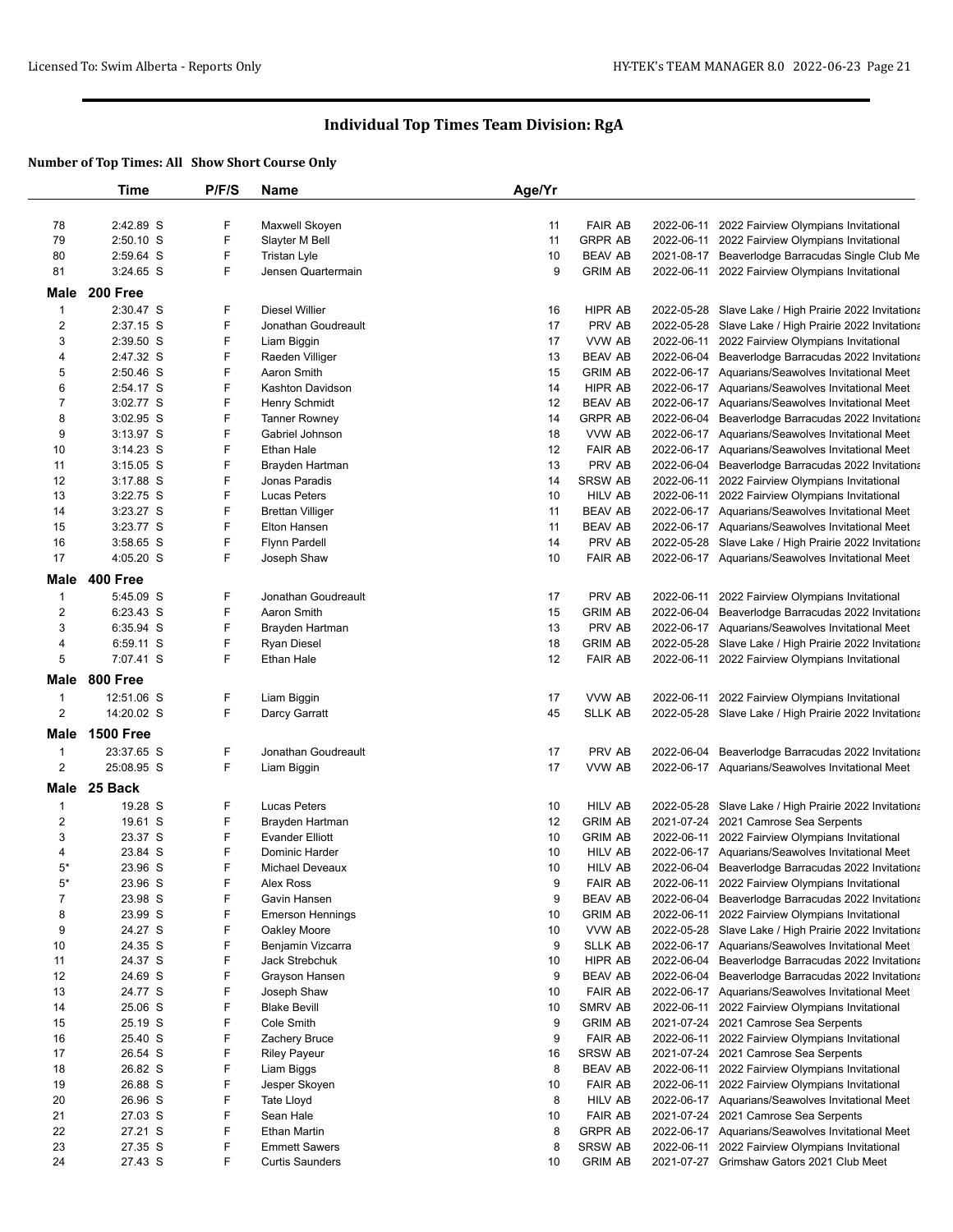|                               | <b>Time</b>        | P/F/S  | Name                              | Age/Yr   |                                  |                                                                                                        |
|-------------------------------|--------------------|--------|-----------------------------------|----------|----------------------------------|--------------------------------------------------------------------------------------------------------|
|                               |                    |        |                                   |          |                                  |                                                                                                        |
| 78                            | 2:42.89 S          | F      | Maxwell Skoyen                    | 11       | <b>FAIR AB</b>                   | 2022-06-11 2022 Fairview Olympians Invitational                                                        |
| 79                            | $2:50.10$ S        | F      | Slayter M Bell                    | 11       | <b>GRPR AB</b>                   | 2022-06-11 2022 Fairview Olympians Invitational                                                        |
| 80                            | 2:59.64 S          | F      | Tristan Lyle                      | 10       | <b>BEAV AB</b>                   | 2021-08-17 Beaverlodge Barracudas Single Club Me                                                       |
| 81                            | $3:24.65$ S        | F.     | Jensen Quartermain                | 9        | <b>GRIM AB</b>                   | 2022-06-11 2022 Fairview Olympians Invitational                                                        |
| Male                          | 200 Free           |        |                                   |          |                                  |                                                                                                        |
| $\mathbf{1}$                  | 2:30.47 S          | F      | <b>Diesel Willier</b>             | 16       | HIPR AB                          | 2022-05-28 Slave Lake / High Prairie 2022 Invitationa                                                  |
| $\overline{2}$                | 2:37.15 S          | F      | Jonathan Goudreault               | 17       | PRV AB                           | 2022-05-28 Slave Lake / High Prairie 2022 Invitationa                                                  |
| 3                             | 2:39.50 S          | F      | Liam Biggin                       | 17       | VVW AB                           | 2022-06-11 2022 Fairview Olympians Invitational                                                        |
| 4                             | 2:47.32 S          | F      | Raeden Villiger                   | 13       | <b>BEAV AB</b>                   | 2022-06-04 Beaverlodge Barracudas 2022 Invitationa                                                     |
| 5                             | 2:50.46 S          | F      | Aaron Smith                       | 15       | <b>GRIM AB</b>                   | 2022-06-17 Aquarians/Seawolves Invitational Meet                                                       |
| 6                             | 2:54.17 S          | F      | <b>Kashton Davidson</b>           | 14       | <b>HIPR AB</b>                   | 2022-06-17 Aquarians/Seawolves Invitational Meet                                                       |
| $\overline{7}$                | 3:02.77 S          | F      | <b>Henry Schmidt</b>              | 12       | <b>BEAV AB</b>                   | 2022-06-17 Aquarians/Seawolves Invitational Meet                                                       |
| 8                             | 3:02.95 S          | F      | <b>Tanner Rowney</b>              | 14       | <b>GRPR AB</b>                   | 2022-06-04 Beaverlodge Barracudas 2022 Invitationa                                                     |
| 9                             | 3:13.97 S          | F      | Gabriel Johnson                   | 18       | VVW AB                           | 2022-06-17 Aquarians/Seawolves Invitational Meet                                                       |
| 10                            | $3:14.23$ S        | F      | Ethan Hale                        | 12       | <b>FAIR AB</b>                   | 2022-06-17 Aquarians/Seawolves Invitational Meet                                                       |
| 11                            | $3:15.05$ S        | F      | Brayden Hartman                   | 13       | PRV AB                           | 2022-06-04 Beaverlodge Barracudas 2022 Invitationa                                                     |
| 12                            | $3:17.88$ S        | F      | Jonas Paradis                     | 14       | <b>SRSW AB</b>                   | 2022-06-11 2022 Fairview Olympians Invitational                                                        |
| 13                            | 3:22.75 S          | F      | <b>Lucas Peters</b>               | 10       | <b>HILV AB</b>                   | 2022-06-11 2022 Fairview Olympians Invitational                                                        |
| 14                            | $3:23.27$ S        | F      | <b>Brettan Villiger</b>           | 11       | <b>BEAV AB</b>                   | 2022-06-17 Aquarians/Seawolves Invitational Meet                                                       |
| 15                            | 3:23.77 S          | F      | Elton Hansen                      | 11       | <b>BEAV AB</b>                   | 2022-06-17 Aquarians/Seawolves Invitational Meet                                                       |
| 16                            | 3:58.65 S          | F      | <b>Flynn Pardell</b>              | 14       | PRV AB                           | 2022-05-28 Slave Lake / High Prairie 2022 Invitationa                                                  |
| 17                            | 4:05.20 S          | F      | Joseph Shaw                       | 10       | <b>FAIR AB</b>                   | 2022-06-17 Aquarians/Seawolves Invitational Meet                                                       |
| Male                          | 400 Free           |        |                                   |          |                                  |                                                                                                        |
| $\mathbf{1}$                  | 5:45.09 S          | F      | Jonathan Goudreault               | 17       | PRV AB                           | 2022-06-11 2022 Fairview Olympians Invitational                                                        |
| $\overline{2}$                | $6:23.43$ S        | F      | Aaron Smith                       | 15       | <b>GRIM AB</b>                   | 2022-06-04 Beaverlodge Barracudas 2022 Invitationa                                                     |
| 3                             | 6:35.94 S          | F      | Brayden Hartman                   | 13       | PRV AB                           | 2022-06-17 Aquarians/Seawolves Invitational Meet                                                       |
| 4                             | 6:59.11 S          | F      | <b>Ryan Diesel</b>                | 18       | <b>GRIM AB</b>                   | 2022-05-28 Slave Lake / High Prairie 2022 Invitationa                                                  |
| 5                             | 7:07.41 S          | F      | Ethan Hale                        | 12       | <b>FAIR AB</b>                   | 2022-06-11 2022 Fairview Olympians Invitational                                                        |
| Male                          | 800 Free           |        |                                   |          |                                  |                                                                                                        |
| $\mathbf{1}$                  | 12:51.06 S         | F      | Liam Biggin                       | 17       | VVW AB                           | 2022-06-11 2022 Fairview Olympians Invitational                                                        |
| 2                             | 14:20.02 S         | F      | Darcy Garratt                     | 45       | <b>SLLK AB</b>                   | 2022-05-28 Slave Lake / High Prairie 2022 Invitationa                                                  |
| Male                          | <b>1500 Free</b>   |        |                                   |          |                                  |                                                                                                        |
| 1                             | 23:37.65 S         | F      | Jonathan Goudreault               | 17       | PRV AB                           | 2022-06-04 Beaverlodge Barracudas 2022 Invitationa                                                     |
| 2                             | 25:08.95 S         | F      | Liam Biggin                       | 17       | VVW AB                           | 2022-06-17 Aquarians/Seawolves Invitational Meet                                                       |
|                               | 25 Back            |        |                                   |          |                                  |                                                                                                        |
| Male                          |                    |        |                                   |          |                                  |                                                                                                        |
| $\mathbf 1$                   | 19.28 S            | F<br>F | <b>Lucas Peters</b>               | 10       | <b>HILV AB</b>                   | 2022-05-28 Slave Lake / High Prairie 2022 Invitationa                                                  |
| 2                             | 19.61 S            |        | Brayden Hartman                   | 12       | <b>GRIM AB</b>                   | 2021-07-24 2021 Camrose Sea Serpents                                                                   |
| 3                             | 23.37 S            | F<br>F | <b>Evander Elliott</b>            | 10       | <b>GRIM AB</b>                   | 2022-06-11 2022 Fairview Olympians Invitational                                                        |
| 4<br>$5*$                     | 23.84 S<br>23.96 S | F      | Dominic Harder<br>Michael Deveaux | 10<br>10 | <b>HILV AB</b><br><b>HILV AB</b> | 2022-06-17 Aquarians/Seawolves Invitational Meet<br>2022-06-04 Beaverlodge Barracudas 2022 Invitationa |
|                               |                    |        |                                   | 9        | <b>FAIR AB</b>                   | 2022-06-11 2022 Fairview Olympians Invitational                                                        |
| $5^{\circ}$<br>$\overline{7}$ | 23.96 S<br>23.98 S | ۲<br>F | Alex Ross<br>Gavin Hansen         | 9        | <b>BEAV AB</b>                   | 2022-06-04 Beaverlodge Barracudas 2022 Invitationa                                                     |
| 8                             | 23.99 S            | F      | <b>Emerson Hennings</b>           | 10       | <b>GRIM AB</b>                   | 2022-06-11 2022 Fairview Olympians Invitational                                                        |
| 9                             | 24.27 S            | F      | Oakley Moore                      | 10       | VVW AB                           | 2022-05-28 Slave Lake / High Prairie 2022 Invitationa                                                  |
| 10                            | 24.35 S            | F      | Benjamin Vizcarra                 | 9        | <b>SLLK AB</b>                   | 2022-06-17 Aquarians/Seawolves Invitational Meet                                                       |
| 11                            | 24.37 S            | F      | Jack Strebchuk                    | 10       | HIPR AB                          | 2022-06-04 Beaverlodge Barracudas 2022 Invitationa                                                     |
| 12                            | 24.69 S            | F      | Grayson Hansen                    | 9        | <b>BEAV AB</b>                   | 2022-06-04 Beaverlodge Barracudas 2022 Invitationa                                                     |
| 13                            | 24.77 S            | F      | Joseph Shaw                       | 10       | <b>FAIR AB</b>                   | 2022-06-17 Aquarians/Seawolves Invitational Meet                                                       |
| 14                            | 25.06 S            | F      | <b>Blake Bevill</b>               | 10       | <b>SMRV AB</b>                   | 2022-06-11 2022 Fairview Olympians Invitational                                                        |
| 15                            | 25.19 S            | F      | Cole Smith                        | 9        | <b>GRIM AB</b>                   | 2021-07-24 2021 Camrose Sea Serpents                                                                   |
| 16                            | 25.40 S            | F      | Zachery Bruce                     | 9        | <b>FAIR AB</b>                   | 2022-06-11 2022 Fairview Olympians Invitational                                                        |
| 17                            | 26.54 S            | F      | <b>Riley Payeur</b>               | 16       | <b>SRSW AB</b>                   | 2021-07-24 2021 Camrose Sea Serpents                                                                   |
| 18                            | 26.82 S            | F      | Liam Biggs                        | 8        | <b>BEAV AB</b>                   | 2022-06-11 2022 Fairview Olympians Invitational                                                        |
| 19                            | 26.88 S            | F      | Jesper Skoyen                     | 10       | <b>FAIR AB</b>                   | 2022-06-11 2022 Fairview Olympians Invitational                                                        |
| 20                            | 26.96 S            | F      | Tate Lloyd                        | 8        | HILV AB                          | 2022-06-17 Aquarians/Seawolves Invitational Meet                                                       |
| 21                            | 27.03 S            | F      | Sean Hale                         | 10       | <b>FAIR AB</b>                   | 2021-07-24 2021 Camrose Sea Serpents                                                                   |
| 22                            | 27.21 S            | F      | <b>Ethan Martin</b>               | 8        | <b>GRPR AB</b>                   | 2022-06-17 Aquarians/Seawolves Invitational Meet                                                       |
| 23                            | 27.35 S            | F      | <b>Emmett Sawers</b>              | 8        | <b>SRSW AB</b>                   | 2022-06-11 2022 Fairview Olympians Invitational                                                        |
| 24                            | 27.43 S            | F      | <b>Curtis Saunders</b>            | 10       | <b>GRIM AB</b>                   | 2021-07-27 Grimshaw Gators 2021 Club Meet                                                              |
|                               |                    |        |                                   |          |                                  |                                                                                                        |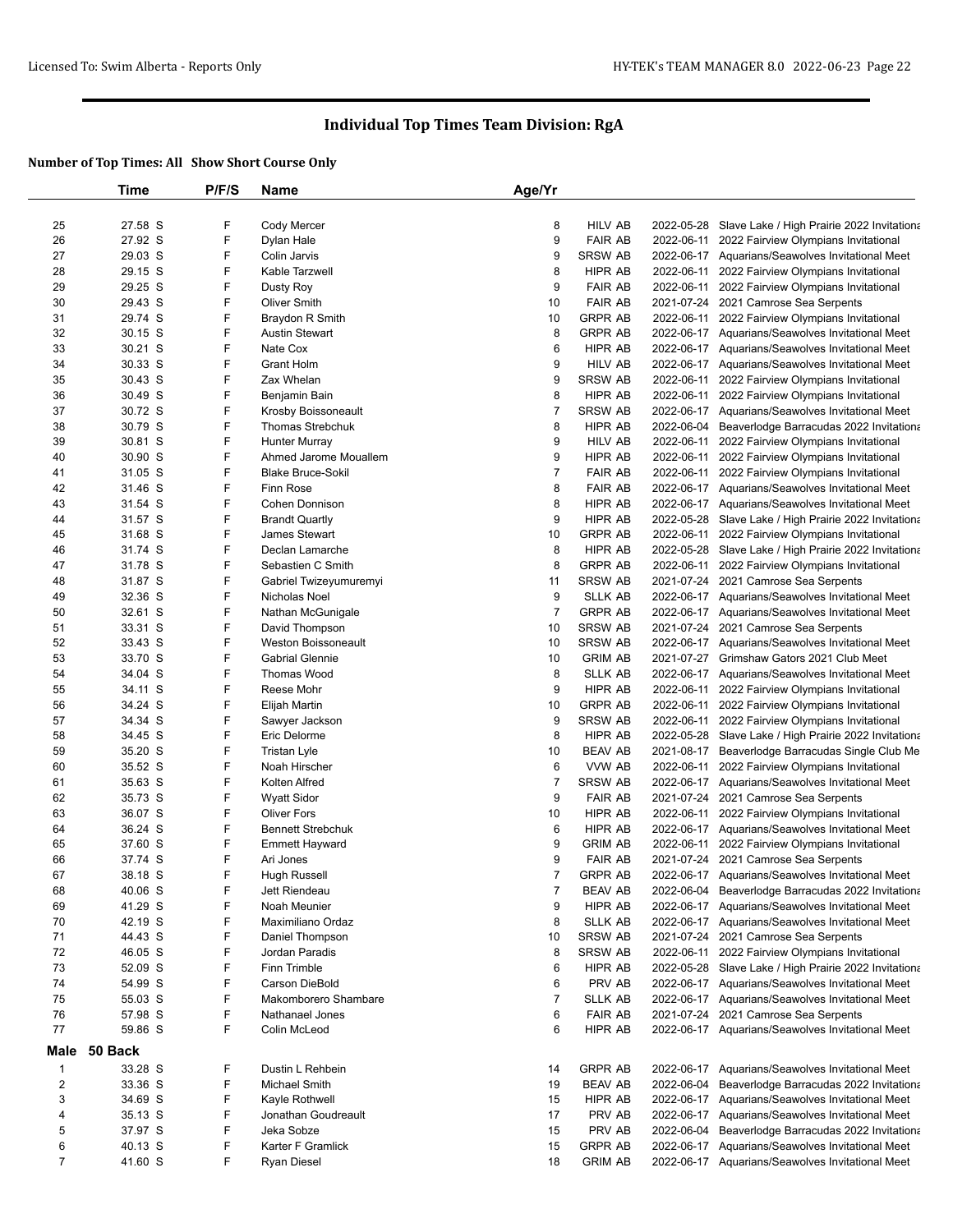|                         | Time    | P/F/S | Name                       | Age/Yr         |                |            |                                                       |
|-------------------------|---------|-------|----------------------------|----------------|----------------|------------|-------------------------------------------------------|
|                         |         |       |                            |                |                |            |                                                       |
| 25                      | 27.58 S | F     | Cody Mercer                | 8              | <b>HILV AB</b> |            | 2022-05-28 Slave Lake / High Prairie 2022 Invitationa |
| 26                      | 27.92 S | F     | Dylan Hale                 | 9              | <b>FAIR AB</b> |            | 2022-06-11 2022 Fairview Olympians Invitational       |
| 27                      | 29.03 S | F     | Colin Jarvis               | 9              | <b>SRSW AB</b> |            | 2022-06-17 Aquarians/Seawolves Invitational Meet      |
| 28                      | 29.15 S | F     | Kable Tarzwell             | 8              | HIPR AB        |            | 2022-06-11 2022 Fairview Olympians Invitational       |
| 29                      | 29.25 S | F     | Dusty Roy                  | 9              | <b>FAIR AB</b> |            | 2022-06-11 2022 Fairview Olympians Invitational       |
| 30                      | 29.43 S | F     | <b>Oliver Smith</b>        | 10             | <b>FAIR AB</b> |            | 2021-07-24 2021 Camrose Sea Serpents                  |
| 31                      | 29.74 S | F     | Braydon R Smith            | 10             | <b>GRPR AB</b> |            | 2022-06-11 2022 Fairview Olympians Invitational       |
| 32                      | 30.15 S | F     | <b>Austin Stewart</b>      | 8              | <b>GRPR AB</b> |            | 2022-06-17 Aquarians/Seawolves Invitational Meet      |
| 33                      | 30.21 S | F     | Nate Cox                   | 6              | HIPR AB        |            | 2022-06-17 Aquarians/Seawolves Invitational Meet      |
| 34                      | 30.33 S | F     | Grant Holm                 | 9              | HILV AB        |            | 2022-06-17 Aquarians/Seawolves Invitational Meet      |
| 35                      | 30.43 S | F     | Zax Whelan                 | 9              | <b>SRSW AB</b> |            | 2022-06-11 2022 Fairview Olympians Invitational       |
| 36                      | 30.49 S | F     | Benjamin Bain              | 8              | HIPR AB        |            | 2022-06-11 2022 Fairview Olympians Invitational       |
| 37                      | 30.72 S | F     | Krosby Boissoneault        | $\overline{7}$ | <b>SRSW AB</b> |            | 2022-06-17 Aquarians/Seawolves Invitational Meet      |
| 38                      | 30.79 S | F     | <b>Thomas Strebchuk</b>    | 8              | HIPR AB        |            | 2022-06-04 Beaverlodge Barracudas 2022 Invitationa    |
| 39                      | 30.81 S | F     | Hunter Murray              | 9              | <b>HILV AB</b> |            | 2022-06-11 2022 Fairview Olympians Invitational       |
| 40                      | 30.90 S | F     | Ahmed Jarome Mouallem      | 9              | HIPR AB        |            | 2022-06-11 2022 Fairview Olympians Invitational       |
| 41                      | 31.05 S | F     | <b>Blake Bruce-Sokil</b>   | $\overline{7}$ | <b>FAIR AB</b> |            | 2022-06-11 2022 Fairview Olympians Invitational       |
| 42                      | 31.46 S | F     | Finn Rose                  | 8              | <b>FAIR AB</b> |            | 2022-06-17 Aquarians/Seawolves Invitational Meet      |
| 43                      | 31.54 S | F     | Cohen Donnison             | 8              | HIPR AB        |            | 2022-06-17 Aquarians/Seawolves Invitational Meet      |
| 44                      | 31.57 S | F     | <b>Brandt Quartly</b>      | 9              | <b>HIPR AB</b> |            | 2022-05-28 Slave Lake / High Prairie 2022 Invitationa |
| 45                      | 31.68 S | F     | James Stewart              | 10             | <b>GRPR AB</b> |            | 2022-06-11 2022 Fairview Olympians Invitational       |
| 46                      | 31.74 S | F     | Declan Lamarche            | 8              | <b>HIPR AB</b> |            | 2022-05-28 Slave Lake / High Prairie 2022 Invitationa |
| 47                      | 31.78 S | F     | Sebastien C Smith          | 8              | <b>GRPR AB</b> |            | 2022-06-11 2022 Fairview Olympians Invitational       |
| 48                      | 31.87 S | F     | Gabriel Twizeyumuremyi     | 11             | <b>SRSW AB</b> |            | 2021-07-24 2021 Camrose Sea Serpents                  |
| 49                      | 32.36 S | F     | Nicholas Noel              | 9              | <b>SLLK AB</b> |            | 2022-06-17 Aquarians/Seawolves Invitational Meet      |
| 50                      | 32.61 S | F     | Nathan McGunigale          | $\overline{7}$ | <b>GRPR AB</b> |            | 2022-06-17 Aquarians/Seawolves Invitational Meet      |
| 51                      | 33.31 S | F     | David Thompson             | 10             | <b>SRSW AB</b> |            | 2021-07-24 2021 Camrose Sea Serpents                  |
| 52                      | 33.43 S | F     | <b>Weston Boissoneault</b> | 10             | <b>SRSW AB</b> |            | 2022-06-17 Aquarians/Seawolves Invitational Meet      |
| 53                      | 33.70 S | F     | <b>Gabrial Glennie</b>     | 10             | <b>GRIM AB</b> |            | 2021-07-27 Grimshaw Gators 2021 Club Meet             |
| 54                      | 34.04 S | F     | <b>Thomas Wood</b>         | 8              | <b>SLLK AB</b> |            | 2022-06-17 Aquarians/Seawolves Invitational Meet      |
| 55                      | 34.11 S | F     | Reese Mohr                 | 9              | HIPR AB        |            | 2022-06-11 2022 Fairview Olympians Invitational       |
| 56                      | 34.24 S | F     | Elijah Martin              | 10             | <b>GRPR AB</b> |            | 2022-06-11 2022 Fairview Olympians Invitational       |
| 57                      | 34.34 S | F     | Sawyer Jackson             | 9              | <b>SRSW AB</b> |            | 2022-06-11 2022 Fairview Olympians Invitational       |
| 58                      | 34.45 S | F     | Eric Delorme               | 8              | <b>HIPR AB</b> |            | 2022-05-28 Slave Lake / High Prairie 2022 Invitationa |
| 59                      | 35.20 S | F     | <b>Tristan Lyle</b>        | 10             | <b>BEAV AB</b> |            | 2021-08-17 Beaverlodge Barracudas Single Club Me      |
| 60                      | 35.52 S | F     | Noah Hirscher              | 6              | VVW AB         |            | 2022-06-11 2022 Fairview Olympians Invitational       |
| 61                      | 35.63 S | F     | Kolten Alfred              | 7              | <b>SRSW AB</b> |            | 2022-06-17 Aquarians/Seawolves Invitational Meet      |
| 62                      | 35.73 S | F     | <b>Wyatt Sidor</b>         | 9              | <b>FAIR AB</b> |            | 2021-07-24 2021 Camrose Sea Serpents                  |
| 63                      | 36.07 S | F     | <b>Oliver Fors</b>         | 10             | HIPR AB        |            | 2022-06-11 2022 Fairview Olympians Invitational       |
| 64                      | 36.24 S | F     | <b>Bennett Strebchuk</b>   | 6              | HIPR AB        |            | 2022-06-17 Aquarians/Seawolves Invitational Meet      |
| 65                      | 37.60 S | F     | <b>Emmett Hayward</b>      | 9              | <b>GRIM AB</b> |            | 2022-06-11 2022 Fairview Olympians Invitational       |
| 66                      | 37.74 S | F     | Ari Jones                  | 9              | <b>FAIR AB</b> |            | 2021-07-24 2021 Camrose Sea Serpents                  |
| 67                      | 38.18 S | F     | <b>Hugh Russell</b>        | 7              | <b>GRPR AB</b> |            | 2022-06-17 Aquarians/Seawolves Invitational Meet      |
| 68                      | 40.06 S | F     | Jett Riendeau              | 7              | <b>BEAV AB</b> |            | 2022-06-04 Beaverlodge Barracudas 2022 Invitationa    |
| 69                      | 41.29 S | F     | Noah Meunier               | 9              | HIPR AB        |            | 2022-06-17 Aquarians/Seawolves Invitational Meet      |
| 70                      | 42.19 S | F     | Maximiliano Ordaz          | 8              | <b>SLLK AB</b> |            | 2022-06-17 Aquarians/Seawolves Invitational Meet      |
| 71                      | 44.43 S | F     | Daniel Thompson            | 10             | <b>SRSW AB</b> |            | 2021-07-24 2021 Camrose Sea Serpents                  |
| 72                      | 46.05 S | F     | Jordan Paradis             | 8              | <b>SRSW AB</b> |            | 2022-06-11 2022 Fairview Olympians Invitational       |
| 73                      | 52.09 S | F     | Finn Trimble               | 6              | HIPR AB        |            | 2022-05-28 Slave Lake / High Prairie 2022 Invitationa |
| 74                      | 54.99 S | F     | <b>Carson DieBold</b>      | 6              | PRV AB         |            | 2022-06-17 Aquarians/Seawolves Invitational Meet      |
| 75                      | 55.03 S | F     | Makomborero Shambare       | $\overline{7}$ | SLLK AB        |            | 2022-06-17 Aquarians/Seawolves Invitational Meet      |
| 76                      | 57.98 S | F     | Nathanael Jones            | 6              | <b>FAIR AB</b> |            | 2021-07-24 2021 Camrose Sea Serpents                  |
| 77                      | 59.86 S | F     | Colin McLeod               | 6              | HIPR AB        |            | 2022-06-17 Aquarians/Seawolves Invitational Meet      |
| Male                    | 50 Back |       |                            |                |                |            |                                                       |
| 1                       | 33.28 S | F     | Dustin L Rehbein           | 14             | <b>GRPR AB</b> |            | 2022-06-17 Aquarians/Seawolves Invitational Meet      |
| $\overline{\mathbf{c}}$ | 33.36 S | F     | <b>Michael Smith</b>       | 19             | <b>BEAV AB</b> | 2022-06-04 | Beaverlodge Barracudas 2022 Invitationa               |
| 3                       | 34.69 S | F     | Kayle Rothwell             | 15             | HIPR AB        |            | 2022-06-17 Aquarians/Seawolves Invitational Meet      |
| 4                       | 35.13 S | F     | Jonathan Goudreault        | 17             | PRV AB         |            | 2022-06-17 Aquarians/Seawolves Invitational Meet      |
| 5                       | 37.97 S | F     | Jeka Sobze                 | 15             | PRV AB         |            | 2022-06-04 Beaverlodge Barracudas 2022 Invitationa    |
| 6                       | 40.13 S | F     | Karter F Gramlick          | 15             | <b>GRPR AB</b> |            | 2022-06-17 Aquarians/Seawolves Invitational Meet      |
| $\overline{7}$          | 41.60 S | F     | Ryan Diesel                | 18             | <b>GRIM AB</b> |            | 2022-06-17 Aquarians/Seawolves Invitational Meet      |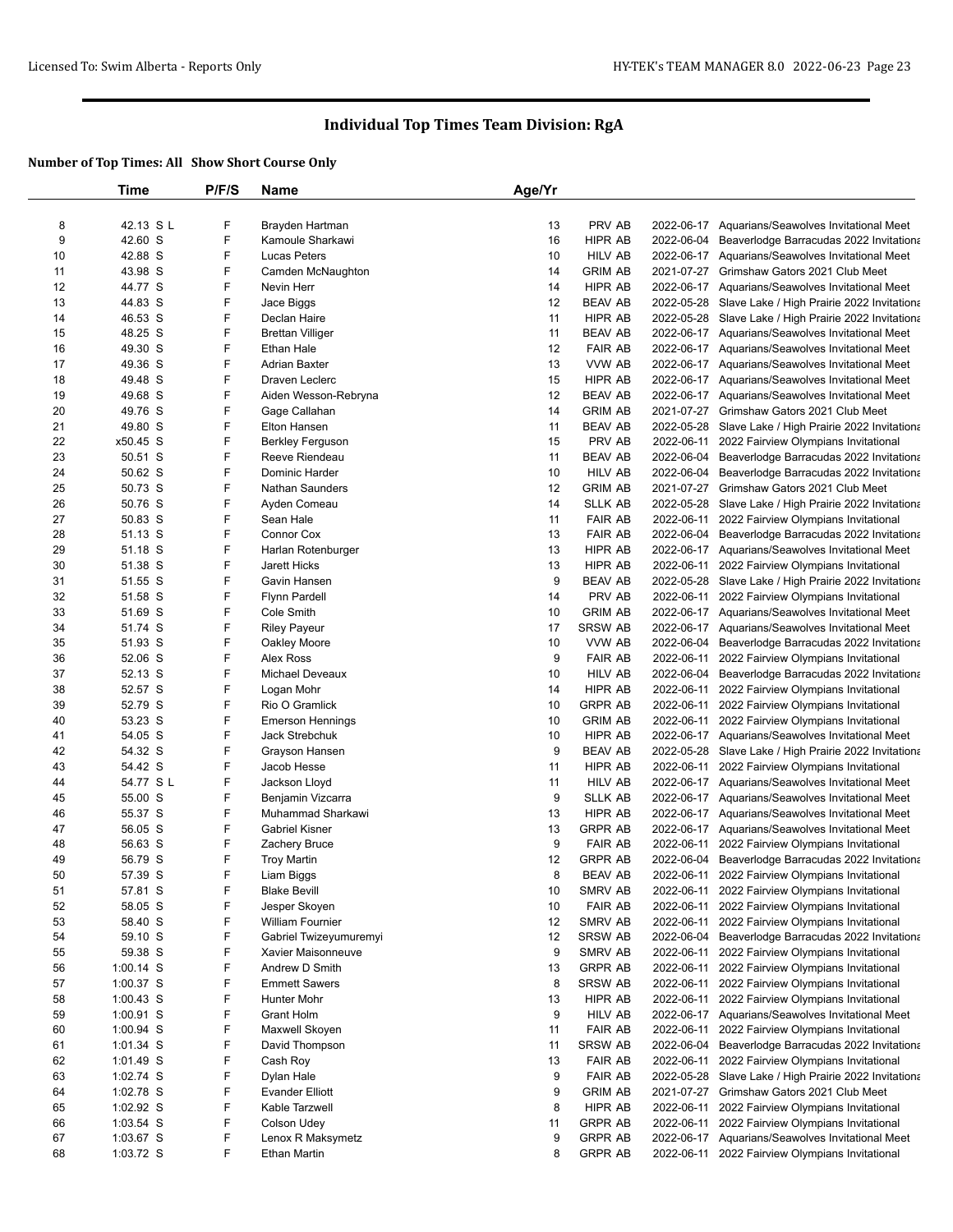|    | Time                     | P/F/S  | <b>Name</b>             | Age/Yr |                                  |            |                                                       |
|----|--------------------------|--------|-------------------------|--------|----------------------------------|------------|-------------------------------------------------------|
|    |                          |        |                         |        |                                  |            |                                                       |
| 8  | 42.13 SL                 | F      | Brayden Hartman         | 13     | PRV AB                           |            | 2022-06-17 Aquarians/Seawolves Invitational Meet      |
| 9  | 42.60 S                  | F      | Kamoule Sharkawi        | 16     | HIPR AB                          | 2022-06-04 | Beaverlodge Barracudas 2022 Invitationa               |
| 10 | 42.88 S                  | F      | <b>Lucas Peters</b>     | 10     | <b>HILV AB</b>                   |            | 2022-06-17 Aquarians/Seawolves Invitational Meet      |
| 11 | 43.98 S                  | F      | Camden McNaughton       | 14     | <b>GRIM AB</b>                   |            | 2021-07-27 Grimshaw Gators 2021 Club Meet             |
| 12 | 44.77 S                  | F      | Nevin Herr              | 14     | HIPR AB                          |            | 2022-06-17 Aquarians/Seawolves Invitational Meet      |
| 13 | 44.83 S                  | F      | Jace Biggs              | 12     | <b>BEAV AB</b>                   |            | 2022-05-28 Slave Lake / High Prairie 2022 Invitationa |
| 14 | 46.53 S                  | F      | Declan Haire            | 11     | HIPR AB                          |            | 2022-05-28 Slave Lake / High Prairie 2022 Invitationa |
| 15 | 48.25 S                  | F      | <b>Brettan Villiger</b> | 11     | <b>BEAV AB</b>                   |            | 2022-06-17 Aquarians/Seawolves Invitational Meet      |
| 16 | 49.30 S                  | F      | Ethan Hale              | 12     | <b>FAIR AB</b>                   |            | 2022-06-17 Aquarians/Seawolves Invitational Meet      |
| 17 | 49.36 S                  | F      | <b>Adrian Baxter</b>    | 13     | VVW AB                           |            | 2022-06-17 Aquarians/Seawolves Invitational Meet      |
| 18 | 49.48 S                  | F      | Draven Leclerc          | 15     | HIPR AB                          |            | 2022-06-17 Aquarians/Seawolves Invitational Meet      |
| 19 | 49.68 S                  | F      | Aiden Wesson-Rebryna    | 12     | <b>BEAV AB</b>                   |            | 2022-06-17 Aquarians/Seawolves Invitational Meet      |
| 20 | 49.76 S                  | F      | Gage Callahan           | 14     | <b>GRIM AB</b>                   |            | 2021-07-27 Grimshaw Gators 2021 Club Meet             |
| 21 | 49.80 S                  | F      | Elton Hansen            | 11     | <b>BEAV AB</b>                   |            | 2022-05-28 Slave Lake / High Prairie 2022 Invitationa |
| 22 | x50.45 S                 | F      | Berkley Ferguson        | 15     | PRV AB                           |            | 2022-06-11 2022 Fairview Olympians Invitational       |
| 23 | 50.51 S                  | F      | Reeve Riendeau          | 11     | BEAV AB                          | 2022-06-04 | Beaverlodge Barracudas 2022 Invitationa               |
| 24 | 50.62 S                  | F      | Dominic Harder          | 10     | <b>HILV AB</b>                   |            | 2022-06-04 Beaverlodge Barracudas 2022 Invitationa    |
| 25 | 50.73 S                  | F      | <b>Nathan Saunders</b>  | 12     | <b>GRIM AB</b>                   |            | 2021-07-27 Grimshaw Gators 2021 Club Meet             |
| 26 | 50.76 S                  | F      | Ayden Comeau            | 14     | SLLK AB                          |            | 2022-05-28 Slave Lake / High Prairie 2022 Invitationa |
| 27 | 50.83 S                  | F      | Sean Hale               | 11     | <b>FAIR AB</b>                   |            | 2022-06-11 2022 Fairview Olympians Invitational       |
| 28 | 51.13 S                  | F      | Connor Cox              | 13     | <b>FAIR AB</b>                   | 2022-06-04 | Beaverlodge Barracudas 2022 Invitationa               |
| 29 | 51.18 S                  | F      | Harlan Rotenburger      | 13     | HIPR AB                          |            | 2022-06-17 Aquarians/Seawolves Invitational Meet      |
| 30 | 51.38 S                  | F      | Jarett Hicks            | 13     | HIPR AB                          |            | 2022-06-11 2022 Fairview Olympians Invitational       |
| 31 | 51.55 S                  | F      | Gavin Hansen            | 9      | BEAV AB                          |            | 2022-05-28 Slave Lake / High Prairie 2022 Invitationa |
| 32 | 51.58 S                  | F      | <b>Flynn Pardell</b>    | 14     | PRV AB                           |            | 2022-06-11 2022 Fairview Olympians Invitational       |
| 33 | 51.69 S                  | F      | Cole Smith              | 10     | <b>GRIM AB</b>                   |            | 2022-06-17 Aquarians/Seawolves Invitational Meet      |
| 34 | 51.74 S                  | F      | <b>Riley Payeur</b>     | 17     | SRSW AB                          |            | 2022-06-17 Aquarians/Seawolves Invitational Meet      |
| 35 | 51.93 S                  | F      | Oakley Moore            | 10     | VVW AB                           |            | 2022-06-04 Beaverlodge Barracudas 2022 Invitationa    |
| 36 | 52.06 S                  | F      | Alex Ross               | 9      | <b>FAIR AB</b>                   |            | 2022-06-11 2022 Fairview Olympians Invitational       |
| 37 | 52.13 S                  | F      | <b>Michael Deveaux</b>  | 10     | HILV AB                          |            | 2022-06-04 Beaverlodge Barracudas 2022 Invitationa    |
| 38 | 52.57 S                  | F      | Logan Mohr              | 14     | HIPR AB                          |            | 2022-06-11 2022 Fairview Olympians Invitational       |
| 39 | 52.79 S                  | F      | Rio O Gramlick          | 10     | GRPR AB                          |            | 2022-06-11 2022 Fairview Olympians Invitational       |
| 40 | 53.23 S                  | F      | <b>Emerson Hennings</b> | 10     | <b>GRIM AB</b>                   |            | 2022-06-11 2022 Fairview Olympians Invitational       |
| 41 | 54.05 S                  | F      | Jack Strebchuk          | 10     | HIPR AB                          |            | 2022-06-17 Aquarians/Seawolves Invitational Meet      |
| 42 | 54.32 S                  | F      | Grayson Hansen          | 9      | BEAV AB                          |            | 2022-05-28 Slave Lake / High Prairie 2022 Invitationa |
| 43 | 54.42 S                  | F      | Jacob Hesse             | 11     | HIPR AB                          |            | 2022-06-11 2022 Fairview Olympians Invitational       |
| 44 | 54.77 S L                | F      | Jackson Lloyd           | 11     | HILV AB                          |            | 2022-06-17 Aquarians/Seawolves Invitational Meet      |
| 45 | 55.00 S                  | F      | Benjamin Vizcarra       | 9      | <b>SLLK AB</b>                   |            | 2022-06-17 Aquarians/Seawolves Invitational Meet      |
| 46 | 55.37 S                  | F      | Muhammad Sharkawi       | 13     | HIPR AB                          |            | 2022-06-17 Aquarians/Seawolves Invitational Meet      |
| 47 | 56.05 S                  | F      | Gabriel Kisner          | 13     | <b>GRPR AB</b>                   |            | 2022-06-17 Aquarians/Seawolves Invitational Meet      |
| 48 | 56.63 S                  | F      | Zachery Bruce           | 9      | <b>FAIR AB</b>                   |            | 2022-06-11 2022 Fairview Olympians Invitational       |
| 49 | 56.79 S                  | F      | <b>Troy Martin</b>      | 12     | <b>GRPR AB</b>                   | 2022-06-04 | Beaverlodge Barracudas 2022 Invitationa               |
| 50 | 57.39 S                  | F      | Liam Biggs              | 8      | <b>BEAV AB</b>                   |            | 2022-06-11 2022 Fairview Olympians Invitational       |
| 51 | 57.81 S                  | F      | <b>Blake Bevill</b>     | 10     | SMRV AB                          |            | 2022-06-11 2022 Fairview Olympians Invitational       |
| 52 | 58.05 S                  | F      | Jesper Skoyen           | 10     | <b>FAIR AB</b>                   |            | 2022-06-11 2022 Fairview Olympians Invitational       |
| 53 | 58.40 S                  | F      | William Fournier        | 12     | SMRV AB                          |            | 2022-06-11 2022 Fairview Olympians Invitational       |
| 54 | 59.10 S                  | F      | Gabriel Twizeyumuremyi  | 12     | <b>SRSW AB</b>                   | 2022-06-04 | Beaverlodge Barracudas 2022 Invitationa               |
| 55 | 59.38 S                  | F      | Xavier Maisonneuve      | 9      | SMRV AB                          |            | 2022-06-11 2022 Fairview Olympians Invitational       |
| 56 | $1:00.14$ S              | F      | Andrew D Smith          | 13     | <b>GRPR AB</b>                   |            | 2022-06-11 2022 Fairview Olympians Invitational       |
| 57 | 1:00.37 S                | F      | <b>Emmett Sawers</b>    | 8      | SRSW AB                          |            | 2022-06-11 2022 Fairview Olympians Invitational       |
| 58 | $1:00.43$ S              | F      | Hunter Mohr             | 13     | HIPR AB                          |            | 2022-06-11 2022 Fairview Olympians Invitational       |
| 59 | $1:00.91$ S              | F      | <b>Grant Holm</b>       | 9      | <b>HILV AB</b>                   |            | 2022-06-17 Aquarians/Seawolves Invitational Meet      |
| 60 | $1:00.94$ S              | F      | Maxwell Skoyen          | 11     | <b>FAIR AB</b>                   |            | 2022-06-11 2022 Fairview Olympians Invitational       |
|    |                          | F      |                         |        |                                  | 2022-06-04 |                                                       |
| 61 | $1:01.34$ S<br>1:01.49 S |        | David Thompson          | 11     | <b>SRSW AB</b>                   |            | Beaverlodge Barracudas 2022 Invitationa               |
| 62 |                          | F<br>F | Cash Roy                | 13     | <b>FAIR AB</b><br><b>FAIR AB</b> |            | 2022-06-11 2022 Fairview Olympians Invitational       |
| 63 | $1:02.74$ S              |        | Dylan Hale              | 9      |                                  |            | 2022-05-28 Slave Lake / High Prairie 2022 Invitationa |
| 64 | $1:02.78$ S              | F      | <b>Evander Elliott</b>  | 9      | <b>GRIM AB</b>                   |            | 2021-07-27 Grimshaw Gators 2021 Club Meet             |
| 65 | $1:02.92$ S              | F      | Kable Tarzwell          | 8      | HIPR AB                          |            | 2022-06-11 2022 Fairview Olympians Invitational       |
| 66 | $1:03.54$ S              | F      | Colson Udey             | 11     | <b>GRPR AB</b>                   |            | 2022-06-11 2022 Fairview Olympians Invitational       |
| 67 | $1:03.67$ S              | F      | Lenox R Maksymetz       | 9      | <b>GRPR AB</b>                   |            | 2022-06-17 Aquarians/Seawolves Invitational Meet      |
| 68 | 1:03.72 S                | F      | Ethan Martin            | 8      | <b>GRPR AB</b>                   |            | 2022-06-11 2022 Fairview Olympians Invitational       |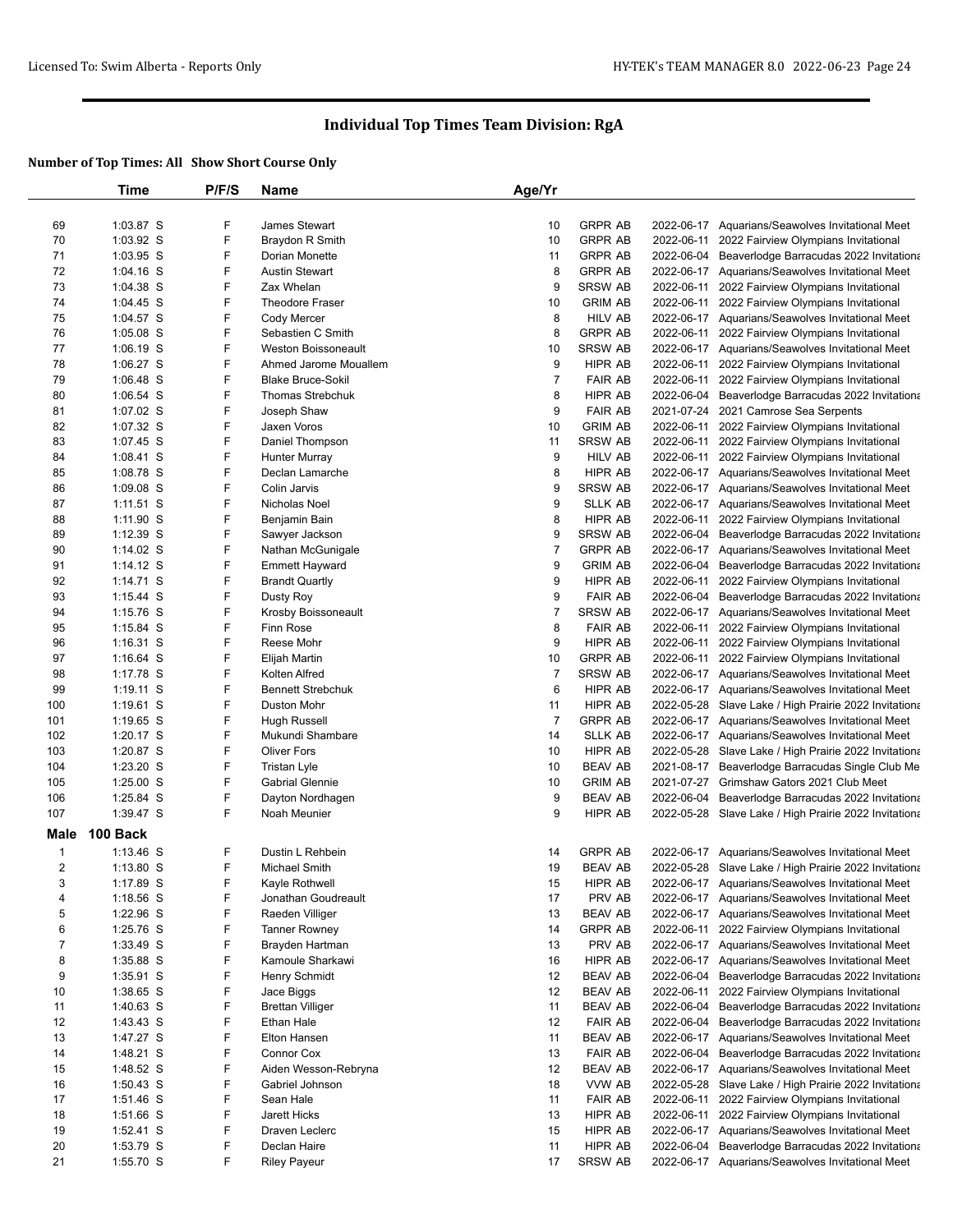|                | Time        | P/F/S | Name                     | Age/Yr         |                |                                                       |
|----------------|-------------|-------|--------------------------|----------------|----------------|-------------------------------------------------------|
|                |             |       |                          |                |                |                                                       |
| 69             | 1:03.87 S   | F     | James Stewart            | 10             | <b>GRPR AB</b> | 2022-06-17 Aquarians/Seawolves Invitational Meet      |
| 70             | 1:03.92 S   | F     | Braydon R Smith          | 10             | <b>GRPR AB</b> | 2022-06-11 2022 Fairview Olympians Invitational       |
| 71             | 1:03.95 S   | F     | Dorian Monette           | 11             | <b>GRPR AB</b> | 2022-06-04 Beaverlodge Barracudas 2022 Invitationa    |
| 72             | $1:04.16$ S | F     | <b>Austin Stewart</b>    | 8              | <b>GRPR AB</b> | 2022-06-17 Aquarians/Seawolves Invitational Meet      |
| 73             | 1:04.38 S   | F     | Zax Whelan               | 9              | <b>SRSW AB</b> | 2022-06-11 2022 Fairview Olympians Invitational       |
| 74             | 1:04.45 S   | F     | <b>Theodore Fraser</b>   | 10             | <b>GRIM AB</b> | 2022-06-11 2022 Fairview Olympians Invitational       |
| 75             | 1:04.57 S   | F     | Cody Mercer              | 8              | <b>HILV AB</b> | 2022-06-17 Aquarians/Seawolves Invitational Meet      |
| 76             | 1:05.08 S   | F     | Sebastien C Smith        | 8              | <b>GRPR AB</b> | 2022-06-11 2022 Fairview Olympians Invitational       |
| 77             | 1:06.19 S   | F     | Weston Boissoneault      | 10             | <b>SRSW AB</b> | 2022-06-17 Aquarians/Seawolves Invitational Meet      |
| 78             | $1:06.27$ S | F     | Ahmed Jarome Mouallem    | 9              | HIPR AB        | 2022-06-11 2022 Fairview Olympians Invitational       |
| 79             | 1:06.48 S   | F     | <b>Blake Bruce-Sokil</b> | $\overline{7}$ | <b>FAIR AB</b> | 2022-06-11 2022 Fairview Olympians Invitational       |
| 80             | 1:06.54 S   | F     | <b>Thomas Strebchuk</b>  | 8              | <b>HIPR AB</b> | 2022-06-04 Beaverlodge Barracudas 2022 Invitationa    |
| 81             | 1:07.02 S   | F     | Joseph Shaw              | 9              | <b>FAIR AB</b> | 2021-07-24 2021 Camrose Sea Serpents                  |
| 82             | 1:07.32 S   | F     | Jaxen Voros              | 10             | <b>GRIM AB</b> | 2022-06-11 2022 Fairview Olympians Invitational       |
| 83             | 1:07.45 S   | F     | Daniel Thompson          | 11             | <b>SRSW AB</b> | 2022-06-11 2022 Fairview Olympians Invitational       |
| 84             | $1:08.41$ S | F     | Hunter Murray            | 9              | <b>HILV AB</b> | 2022-06-11 2022 Fairview Olympians Invitational       |
| 85             | 1:08.78 S   | F     | Declan Lamarche          | 8              | HIPR AB        | 2022-06-17 Aquarians/Seawolves Invitational Meet      |
| 86             | 1:09.08 S   | F     | Colin Jarvis             | 9              | SRSW AB        | 2022-06-17 Aquarians/Seawolves Invitational Meet      |
| 87             | $1:11.51$ S | F     | Nicholas Noel            | 9              | <b>SLLK AB</b> | 2022-06-17 Aquarians/Seawolves Invitational Meet      |
| 88             | 1:11.90 S   | F     | Benjamin Bain            | 8              | HIPR AB        | 2022-06-11 2022 Fairview Olympians Invitational       |
| 89             | $1:12.39$ S | F     | Sawyer Jackson           | 9              | <b>SRSW AB</b> | 2022-06-04 Beaverlodge Barracudas 2022 Invitationa    |
| 90             | 1:14.02 S   | F     | Nathan McGunigale        | 7              | <b>GRPR AB</b> | 2022-06-17 Aquarians/Seawolves Invitational Meet      |
| 91             | $1:14.12$ S | F     | <b>Emmett Hayward</b>    | 9              | <b>GRIM AB</b> | 2022-06-04 Beaverlodge Barracudas 2022 Invitationa    |
| 92             | $1:14.71$ S | F     | <b>Brandt Quartly</b>    | 9              | HIPR AB        | 2022-06-11 2022 Fairview Olympians Invitational       |
| 93             | 1:15.44 S   | F     | Dusty Roy                | 9              | <b>FAIR AB</b> | 2022-06-04 Beaverlodge Barracudas 2022 Invitationa    |
| 94             | $1:15.76$ S | F     | Krosby Boissoneault      | $\overline{7}$ | SRSW AB        | 2022-06-17 Aquarians/Seawolves Invitational Meet      |
| 95             | 1:15.84 S   | F     | Finn Rose                | 8              | <b>FAIR AB</b> | 2022-06-11 2022 Fairview Olympians Invitational       |
| 96             | 1:16.31 S   | F     | Reese Mohr               | 9              | HIPR AB        | 2022-06-11 2022 Fairview Olympians Invitational       |
| 97             | $1:16.64$ S | F     | Elijah Martin            | 10             | <b>GRPR AB</b> | 2022-06-11 2022 Fairview Olympians Invitational       |
| 98             | 1:17.78 S   | F     | Kolten Alfred            | $\overline{7}$ | SRSW AB        | 2022-06-17 Aquarians/Seawolves Invitational Meet      |
| 99             | $1:19.11$ S | F     | <b>Bennett Strebchuk</b> | 6              | HIPR AB        | 2022-06-17 Aquarians/Seawolves Invitational Meet      |
| 100            | $1:19.61$ S | F     | Duston Mohr              | 11             | HIPR AB        | 2022-05-28 Slave Lake / High Prairie 2022 Invitationa |
| 101            | $1:19.65$ S | F     | Hugh Russell             | $\overline{7}$ | <b>GRPR AB</b> | 2022-06-17 Aquarians/Seawolves Invitational Meet      |
| 102            | 1:20.17 S   | F     | Mukundi Shambare         | 14             | <b>SLLK AB</b> | 2022-06-17 Aquarians/Seawolves Invitational Meet      |
| 103            | 1:20.87 S   | F     | <b>Oliver Fors</b>       | 10             | HIPR AB        | 2022-05-28 Slave Lake / High Prairie 2022 Invitationa |
| 104            | 1:23.20 S   | F     | Tristan Lyle             | 10             | <b>BEAV AB</b> | 2021-08-17 Beaverlodge Barracudas Single Club Me      |
| 105            | 1:25.00 S   | F     | <b>Gabrial Glennie</b>   | 10             | <b>GRIM AB</b> | 2021-07-27 Grimshaw Gators 2021 Club Meet             |
| 106            | 1:25.84 S   | F     | Dayton Nordhagen         | 9              | <b>BEAV AB</b> | 2022-06-04 Beaverlodge Barracudas 2022 Invitationa    |
| 107            | 1:39.47 S   | F     | Noah Meunier             | 9              | HIPR AB        | 2022-05-28 Slave Lake / High Prairie 2022 Invitationa |
| Male           | 100 Back    |       |                          |                |                |                                                       |
| $\mathbf{1}$   | $1:13.46$ S | F     | Dustin L Rehbein         | 14             | <b>GRPR AB</b> | 2022-06-17 Aquarians/Seawolves Invitational Meet      |
| $\overline{2}$ | $1:13.80$ S | F     | Michael Smith            | 19             | <b>BEAV AB</b> | 2022-05-28 Slave Lake / High Prairie 2022 Invitationa |
| 3              | 1:17.89 S   | F     | Kayle Rothwell           | 15             | HIPR AB        | 2022-06-17 Aquarians/Seawolves Invitational Meet      |
| 4              | $1:18.56$ S | F     | Jonathan Goudreault      | 17             | PRV AB         | 2022-06-17 Aquarians/Seawolves Invitational Meet      |
| 5              | 1:22.96 S   | F     | Raeden Villiger          | 13             | <b>BEAV AB</b> | 2022-06-17 Aquarians/Seawolves Invitational Meet      |
| 6              | 1:25.76 S   | F     | <b>Tanner Rowney</b>     | 14             | <b>GRPR AB</b> | 2022-06-11 2022 Fairview Olympians Invitational       |
| 7              | 1:33.49 S   | F     | Brayden Hartman          | 13             | PRV AB         | 2022-06-17 Aquarians/Seawolves Invitational Meet      |
| 8              | 1:35.88 S   | F     | Kamoule Sharkawi         | 16             | HIPR AB        | 2022-06-17 Aquarians/Seawolves Invitational Meet      |
| 9              | $1:35.91$ S | F     | Henry Schmidt            | 12             | <b>BEAV AB</b> | 2022-06-04 Beaverlodge Barracudas 2022 Invitationa    |
| 10             | $1:38.65$ S | F     | Jace Biggs               | 12             | <b>BEAV AB</b> | 2022-06-11 2022 Fairview Olympians Invitational       |
| 11             | $1:40.63$ S | F     | <b>Brettan Villiger</b>  | 11             | <b>BEAV AB</b> | 2022-06-04 Beaverlodge Barracudas 2022 Invitationa    |
| 12             | 1:43.43 S   | F     | Ethan Hale               | 12             | <b>FAIR AB</b> | 2022-06-04 Beaverlodge Barracudas 2022 Invitationa    |
| 13             | 1:47.27 S   | F     | Elton Hansen             | 11             | <b>BEAV AB</b> | 2022-06-17 Aquarians/Seawolves Invitational Meet      |
| 14             | 1:48.21 S   | F     | Connor Cox               | 13             | <b>FAIR AB</b> | 2022-06-04 Beaverlodge Barracudas 2022 Invitationa    |
| 15             | 1:48.52 S   | F     | Aiden Wesson-Rebryna     | 12             | <b>BEAV AB</b> | 2022-06-17 Aquarians/Seawolves Invitational Meet      |
| 16             | $1:50.43$ S | F     | Gabriel Johnson          | 18             | VVW AB         | 2022-05-28 Slave Lake / High Prairie 2022 Invitationa |
| 17             | 1:51.46 S   | F     | Sean Hale                | 11             | <b>FAIR AB</b> | 2022-06-11 2022 Fairview Olympians Invitational       |
| 18             | 1:51.66 S   | F     | Jarett Hicks             | 13             | HIPR AB        | 2022-06-11 2022 Fairview Olympians Invitational       |
| 19             | 1:52.41 S   | F     | Draven Leclerc           | 15             | HIPR AB        | 2022-06-17 Aquarians/Seawolves Invitational Meet      |
| 20             | 1:53.79 S   | F     | Declan Haire             | 11             | HIPR AB        | 2022-06-04 Beaverlodge Barracudas 2022 Invitationa    |
| 21             | 1:55.70 S   | F     | <b>Riley Payeur</b>      | 17             | SRSW AB        | 2022-06-17 Aquarians/Seawolves Invitational Meet      |
|                |             |       |                          |                |                |                                                       |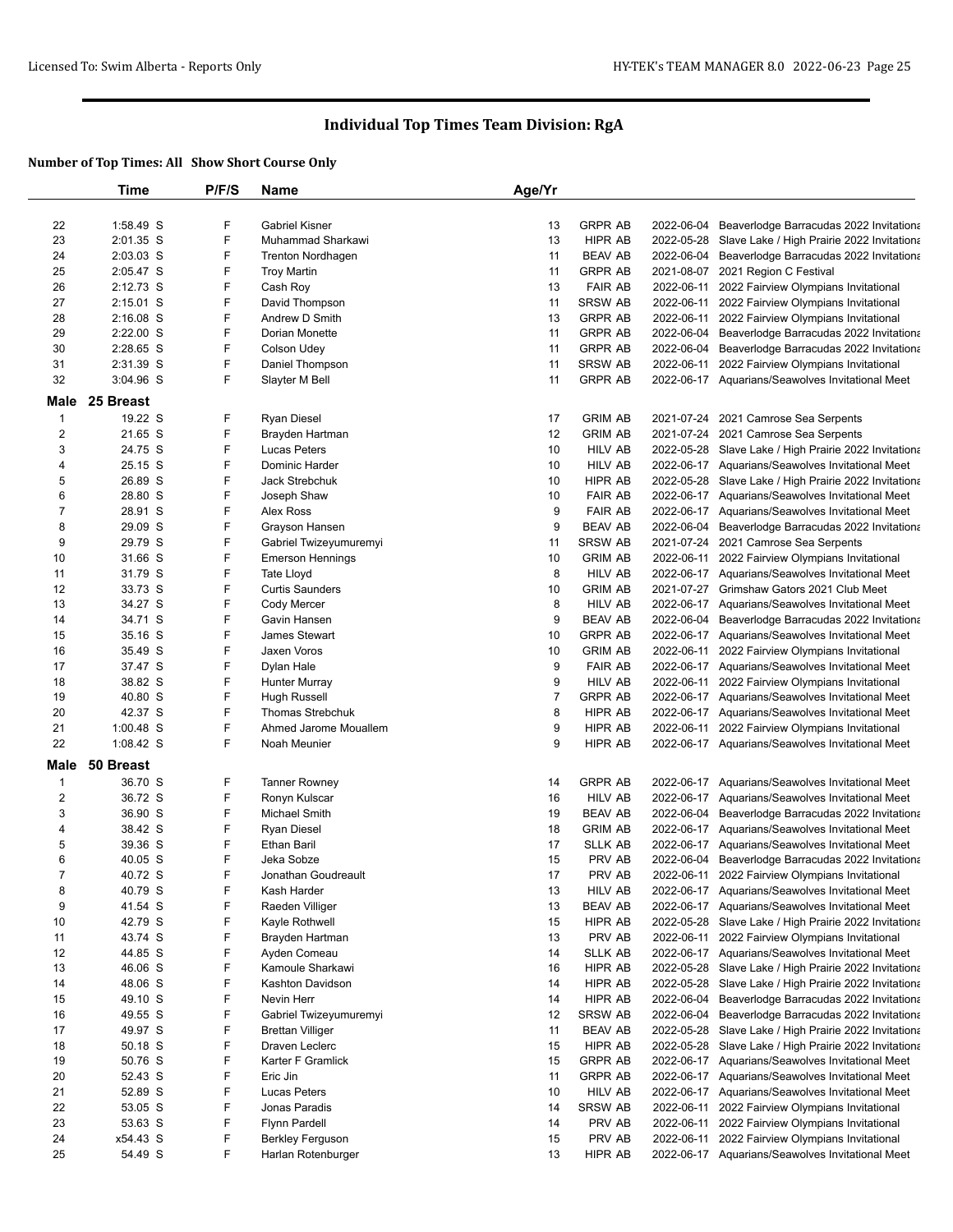|                  | Time        | P/F/S | <b>Name</b>             | Age/Yr         |                |            |                                                       |
|------------------|-------------|-------|-------------------------|----------------|----------------|------------|-------------------------------------------------------|
|                  |             |       |                         |                |                |            |                                                       |
| 22               | 1:58.49 S   | F     | <b>Gabriel Kisner</b>   | 13             | <b>GRPR AB</b> |            | 2022-06-04 Beaverlodge Barracudas 2022 Invitationa    |
| 23               | 2:01.35 S   | F     | Muhammad Sharkawi       | 13             | HIPR AB        |            | 2022-05-28 Slave Lake / High Prairie 2022 Invitationa |
| 24               | 2:03.03 S   | F     | Trenton Nordhagen       | 11             | <b>BEAV AB</b> |            | 2022-06-04 Beaverlodge Barracudas 2022 Invitationa    |
| 25               | 2:05.47 S   | F     | <b>Troy Martin</b>      | 11             | <b>GRPR AB</b> | 2021-08-07 | 2021 Region C Festival                                |
| 26               | 2:12.73 S   | F     | Cash Roy                | 13             | <b>FAIR AB</b> | 2022-06-11 | 2022 Fairview Olympians Invitational                  |
| 27               | 2:15.01 S   | F     | David Thompson          | 11             | <b>SRSW AB</b> | 2022-06-11 | 2022 Fairview Olympians Invitational                  |
| 28               | $2:16.08$ S | F     | Andrew D Smith          | 13             | <b>GRPR AB</b> | 2022-06-11 | 2022 Fairview Olympians Invitational                  |
| 29               | 2:22.00 S   | F     | Dorian Monette          | 11             | <b>GRPR AB</b> |            | 2022-06-04 Beaverlodge Barracudas 2022 Invitationa    |
| 30               | 2:28.65 S   | F     | Colson Udey             | 11             | <b>GRPR AB</b> | 2022-06-04 | Beaverlodge Barracudas 2022 Invitationa               |
| 31               | 2:31.39 S   | F     | Daniel Thompson         | 11             | SRSW AB        | 2022-06-11 | 2022 Fairview Olympians Invitational                  |
| 32               | 3:04.96 S   | F     | Slayter M Bell          | 11             | <b>GRPR AB</b> |            | 2022-06-17 Aquarians/Seawolves Invitational Meet      |
| Male             | 25 Breast   |       |                         |                |                |            |                                                       |
|                  |             |       |                         |                |                |            |                                                       |
| $\mathbf{1}$     | 19.22 S     | F     | <b>Ryan Diesel</b>      | 17             | <b>GRIM AB</b> |            | 2021-07-24 2021 Camrose Sea Serpents                  |
| $\boldsymbol{2}$ | 21.65 S     | F     | Brayden Hartman         | 12             | <b>GRIM AB</b> |            | 2021-07-24 2021 Camrose Sea Serpents                  |
| 3                | 24.75 S     | F     | Lucas Peters            | 10             | <b>HILV AB</b> |            | 2022-05-28 Slave Lake / High Prairie 2022 Invitationa |
| 4                | 25.15 S     | F     | Dominic Harder          | 10             | <b>HILV AB</b> |            | 2022-06-17 Aquarians/Seawolves Invitational Meet      |
| 5                | 26.89 S     | F     | Jack Strebchuk          | 10             | <b>HIPR AB</b> |            | 2022-05-28 Slave Lake / High Prairie 2022 Invitationa |
| 6                | 28.80 S     | F     | Joseph Shaw             | 10             | <b>FAIR AB</b> |            | 2022-06-17 Aquarians/Seawolves Invitational Meet      |
| $\boldsymbol{7}$ | 28.91 S     | F     | Alex Ross               | 9              | <b>FAIR AB</b> |            | 2022-06-17 Aquarians/Seawolves Invitational Meet      |
| 8                | 29.09 S     | F     | Grayson Hansen          | 9              | <b>BEAV AB</b> |            | 2022-06-04 Beaverlodge Barracudas 2022 Invitationa    |
| 9                | 29.79 S     | F     | Gabriel Twizeyumuremyi  | 11             | SRSW AB        |            | 2021-07-24 2021 Camrose Sea Serpents                  |
| 10               | 31.66 S     | F     | <b>Emerson Hennings</b> | 10             | <b>GRIM AB</b> |            | 2022-06-11 2022 Fairview Olympians Invitational       |
| 11               | 31.79 S     | F     | <b>Tate Lloyd</b>       | 8              | <b>HILV AB</b> |            | 2022-06-17 Aquarians/Seawolves Invitational Meet      |
| 12               | 33.73 S     | F     | <b>Curtis Saunders</b>  | 10             | <b>GRIM AB</b> |            | 2021-07-27 Grimshaw Gators 2021 Club Meet             |
| 13               | 34.27 S     | F     | Cody Mercer             | 8              | <b>HILV AB</b> |            | 2022-06-17 Aquarians/Seawolves Invitational Meet      |
| 14               | 34.71 S     | F     | Gavin Hansen            | 9              | <b>BEAV AB</b> |            | 2022-06-04 Beaverlodge Barracudas 2022 Invitationa    |
| 15               | 35.16 S     | F     | James Stewart           | 10             | <b>GRPR AB</b> |            | 2022-06-17 Aquarians/Seawolves Invitational Meet      |
| 16               | 35.49 S     | F     | Jaxen Voros             | 10             | <b>GRIM AB</b> |            | 2022-06-11 2022 Fairview Olympians Invitational       |
| 17               | 37.47 S     | F     | Dylan Hale              | 9              | <b>FAIR AB</b> |            | 2022-06-17 Aquarians/Seawolves Invitational Meet      |
| 18               | 38.82 S     | F     | Hunter Murray           | 9              | <b>HILV AB</b> | 2022-06-11 | 2022 Fairview Olympians Invitational                  |
| 19               | 40.80 S     | F     | Hugh Russell            | $\overline{7}$ | <b>GRPR AB</b> |            | 2022-06-17 Aquarians/Seawolves Invitational Meet      |
| 20               | 42.37 S     | F     | Thomas Strebchuk        | 8              | HIPR AB        |            | 2022-06-17 Aquarians/Seawolves Invitational Meet      |
| 21               | $1:00.48$ S | F     | Ahmed Jarome Mouallem   | 9              | HIPR AB        | 2022-06-11 | 2022 Fairview Olympians Invitational                  |
| 22               | 1:08.42 S   | F     | Noah Meunier            | 9              | <b>HIPR AB</b> |            | 2022-06-17 Aquarians/Seawolves Invitational Meet      |
| Male             | 50 Breast   |       |                         |                |                |            |                                                       |
| $\mathbf{1}$     | 36.70 S     | F     | <b>Tanner Rowney</b>    | 14             | <b>GRPR AB</b> | 2022-06-17 | Aquarians/Seawolves Invitational Meet                 |
| $\overline{c}$   | 36.72 S     | F     | Ronyn Kulscar           | 16             | <b>HILV AB</b> |            | 2022-06-17 Aquarians/Seawolves Invitational Meet      |
| 3                | 36.90 S     | F     | Michael Smith           | 19             | <b>BEAV AB</b> |            | 2022-06-04 Beaverlodge Barracudas 2022 Invitationa    |
| 4                | 38.42 S     | F     | Ryan Diesel             | 18             | <b>GRIM AB</b> |            | 2022-06-17 Aquarians/Seawolves Invitational Meet      |
| 5                | 39.36 S     | F     | Ethan Baril             | 17             | <b>SLLK AB</b> |            | 2022-06-17 Aquarians/Seawolves Invitational Meet      |
| 6                | 40.05 S     | F     | Jeka Sobze              | 15             | PRV AB         |            | 2022-06-04 Beaverlodge Barracudas 2022 Invitationa    |
| $\overline{7}$   | 40.72 S     | F     | Jonathan Goudreault     | 17             | PRV AB         |            | 2022-06-11 2022 Fairview Olympians Invitational       |
| 8                | 40.79 S     | F     | Kash Harder             | 13             | <b>HILV AB</b> |            | 2022-06-17 Aquarians/Seawolves Invitational Meet      |
| 9                | 41.54 S     | F     | Raeden Villiger         | 13             | <b>BEAV AB</b> |            | 2022-06-17 Aquarians/Seawolves Invitational Meet      |
| 10               | 42.79 S     | F     | Kayle Rothwell          | 15             | HIPR AB        |            | 2022-05-28 Slave Lake / High Prairie 2022 Invitationa |
| 11               | 43.74 S     | F     | Brayden Hartman         | 13             | PRV AB         | 2022-06-11 | 2022 Fairview Olympians Invitational                  |
| 12               | 44.85 S     | F     | Ayden Comeau            | 14             | SLLK AB        |            | 2022-06-17 Aquarians/Seawolves Invitational Meet      |
| 13               | 46.06 S     | F     | Kamoule Sharkawi        | 16             | HIPR AB        |            | 2022-05-28 Slave Lake / High Prairie 2022 Invitationa |
| 14               | 48.06 S     | F     | Kashton Davidson        | 14             | HIPR AB        |            | 2022-05-28 Slave Lake / High Prairie 2022 Invitationa |
| 15               | 49.10 S     | F     | Nevin Herr              | 14             | HIPR AB        | 2022-06-04 | Beaverlodge Barracudas 2022 Invitationa               |
| 16               | 49.55 S     | F     | Gabriel Twizeyumuremyi  | 12             | SRSW AB        |            | 2022-06-04 Beaverlodge Barracudas 2022 Invitationa    |
| 17               | 49.97 S     | F     | Brettan Villiger        | 11             | <b>BEAV AB</b> |            | 2022-05-28 Slave Lake / High Prairie 2022 Invitationa |
| 18               | 50.18 S     | F     | Draven Leclerc          | 15             | HIPR AB        | 2022-05-28 | Slave Lake / High Prairie 2022 Invitationa            |
| 19               | 50.76 S     | F     | Karter F Gramlick       | 15             | <b>GRPR AB</b> |            | 2022-06-17 Aquarians/Seawolves Invitational Meet      |
| 20               | 52.43 S     | F     | Eric Jin                | 11             | <b>GRPR AB</b> |            | 2022-06-17 Aquarians/Seawolves Invitational Meet      |
| 21               | 52.89 S     | F     | Lucas Peters            | 10             | <b>HILV AB</b> |            | 2022-06-17 Aquarians/Seawolves Invitational Meet      |
| 22               | 53.05 S     | F     | Jonas Paradis           | 14             | <b>SRSW AB</b> | 2022-06-11 | 2022 Fairview Olympians Invitational                  |
| 23               | 53.63 S     | F     | <b>Flynn Pardell</b>    | 14             | PRV AB         | 2022-06-11 | 2022 Fairview Olympians Invitational                  |
| 24               | x54.43 S    | F     | <b>Berkley Ferguson</b> | 15             | PRV AB         | 2022-06-11 | 2022 Fairview Olympians Invitational                  |
| 25               | 54.49 S     | F     | Harlan Rotenburger      | 13             | HIPR AB        |            | 2022-06-17 Aquarians/Seawolves Invitational Meet      |
|                  |             |       |                         |                |                |            |                                                       |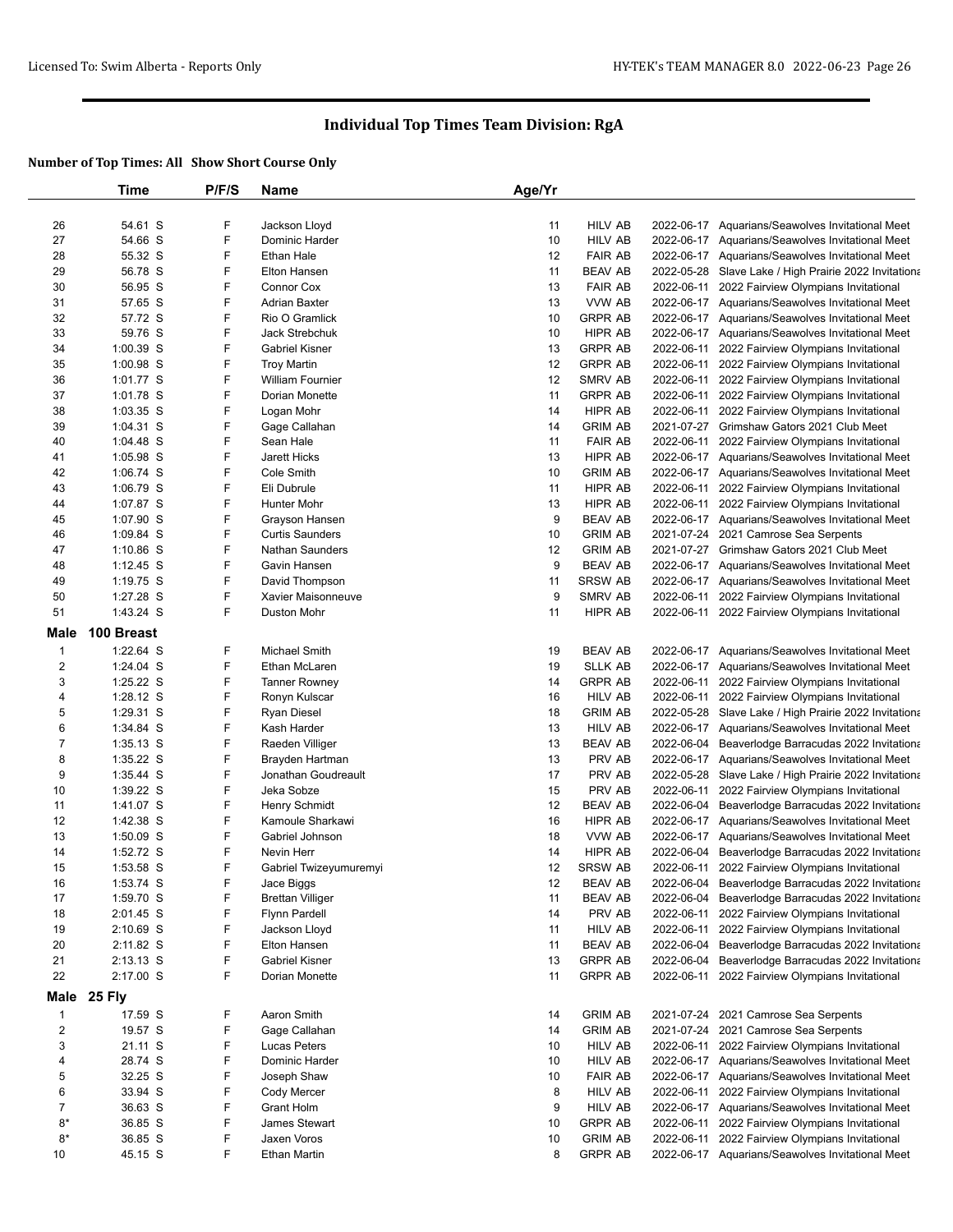|                         | Time                   | P/F/S | <b>Name</b>                              | Age/Yr   |                          |            |                                                                                                       |
|-------------------------|------------------------|-------|------------------------------------------|----------|--------------------------|------------|-------------------------------------------------------------------------------------------------------|
|                         |                        |       |                                          |          |                          |            |                                                                                                       |
| 26                      | 54.61 S                | F     | Jackson Lloyd                            | 11       | HILV AB                  |            | 2022-06-17 Aquarians/Seawolves Invitational Meet                                                      |
| 27                      | 54.66 S                | F     | Dominic Harder                           | 10       | <b>HILV AB</b>           |            | 2022-06-17 Aquarians/Seawolves Invitational Meet                                                      |
| 28                      | 55.32 S                | F     | Ethan Hale                               | 12       | <b>FAIR AB</b>           |            | 2022-06-17 Aquarians/Seawolves Invitational Meet                                                      |
| 29                      | 56.78 S                | F     | <b>Elton Hansen</b>                      | 11       | <b>BEAV AB</b>           |            | 2022-05-28 Slave Lake / High Prairie 2022 Invitationa                                                 |
| 30                      | 56.95 S                | F     | Connor Cox                               | 13       | <b>FAIR AB</b>           | 2022-06-11 | 2022 Fairview Olympians Invitational                                                                  |
| 31                      | 57.65 S                | F     | <b>Adrian Baxter</b>                     | 13       | VVW AB                   |            | 2022-06-17 Aquarians/Seawolves Invitational Meet                                                      |
| 32                      | 57.72 S                | F     | Rio O Gramlick                           | 10       | <b>GRPR AB</b>           |            | 2022-06-17 Aquarians/Seawolves Invitational Meet                                                      |
| 33                      | 59.76 S                | F     | Jack Strebchuk                           | 10       | HIPR AB                  |            | 2022-06-17 Aquarians/Seawolves Invitational Meet                                                      |
| 34                      | 1:00.39 S              | F     | <b>Gabriel Kisner</b>                    | 13       | <b>GRPR AB</b>           | 2022-06-11 | 2022 Fairview Olympians Invitational                                                                  |
| 35                      | 1:00.98 S              | F     | <b>Troy Martin</b>                       | 12       | <b>GRPR AB</b>           | 2022-06-11 | 2022 Fairview Olympians Invitational                                                                  |
| 36                      | 1:01.77 S              | F     | William Fournier                         | 12       | <b>SMRV AB</b>           |            | 2022-06-11 2022 Fairview Olympians Invitational                                                       |
| 37                      | 1:01.78 S              | F     | Dorian Monette                           | 11       | <b>GRPR AB</b>           |            | 2022-06-11 2022 Fairview Olympians Invitational                                                       |
| 38                      | 1:03.35 S              | F     | Logan Mohr                               | 14       | HIPR AB                  | 2022-06-11 | 2022 Fairview Olympians Invitational                                                                  |
| 39                      | 1:04.31 S              | F     | Gage Callahan                            | 14       | <b>GRIM AB</b>           |            | 2021-07-27 Grimshaw Gators 2021 Club Meet                                                             |
| 40                      | $1:04.48$ S            | F     | Sean Hale                                | 11       | <b>FAIR AB</b>           | 2022-06-11 | 2022 Fairview Olympians Invitational                                                                  |
| 41                      | 1:05.98 S              | F     | Jarett Hicks                             | 13       | HIPR AB                  |            | 2022-06-17 Aquarians/Seawolves Invitational Meet                                                      |
| 42                      | $1:06.74$ S            | F     | Cole Smith                               | 10       | <b>GRIM AB</b>           |            | 2022-06-17 Aquarians/Seawolves Invitational Meet                                                      |
| 43                      | 1:06.79 S              | F     | Eli Dubrule                              | 11       | HIPR AB                  |            | 2022-06-11 2022 Fairview Olympians Invitational                                                       |
| 44                      | 1:07.87 S              | F     | <b>Hunter Mohr</b>                       | 13       | HIPR AB                  | 2022-06-11 | 2022 Fairview Olympians Invitational                                                                  |
| 45                      | 1:07.90 S              | F     | Grayson Hansen                           | 9        | <b>BEAV AB</b>           |            | 2022-06-17 Aquarians/Seawolves Invitational Meet                                                      |
| 46                      | 1:09.84 S              | F     | <b>Curtis Saunders</b>                   | 10       | <b>GRIM AB</b>           |            | 2021-07-24 2021 Camrose Sea Serpents                                                                  |
| 47                      | $1:10.86$ S            | F     | Nathan Saunders                          | 12       | <b>GRIM AB</b>           |            | 2021-07-27 Grimshaw Gators 2021 Club Meet                                                             |
| 48                      | $1:12.45$ S            | F     | Gavin Hansen                             | 9        | <b>BEAV AB</b>           |            | 2022-06-17 Aquarians/Seawolves Invitational Meet                                                      |
| 49                      | 1:19.75 S              | F     | David Thompson                           | 11       | SRSW AB                  |            | 2022-06-17 Aquarians/Seawolves Invitational Meet                                                      |
| 50                      | 1:27.28 S              | F     | Xavier Maisonneuve                       | 9        | SMRV AB                  |            | 2022-06-11 2022 Fairview Olympians Invitational                                                       |
| 51                      | 1:43.24 S              | F     | Duston Mohr                              | 11       | HIPR AB                  |            | 2022-06-11 2022 Fairview Olympians Invitational                                                       |
| Male                    | 100 Breast             |       |                                          |          |                          |            |                                                                                                       |
| $\mathbf{1}$            | 1:22.64 S              | F     | Michael Smith                            | 19       | <b>BEAV AB</b>           |            | 2022-06-17 Aquarians/Seawolves Invitational Meet                                                      |
| $\overline{\mathbf{c}}$ | 1:24.04 S              | F     | Ethan McLaren                            | 19       | <b>SLLK AB</b>           |            | 2022-06-17 Aquarians/Seawolves Invitational Meet                                                      |
| 3                       | 1:25.22 S              | F     | <b>Tanner Rowney</b>                     | 14       | <b>GRPR AB</b>           | 2022-06-11 | 2022 Fairview Olympians Invitational                                                                  |
| 4                       | 1:28.12 S              | F     | Ronyn Kulscar                            | 16       | <b>HILV AB</b>           |            | 2022-06-11 2022 Fairview Olympians Invitational                                                       |
| 5                       | 1:29.31 S              | F     | <b>Ryan Diesel</b>                       | 18       | <b>GRIM AB</b>           |            | 2022-05-28 Slave Lake / High Prairie 2022 Invitationa                                                 |
| 6                       | 1:34.84 S              | F     | Kash Harder                              | 13       | HILV AB                  |            | 2022-06-17 Aquarians/Seawolves Invitational Meet                                                      |
| 7                       |                        | F     |                                          | 13       | <b>BEAV AB</b>           |            |                                                                                                       |
|                         | $1:35.13$ S            | F     | Raeden Villiger                          |          | PRV AB                   |            | 2022-06-04 Beaverlodge Barracudas 2022 Invitationa                                                    |
| 8<br>9                  | 1:35.22 S              | F     | Brayden Hartman                          | 13<br>17 |                          |            | 2022-06-17 Aquarians/Seawolves Invitational Meet                                                      |
| 10                      | 1:35.44 S<br>1:39.22 S | F     | Jonathan Goudreault<br>Jeka Sobze        | 15       | PRV AB<br>PRV AB         |            | 2022-05-28 Slave Lake / High Prairie 2022 Invitationa                                                 |
| 11                      | 1:41.07 S              | F     | Henry Schmidt                            | 12       | <b>BEAV AB</b>           | 2022-06-11 | 2022 Fairview Olympians Invitational                                                                  |
| 12                      |                        | F     |                                          |          | HIPR AB                  |            | 2022-06-04 Beaverlodge Barracudas 2022 Invitationa                                                    |
| 13                      | 1:42.38 S              | F     | Kamoule Sharkawi<br>Gabriel Johnson      | 16<br>18 |                          |            | 2022-06-17 Aquarians/Seawolves Invitational Meet                                                      |
| 14                      | $1:50.09$ S            | F     |                                          | 14       | VVW AB<br><b>HIPR AB</b> |            | 2022-06-17 Aquarians/Seawolves Invitational Meet                                                      |
| 15                      | 1:52.72 S<br>1:53.58 S | F     | Nevin Herr                               | 12       | <b>SRSW AB</b>           |            | 2022-06-04 Beaverlodge Barracudas 2022 Invitationa<br>2022-06-11 2022 Fairview Olympians Invitational |
| 16                      | 1:53.74 S              | F     | Gabriel Twizeyumuremyi                   | 12       | <b>BEAV AB</b>           |            | 2022-06-04 Beaverlodge Barracudas 2022 Invitationa                                                    |
| 17                      | 1:59.70 S              | F     | Jace Biggs                               |          | <b>BEAV AB</b>           |            |                                                                                                       |
|                         | 2:01.45 S              | F     | <b>Brettan Villiger</b><br>Flynn Pardell | 11       | PRV AB                   | 2022-06-11 | 2022-06-04 Beaverlodge Barracudas 2022 Invitationa<br>2022 Fairview Olympians Invitational            |
| 18                      | 2:10.69 S              | F     |                                          | 14       |                          |            |                                                                                                       |
| 19                      |                        |       | Jackson Lloyd                            | 11       | <b>HILV AB</b>           | 2022-06-11 | 2022 Fairview Olympians Invitational                                                                  |
| 20                      | 2:11.82 S              | F     | Elton Hansen<br><b>Gabriel Kisner</b>    | 11       | <b>BEAV AB</b>           |            | 2022-06-04 Beaverlodge Barracudas 2022 Invitationa                                                    |
| 21                      | $2:13.13$ S            | F     |                                          | 13       | <b>GRPR AB</b>           |            | 2022-06-04 Beaverlodge Barracudas 2022 Invitationa                                                    |
| 22                      | 2:17.00 S              | F     | Dorian Monette                           | 11       | <b>GRPR AB</b>           |            | 2022-06-11 2022 Fairview Olympians Invitational                                                       |
| Male                    | <b>25 Fly</b>          |       |                                          |          |                          |            |                                                                                                       |
| $\mathbf{1}$            | 17.59 S                | F     | Aaron Smith                              | 14       | <b>GRIM AB</b>           |            | 2021-07-24 2021 Camrose Sea Serpents                                                                  |
| $\overline{\mathbf{c}}$ | 19.57 S                | F     | Gage Callahan                            | 14       | <b>GRIM AB</b>           |            | 2021-07-24 2021 Camrose Sea Serpents                                                                  |
| 3                       | 21.11 S                | F     | Lucas Peters                             | 10       | <b>HILV AB</b>           | 2022-06-11 | 2022 Fairview Olympians Invitational                                                                  |
| 4                       | 28.74 S                | F     | Dominic Harder                           | 10       | <b>HILV AB</b>           |            | 2022-06-17 Aquarians/Seawolves Invitational Meet                                                      |
| 5                       | 32.25 S                | F     | Joseph Shaw                              | 10       | <b>FAIR AB</b>           |            | 2022-06-17 Aquarians/Seawolves Invitational Meet                                                      |
| 6                       | 33.94 S                | F     | Cody Mercer                              | 8        | HILV AB                  |            | 2022-06-11 2022 Fairview Olympians Invitational                                                       |
| 7                       | 36.63 S                | F     | Grant Holm                               | 9        | <b>HILV AB</b>           |            | 2022-06-17 Aquarians/Seawolves Invitational Meet                                                      |
| 8*                      | 36.85 S                | F     | James Stewart                            | 10       | <b>GRPR AB</b>           | 2022-06-11 | 2022 Fairview Olympians Invitational                                                                  |
| 8*                      | 36.85 S                | F     | Jaxen Voros                              | 10       | <b>GRIM AB</b>           | 2022-06-11 | 2022 Fairview Olympians Invitational                                                                  |
| 10                      | 45.15 S                | F     | Ethan Martin                             | 8        | <b>GRPR AB</b>           |            | 2022-06-17 Aquarians/Seawolves Invitational Meet                                                      |
|                         |                        |       |                                          |          |                          |            |                                                                                                       |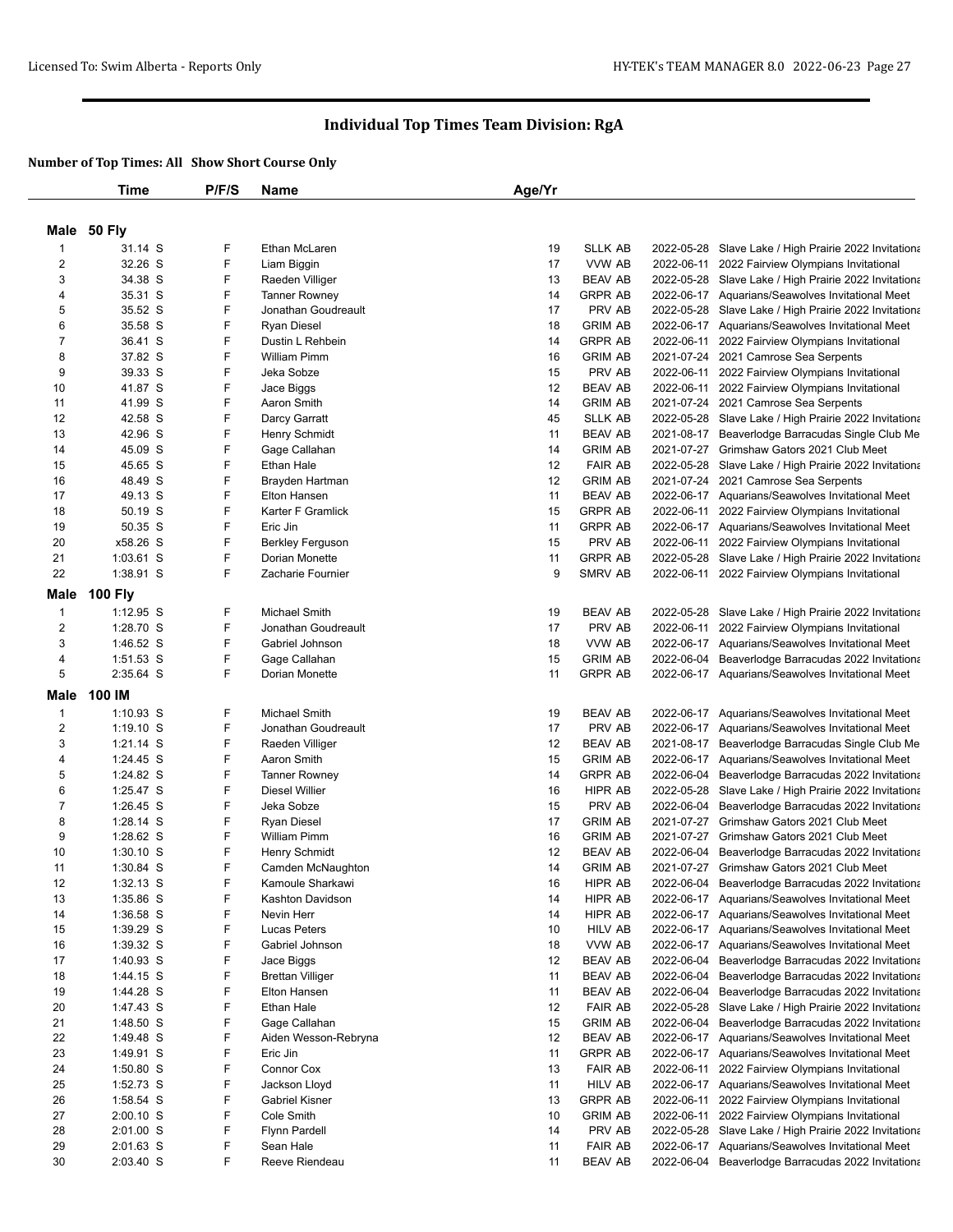|                | <b>Time</b>    | P/F/S | Name                    | Age/Yr |                |            |                                                       |
|----------------|----------------|-------|-------------------------|--------|----------------|------------|-------------------------------------------------------|
|                |                |       |                         |        |                |            |                                                       |
|                | Male 50 Fly    |       |                         |        |                |            |                                                       |
| $\mathbf{1}$   | 31.14 S        | F     | Ethan McLaren           | 19     | <b>SLLK AB</b> |            | 2022-05-28 Slave Lake / High Prairie 2022 Invitationa |
| 2              | 32.26 S        | F     | Liam Biggin             | 17     | VVW AB         |            | 2022-06-11 2022 Fairview Olympians Invitational       |
| 3              | 34.38 S        | F     | Raeden Villiger         | 13     | <b>BEAV AB</b> |            | 2022-05-28 Slave Lake / High Prairie 2022 Invitationa |
| 4              | 35.31 S        | F     | <b>Tanner Rowney</b>    | 14     | <b>GRPR AB</b> |            | 2022-06-17 Aquarians/Seawolves Invitational Meet      |
| 5              | 35.52 S        | F     | Jonathan Goudreault     | 17     | PRV AB         |            | 2022-05-28 Slave Lake / High Prairie 2022 Invitationa |
| 6              | 35.58 S        | F     | <b>Ryan Diesel</b>      | 18     | <b>GRIM AB</b> |            | 2022-06-17 Aquarians/Seawolves Invitational Meet      |
| $\overline{7}$ | 36.41 S        | F     | Dustin L Rehbein        | 14     | <b>GRPR AB</b> |            | 2022-06-11 2022 Fairview Olympians Invitational       |
| 8              | 37.82 S        | F     | <b>William Pimm</b>     | 16     | <b>GRIM AB</b> |            | 2021-07-24 2021 Camrose Sea Serpents                  |
| 9              | 39.33 S        | F.    | Jeka Sobze              | 15     | PRV AB         |            | 2022-06-11 2022 Fairview Olympians Invitational       |
| 10             | 41.87 S        | F     | Jace Biggs              | 12     | <b>BEAV AB</b> |            | 2022-06-11 2022 Fairview Olympians Invitational       |
| 11             | 41.99 S        | F     | Aaron Smith             | 14     | <b>GRIM AB</b> |            | 2021-07-24 2021 Camrose Sea Serpents                  |
| 12             | 42.58 S        | F.    | Darcy Garratt           | 45     | <b>SLLK AB</b> |            | 2022-05-28 Slave Lake / High Prairie 2022 Invitationa |
| 13             | 42.96 S        | F     | <b>Henry Schmidt</b>    | 11     | <b>BEAV AB</b> |            | 2021-08-17 Beaverlodge Barracudas Single Club Me      |
| 14             | 45.09 S        | F     | Gage Callahan           | 14     | <b>GRIM AB</b> |            | 2021-07-27 Grimshaw Gators 2021 Club Meet             |
| 15             | 45.65 S        | F     | <b>Ethan Hale</b>       | 12     | <b>FAIR AB</b> |            | 2022-05-28 Slave Lake / High Prairie 2022 Invitationa |
| 16             | 48.49 S        | F     | Brayden Hartman         | 12     | <b>GRIM AB</b> |            | 2021-07-24 2021 Camrose Sea Serpents                  |
| 17             | 49.13 S        | F     | Elton Hansen            | 11     | <b>BEAV AB</b> |            | 2022-06-17 Aquarians/Seawolves Invitational Meet      |
| 18             | 50.19 S        | F     | Karter F Gramlick       | 15     | <b>GRPR AB</b> |            | 2022-06-11 2022 Fairview Olympians Invitational       |
| 19             | 50.35 S        | F     | Eric Jin                | 11     | <b>GRPR AB</b> |            | 2022-06-17 Aquarians/Seawolves Invitational Meet      |
| 20             | x58.26 S       | F     | <b>Berkley Ferguson</b> | 15     | PRV AB         |            | 2022-06-11 2022 Fairview Olympians Invitational       |
| 21             | 1:03.61 S      | F     | Dorian Monette          | 11     | <b>GRPR AB</b> |            | 2022-05-28 Slave Lake / High Prairie 2022 Invitationa |
| 22             | 1:38.91 S      | F     | Zacharie Fournier       | 9      | <b>SMRV AB</b> |            | 2022-06-11 2022 Fairview Olympians Invitational       |
| <b>Male</b>    | <b>100 Fly</b> |       |                         |        |                |            |                                                       |
| $\mathbf{1}$   | $1:12.95$ S    | F     | Michael Smith           | 19     | <b>BEAV AB</b> |            | 2022-05-28 Slave Lake / High Prairie 2022 Invitationa |
| $\overline{c}$ | 1:28.70 S      | F     | Jonathan Goudreault     | 17     | PRV AB         |            | 2022-06-11 2022 Fairview Olympians Invitational       |
| 3              | 1:46.52 S      | F     | Gabriel Johnson         | 18     | VVW AB         |            | 2022-06-17 Aquarians/Seawolves Invitational Meet      |
| 4              | 1:51.53 S      | F     | Gage Callahan           | 15     | <b>GRIM AB</b> |            | 2022-06-04 Beaverlodge Barracudas 2022 Invitationa    |
| 5              | 2:35.64 S      | F.    | Dorian Monette          | 11     | <b>GRPR AB</b> |            | 2022-06-17 Aquarians/Seawolves Invitational Meet      |
|                |                |       |                         |        |                |            |                                                       |
| Male           | 100 IM         |       |                         |        |                |            |                                                       |
| $\mathbf{1}$   | 1:10.93 S      | F     | <b>Michael Smith</b>    | 19     | <b>BEAV AB</b> |            | 2022-06-17 Aquarians/Seawolves Invitational Meet      |
| $\overline{2}$ | $1:19.10$ S    | F.    | Jonathan Goudreault     | 17     | PRV AB         |            | 2022-06-17 Aquarians/Seawolves Invitational Meet      |
| 3              | $1:21.14$ S    | F     | Raeden Villiger         | 12     | <b>BEAV AB</b> |            | 2021-08-17 Beaverlodge Barracudas Single Club Me      |
| 4              | $1:24.45$ S    | F     | Aaron Smith             | 15     | <b>GRIM AB</b> |            | 2022-06-17 Aquarians/Seawolves Invitational Meet      |
| 5              | 1:24.82 S      | F     | <b>Tanner Rowney</b>    | 14     | <b>GRPR AB</b> |            | 2022-06-04 Beaverlodge Barracudas 2022 Invitationa    |
| 6              | $1:25.47$ S    | F     | <b>Diesel Willier</b>   | 16     | HIPR AB        |            | 2022-05-28 Slave Lake / High Prairie 2022 Invitationa |
| $\overline{7}$ | $1:26.45$ S    | F     | Jeka Sobze              | 15     | PRV AB         |            | 2022-06-04 Beaverlodge Barracudas 2022 Invitationa    |
| 8              | $1:28.14$ S    | F     | <b>Ryan Diesel</b>      | 17     | <b>GRIM AB</b> |            | 2021-07-27 Grimshaw Gators 2021 Club Meet             |
| 9              | 1:28.62 S      | F     | William Pimm            | 16     | <b>GRIM AB</b> | 2021-07-27 | Grimshaw Gators 2021 Club Meet                        |
| 10             | $1:30.10$ S    | F     | <b>Henry Schmidt</b>    | 12     | <b>BEAV AB</b> | 2022-06-04 | Beaverlodge Barracudas 2022 Invitationa               |
| 11             | 1:30.84 S      | F     | Camden McNaughton       | 14     | <b>GRIM AB</b> |            | 2021-07-27 Grimshaw Gators 2021 Club Meet             |
| 12             | $1:32.13$ S    | F     | Kamoule Sharkawi        | 16     | HIPR AB        |            | 2022-06-04 Beaverlodge Barracudas 2022 Invitationa    |
| 13             | 1:35.86 S      | F     | Kashton Davidson        | 14     | HIPR AB        |            | 2022-06-17 Aquarians/Seawolves Invitational Meet      |
| 14             | 1:36.58 S      | F     | Nevin Herr              | 14     | HIPR AB        |            | 2022-06-17 Aquarians/Seawolves Invitational Meet      |
| 15             | 1:39.29 S      | F     | Lucas Peters            | 10     | HILV AB        |            | 2022-06-17 Aquarians/Seawolves Invitational Meet      |
| 16             | 1:39.32 S      | F     | Gabriel Johnson         | 18     | VVW AB         |            | 2022-06-17 Aquarians/Seawolves Invitational Meet      |
| 17             | $1:40.93$ S    | F     | Jace Biggs              | 12     | <b>BEAV AB</b> | 2022-06-04 | Beaverlodge Barracudas 2022 Invitationa               |
| 18             | 1:44.15 S      | F     | <b>Brettan Villiger</b> | 11     | <b>BEAV AB</b> | 2022-06-04 | Beaverlodge Barracudas 2022 Invitationa               |
| 19             | 1:44.28 S      | F     | Elton Hansen            | 11     | <b>BEAV AB</b> | 2022-06-04 | Beaverlodge Barracudas 2022 Invitationa               |
| 20             | 1:47.43 S      | F     | <b>Ethan Hale</b>       | 12     | <b>FAIR AB</b> | 2022-05-28 | Slave Lake / High Prairie 2022 Invitationa            |
| 21             | 1:48.50 S      | F     | Gage Callahan           | 15     | <b>GRIM AB</b> | 2022-06-04 | Beaverlodge Barracudas 2022 Invitationa               |
| 22             | 1:49.48 S      | F     | Aiden Wesson-Rebryna    | 12     | <b>BEAV AB</b> |            | 2022-06-17 Aquarians/Seawolves Invitational Meet      |
| 23             | 1:49.91 S      | F     | Eric Jin                | 11     | <b>GRPR AB</b> |            | 2022-06-17 Aquarians/Seawolves Invitational Meet      |
| 24             | $1:50.80$ S    | F     | Connor Cox              | 13     | <b>FAIR AB</b> |            | 2022-06-11 2022 Fairview Olympians Invitational       |
| 25             | $1:52.73$ S    | F     | Jackson Lloyd           | 11     | <b>HILV AB</b> |            | 2022-06-17 Aquarians/Seawolves Invitational Meet      |
| 26             | 1:58.54 S      | F.    | Gabriel Kisner          | 13     | <b>GRPR AB</b> |            | 2022-06-11 2022 Fairview Olympians Invitational       |
| 27             | $2:00.10$ S    | F     | Cole Smith              | 10     | <b>GRIM AB</b> |            | 2022-06-11 2022 Fairview Olympians Invitational       |
| 28             | $2:01.00$ S    | F     | <b>Flynn Pardell</b>    | 14     | PRV AB         |            | 2022-05-28 Slave Lake / High Prairie 2022 Invitationa |
| 29             | 2:01.63 S      | F     | Sean Hale               | 11     | <b>FAIR AB</b> |            | 2022-06-17 Aquarians/Seawolves Invitational Meet      |
| 30             | 2:03.40 S      | F     | Reeve Riendeau          | 11     | <b>BEAV AB</b> |            | 2022-06-04 Beaverlodge Barracudas 2022 Invitationa    |
|                |                |       |                         |        |                |            |                                                       |